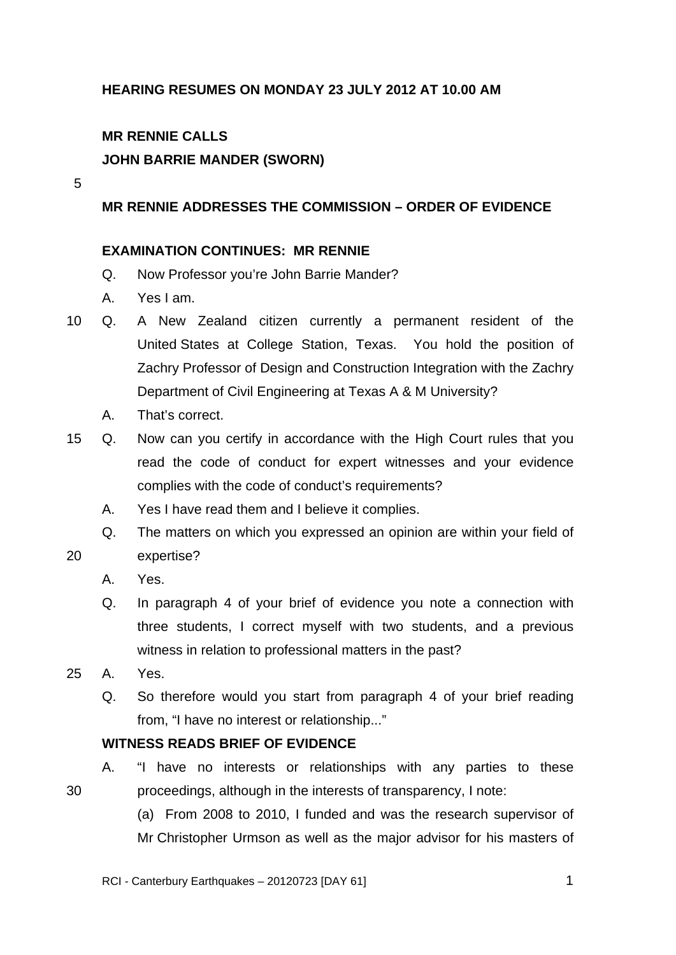# **HEARING RESUMES ON MONDAY 23 JULY 2012 AT 10.00 AM**

# **MR RENNIE CALLS**

## **JOHN BARRIE MANDER (SWORN)**

5

### **MR RENNIE ADDRESSES THE COMMISSION – ORDER OF EVIDENCE**

#### **EXAMINATION CONTINUES: MR RENNIE**

- Q. Now Professor you're John Barrie Mander?
- A. Yes I am.
- 10 Q. A New Zealand citizen currently a permanent resident of the United States at College Station, Texas. You hold the position of Zachry Professor of Design and Construction Integration with the Zachry Department of Civil Engineering at Texas A & M University?
	- A. That's correct.
- 15 Q. Now can you certify in accordance with the High Court rules that you read the code of conduct for expert witnesses and your evidence complies with the code of conduct's requirements?
	- A. Yes I have read them and I believe it complies.
	- Q. The matters on which you expressed an opinion are within your field of expertise?
		- A. Yes.

20

30

- Q. In paragraph 4 of your brief of evidence you note a connection with three students, I correct myself with two students, and a previous witness in relation to professional matters in the past?
- 25 A. Yes.
	- Q. So therefore would you start from paragraph 4 of your brief reading from, "I have no interest or relationship..."

### **WITNESS READS BRIEF OF EVIDENCE**

A. "I have no interests or relationships with any parties to these proceedings, although in the interests of transparency, I note:

(a) From 2008 to 2010, I funded and was the research supervisor of Mr Christopher Urmson as well as the major advisor for his masters of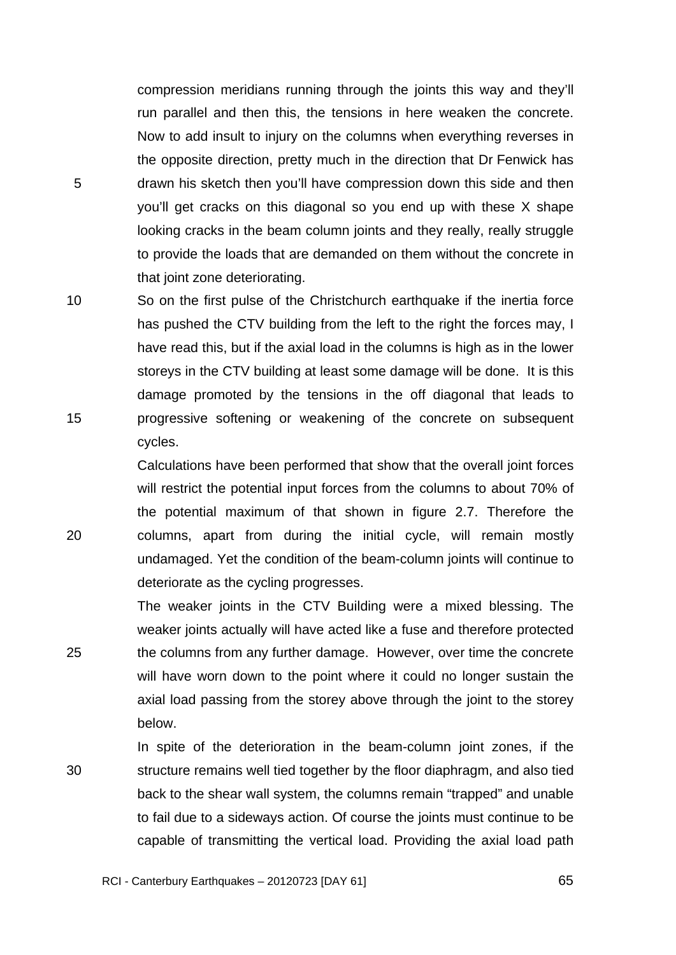compression meridians running through the joints this way and they'll run parallel and then this, the tensions in here weaken the concrete. Now to add insult to injury on the columns when everything reverses in the opposite direction, pretty much in the direction that Dr Fenwick has drawn his sketch then you'll have compression down this side and then you'll get cracks on this diagonal so you end up with these X shape looking cracks in the beam column joints and they really, really struggle to provide the loads that are demanded on them without the concrete in that joint zone deteriorating.

5

20

25

10 15 So on the first pulse of the Christchurch earthquake if the inertia force has pushed the CTV building from the left to the right the forces may, I have read this, but if the axial load in the columns is high as in the lower storeys in the CTV building at least some damage will be done. It is this damage promoted by the tensions in the off diagonal that leads to progressive softening or weakening of the concrete on subsequent cycles.

> Calculations have been performed that show that the overall joint forces will restrict the potential input forces from the columns to about 70% of the potential maximum of that shown in figure 2.7. Therefore the columns, apart from during the initial cycle, will remain mostly undamaged. Yet the condition of the beam-column joints will continue to deteriorate as the cycling progresses.

The weaker joints in the CTV Building were a mixed blessing. The weaker joints actually will have acted like a fuse and therefore protected the columns from any further damage. However, over time the concrete will have worn down to the point where it could no longer sustain the axial load passing from the storey above through the joint to the storey below.

30 In spite of the deterioration in the beam-column joint zones, if the structure remains well tied together by the floor diaphragm, and also tied back to the shear wall system, the columns remain "trapped" and unable to fail due to a sideways action. Of course the joints must continue to be capable of transmitting the vertical load. Providing the axial load path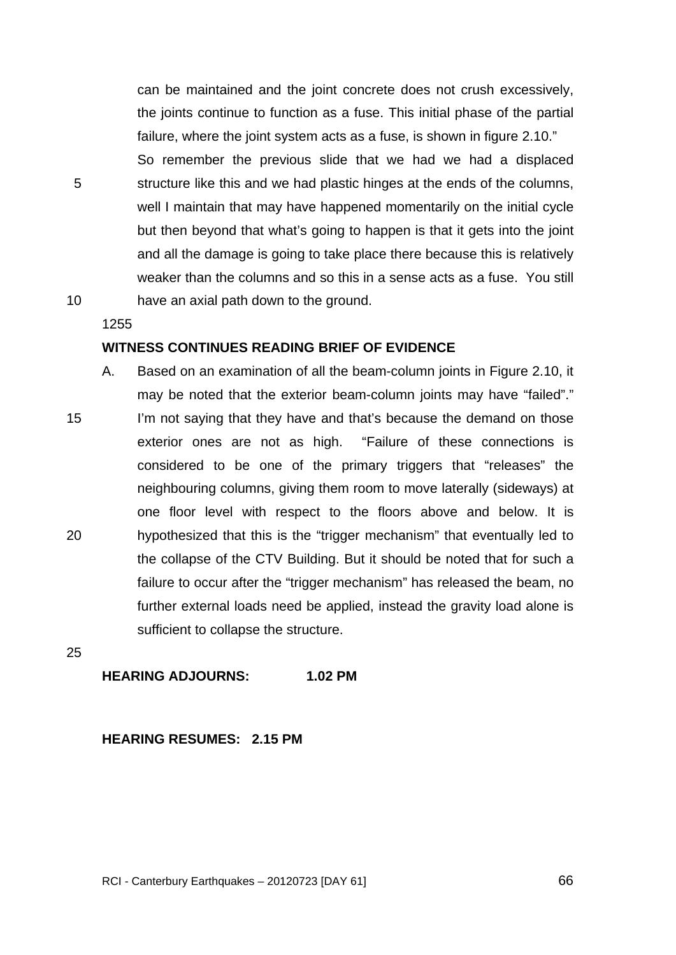can be maintained and the joint concrete does not crush excessively, the joints continue to function as a fuse. This initial phase of the partial failure, where the joint system acts as a fuse, is shown in figure 2.10." So remember the previous slide that we had we had a displaced structure like this and we had plastic hinges at the ends of the columns, well I maintain that may have happened momentarily on the initial cycle but then beyond that what's going to happen is that it gets into the joint and all the damage is going to take place there because this is relatively weaker than the columns and so this in a sense acts as a fuse. You still have an axial path down to the ground.

10

5

1255

## **WITNESS CONTINUES READING BRIEF OF EVIDENCE**

15 20 A. Based on an examination of all the beam-column joints in Figure 2.10, it may be noted that the exterior beam-column joints may have "failed"." I'm not saying that they have and that's because the demand on those exterior ones are not as high. "Failure of these connections is considered to be one of the primary triggers that "releases" the neighbouring columns, giving them room to move laterally (sideways) at one floor level with respect to the floors above and below. It is hypothesized that this is the "trigger mechanism" that eventually led to the collapse of the CTV Building. But it should be noted that for such a failure to occur after the "trigger mechanism" has released the beam, no further external loads need be applied, instead the gravity load alone is sufficient to collapse the structure.

25

## **HEARING ADJOURNS: 1.02 PM**

**HEARING RESUMES: 2.15 PM** 

RCI - Canterbury Earthquakes – 20120723 [DAY 61]

 $\overline{66}$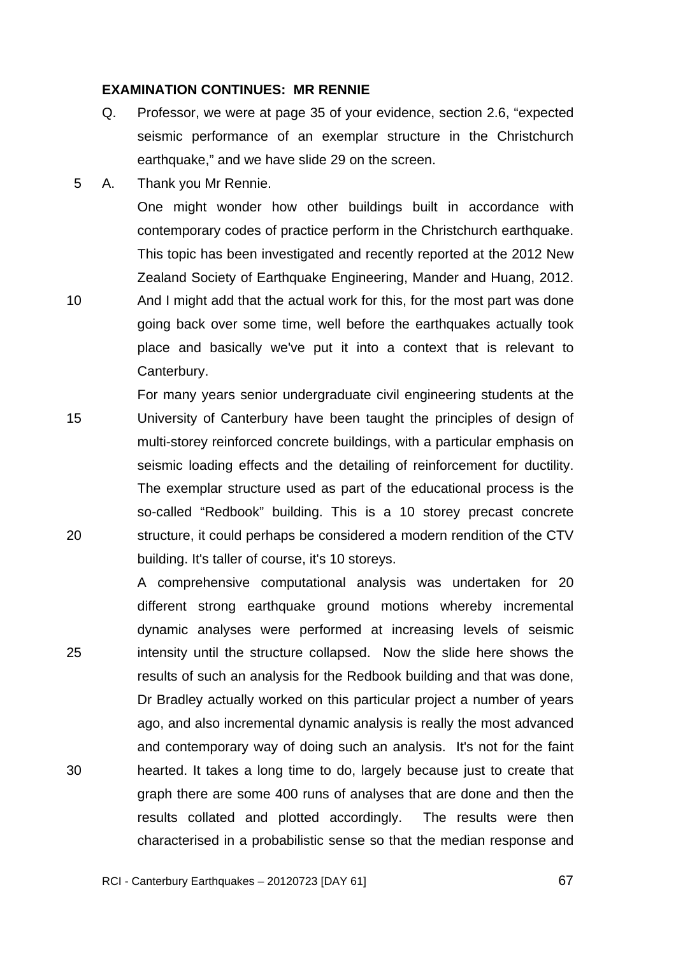### **EXAMINATION CONTINUES: MR RENNIE**

- Q. Professor, we were at page 35 of your evidence, section 2.6, "expected seismic performance of an exemplar structure in the Christchurch earthquake," and we have slide 29 on the screen.
- 5 A. Thank you Mr Rennie.

One might wonder how other buildings built in accordance with contemporary codes of practice perform in the Christchurch earthquake. This topic has been investigated and recently reported at the 2012 New Zealand Society of Earthquake Engineering, Mander and Huang, 2012.

10 And I might add that the actual work for this, for the most part was done going back over some time, well before the earthquakes actually took place and basically we've put it into a context that is relevant to Canterbury.

15 20 For many years senior undergraduate civil engineering students at the University of Canterbury have been taught the principles of design of multi-storey reinforced concrete buildings, with a particular emphasis on seismic loading effects and the detailing of reinforcement for ductility. The exemplar structure used as part of the educational process is the so-called "Redbook" building. This is a 10 storey precast concrete structure, it could perhaps be considered a modern rendition of the CTV building. It's taller of course, it's 10 storeys.

25 30 A comprehensive computational analysis was undertaken for 20 different strong earthquake ground motions whereby incremental dynamic analyses were performed at increasing levels of seismic intensity until the structure collapsed. Now the slide here shows the results of such an analysis for the Redbook building and that was done, Dr Bradley actually worked on this particular project a number of years ago, and also incremental dynamic analysis is really the most advanced and contemporary way of doing such an analysis. It's not for the faint hearted. It takes a long time to do, largely because just to create that graph there are some 400 runs of analyses that are done and then the results collated and plotted accordingly. The results were then characterised in a probabilistic sense so that the median response and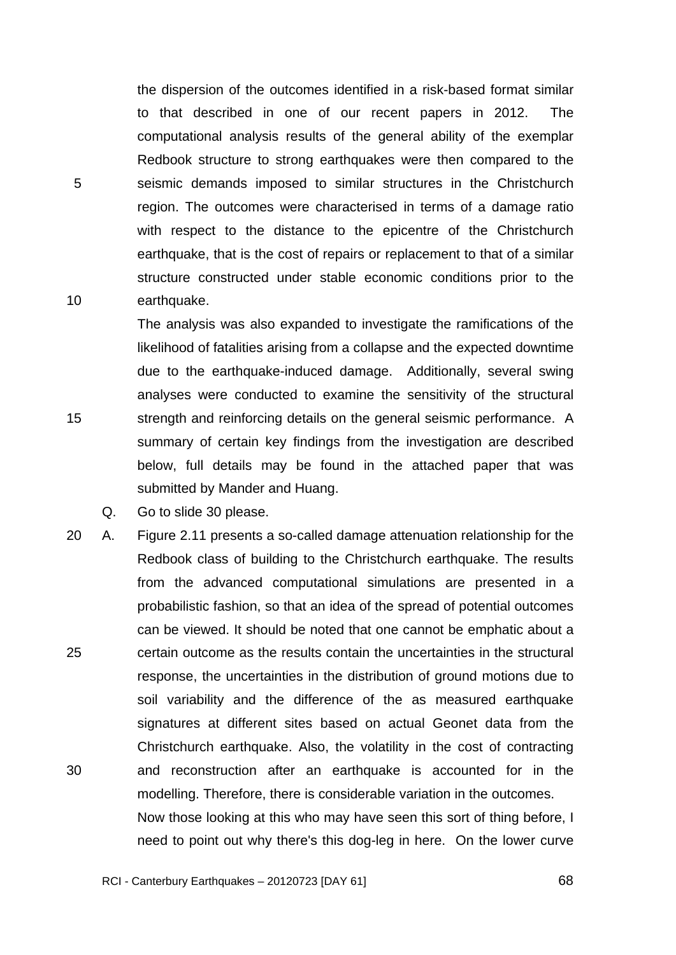the dispersion of the outcomes identified in a risk-based format similar to that described in one of our recent papers in 2012. The computational analysis results of the general ability of the exemplar Redbook structure to strong earthquakes were then compared to the seismic demands imposed to similar structures in the Christchurch region. The outcomes were characterised in terms of a damage ratio with respect to the distance to the epicentre of the Christchurch earthquake, that is the cost of repairs or replacement to that of a similar structure constructed under stable economic conditions prior to the earthquake.

The analysis was also expanded to investigate the ramifications of the likelihood of fatalities arising from a collapse and the expected downtime due to the earthquake-induced damage. Additionally, several swing analyses were conducted to examine the sensitivity of the structural strength and reinforcing details on the general seismic performance. A summary of certain key findings from the investigation are described below, full details may be found in the attached paper that was submitted by Mander and Huang.

Q. Go to slide 30 please.

5

10

15

25 30 20 A. Figure 2.11 presents a so-called damage attenuation relationship for the Redbook class of building to the Christchurch earthquake. The results from the advanced computational simulations are presented in a probabilistic fashion, so that an idea of the spread of potential outcomes can be viewed. It should be noted that one cannot be emphatic about a certain outcome as the results contain the uncertainties in the structural response, the uncertainties in the distribution of ground motions due to soil variability and the difference of the as measured earthquake signatures at different sites based on actual Geonet data from the Christchurch earthquake. Also, the volatility in the cost of contracting and reconstruction after an earthquake is accounted for in the modelling. Therefore, there is considerable variation in the outcomes. Now those looking at this who may have seen this sort of thing before, I need to point out why there's this dog-leg in here. On the lower curve

RCI - Canterbury Earthquakes – 20120723 [DAY 61]

**68**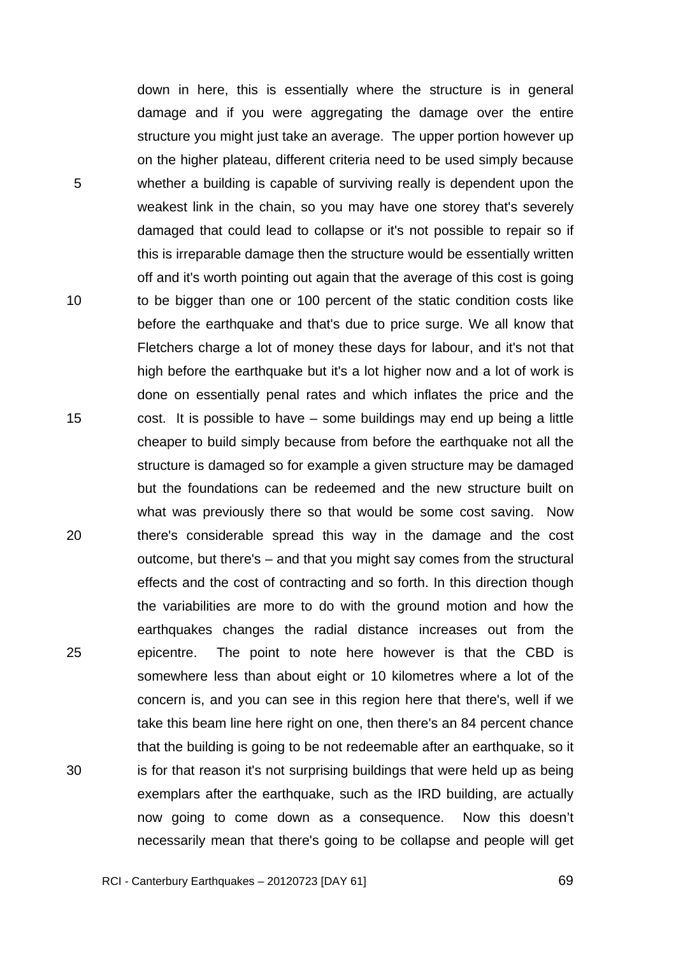down in here, this is essentially where the structure is in general damage and if you were aggregating the damage over the entire structure you might just take an average. The upper portion however up on the higher plateau, different criteria need to be used simply because whether a building is capable of surviving really is dependent upon the weakest link in the chain, so you may have one storey that's severely damaged that could lead to collapse or it's not possible to repair so if this is irreparable damage then the structure would be essentially written off and it's worth pointing out again that the average of this cost is going to be bigger than one or 100 percent of the static condition costs like before the earthquake and that's due to price surge. We all know that Fletchers charge a lot of money these days for labour, and it's not that high before the earthquake but it's a lot higher now and a lot of work is done on essentially penal rates and which inflates the price and the cost. It is possible to have – some buildings may end up being a little cheaper to build simply because from before the earthquake not all the structure is damaged so for example a given structure may be damaged but the foundations can be redeemed and the new structure built on what was previously there so that would be some cost saving. Now there's considerable spread this way in the damage and the cost outcome, but there's – and that you might say comes from the structural effects and the cost of contracting and so forth. In this direction though the variabilities are more to do with the ground motion and how the earthquakes changes the radial distance increases out from the epicentre. The point to note here however is that the CBD is somewhere less than about eight or 10 kilometres where a lot of the concern is, and you can see in this region here that there's, well if we take this beam line here right on one, then there's an 84 percent chance that the building is going to be not redeemable after an earthquake, so it is for that reason it's not surprising buildings that were held up as being exemplars after the earthquake, such as the IRD building, are actually now going to come down as a consequence. Now this doesn't necessarily mean that there's going to be collapse and people will get

5

10

15

20

25

30

**69**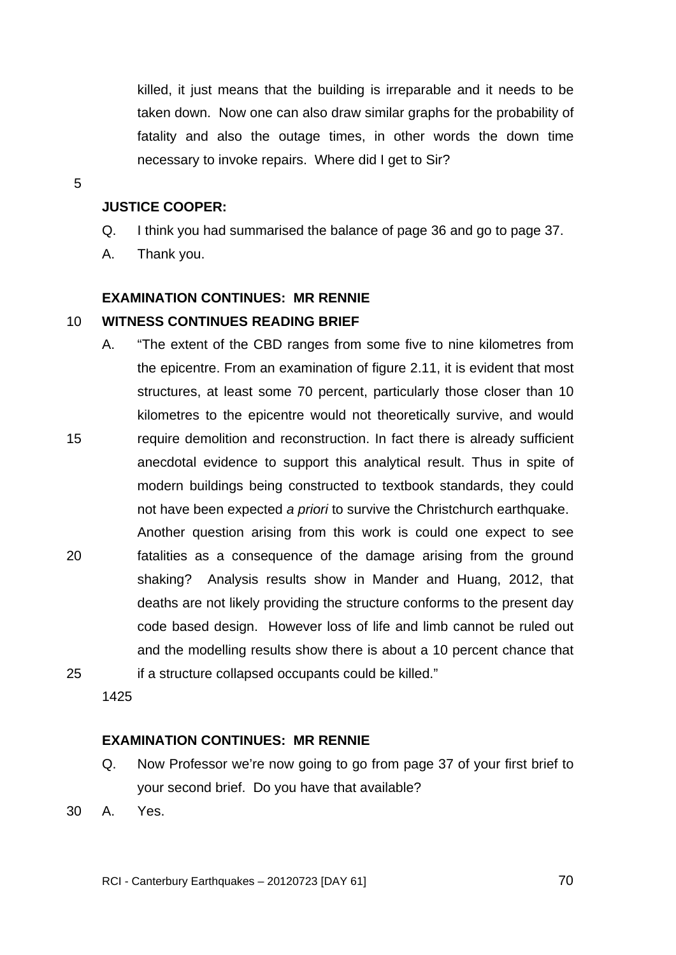killed, it just means that the building is irreparable and it needs to be taken down. Now one can also draw similar graphs for the probability of fatality and also the outage times, in other words the down time necessary to invoke repairs. Where did I get to Sir?

5

15

# **JUSTICE COOPER:**

- Q. I think you had summarised the balance of page 36 and go to page 37.
- A. Thank you.

# **EXAMINATION CONTINUES: MR RENNIE**

#### 10 **WITNESS CONTINUES READING BRIEF**

- A. "The extent of the CBD ranges from some five to nine kilometres from the epicentre. From an examination of figure 2.11, it is evident that most structures, at least some 70 percent, particularly those closer than 10 kilometres to the epicentre would not theoretically survive, and would require demolition and reconstruction. In fact there is already sufficient anecdotal evidence to support this analytical result. Thus in spite of modern buildings being constructed to textbook standards, they could not have been expected *a priori* to survive the Christchurch earthquake.
- 20 25 Another question arising from this work is could one expect to see fatalities as a consequence of the damage arising from the ground shaking? Analysis results show in Mander and Huang, 2012, that deaths are not likely providing the structure conforms to the present day code based design. However loss of life and limb cannot be ruled out and the modelling results show there is about a 10 percent chance that if a structure collapsed occupants could be killed."

1425

# **EXAMINATION CONTINUES: MR RENNIE**

- Q. Now Professor we're now going to go from page 37 of your first brief to your second brief. Do you have that available?
- 30 A. Yes.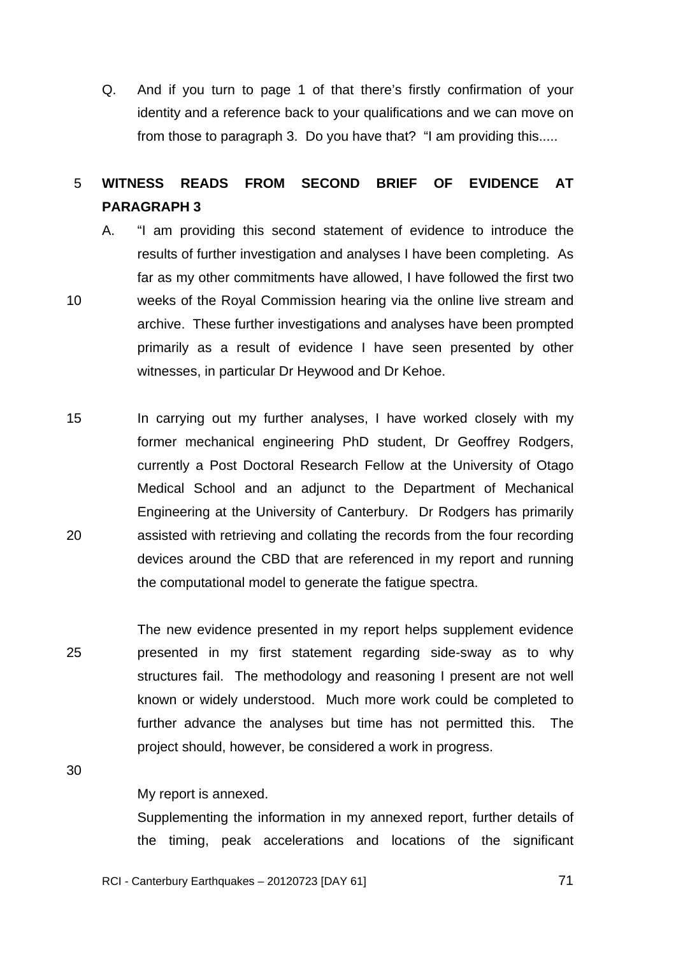Q. And if you turn to page 1 of that there's firstly confirmation of your identity and a reference back to your qualifications and we can move on from those to paragraph 3. Do you have that? "I am providing this.....

#### 5 **WITNESS READS FROM SECOND BRIEF OF EVIDENCE AT PARAGRAPH 3**

- 10 A. "I am providing this second statement of evidence to introduce the results of further investigation and analyses I have been completing. As far as my other commitments have allowed, I have followed the first two weeks of the Royal Commission hearing via the online live stream and archive. These further investigations and analyses have been prompted primarily as a result of evidence I have seen presented by other witnesses, in particular Dr Heywood and Dr Kehoe.
- 15 20 In carrying out my further analyses, I have worked closely with my former mechanical engineering PhD student, Dr Geoffrey Rodgers, currently a Post Doctoral Research Fellow at the University of Otago Medical School and an adjunct to the Department of Mechanical Engineering at the University of Canterbury. Dr Rodgers has primarily assisted with retrieving and collating the records from the four recording devices around the CBD that are referenced in my report and running the computational model to generate the fatigue spectra.
- 25 The new evidence presented in my report helps supplement evidence presented in my first statement regarding side-sway as to why structures fail. The methodology and reasoning I present are not well known or widely understood. Much more work could be completed to further advance the analyses but time has not permitted this. The project should, however, be considered a work in progress.

30

#### My report is annexed.

Supplementing the information in my annexed report, further details of the timing, peak accelerations and locations of the significant

RCI - Canterbury Earthquakes – 20120723 [DAY 61]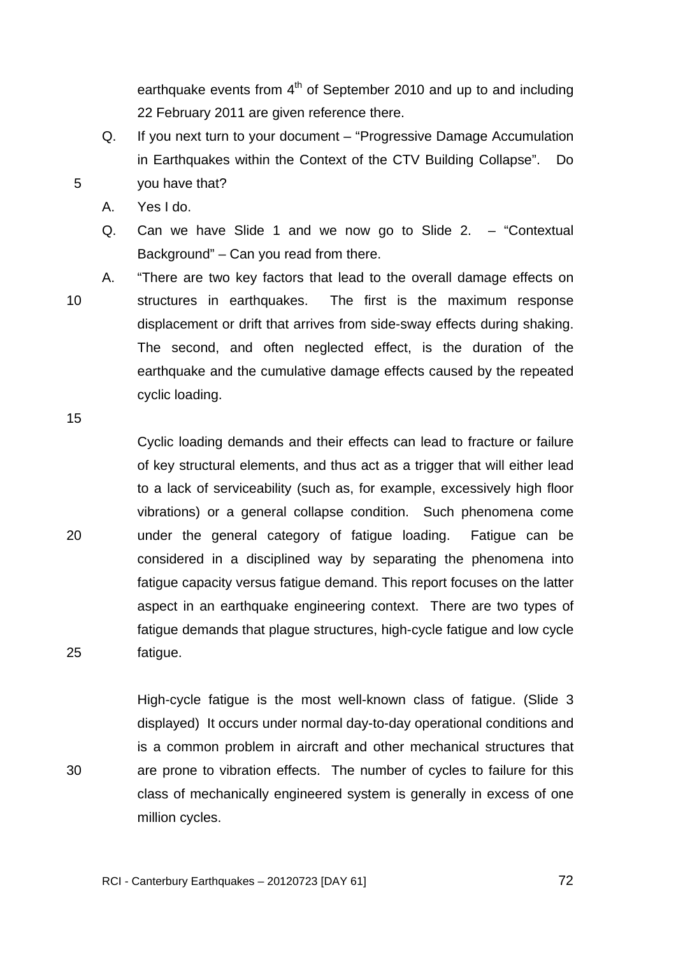earthquake events from  $4<sup>th</sup>$  of September 2010 and up to and including 22 February 2011 are given reference there.

- Q. If you next turn to your document "Progressive Damage Accumulation in Earthquakes within the Context of the CTV Building Collapse". Do you have that?
- A. Yes I do.
- Q. Can we have Slide 1 and we now go to Slide 2. "Contextual Background" – Can you read from there.
- 10 A. "There are two key factors that lead to the overall damage effects on structures in earthquakes. The first is the maximum response displacement or drift that arrives from side-sway effects during shaking. The second, and often neglected effect, is the duration of the earthquake and the cumulative damage effects caused by the repeated cyclic loading.

15

20

25

30

5

Cyclic loading demands and their effects can lead to fracture or failure of key structural elements, and thus act as a trigger that will either lead to a lack of serviceability (such as, for example, excessively high floor vibrations) or a general collapse condition. Such phenomena come under the general category of fatigue loading. Fatigue can be considered in a disciplined way by separating the phenomena into fatigue capacity versus fatigue demand. This report focuses on the latter aspect in an earthquake engineering context. There are two types of fatigue demands that plague structures, high-cycle fatigue and low cycle fatigue.

High-cycle fatigue is the most well-known class of fatigue. (Slide 3 displayed) It occurs under normal day-to-day operational conditions and is a common problem in aircraft and other mechanical structures that are prone to vibration effects. The number of cycles to failure for this class of mechanically engineered system is generally in excess of one million cycles.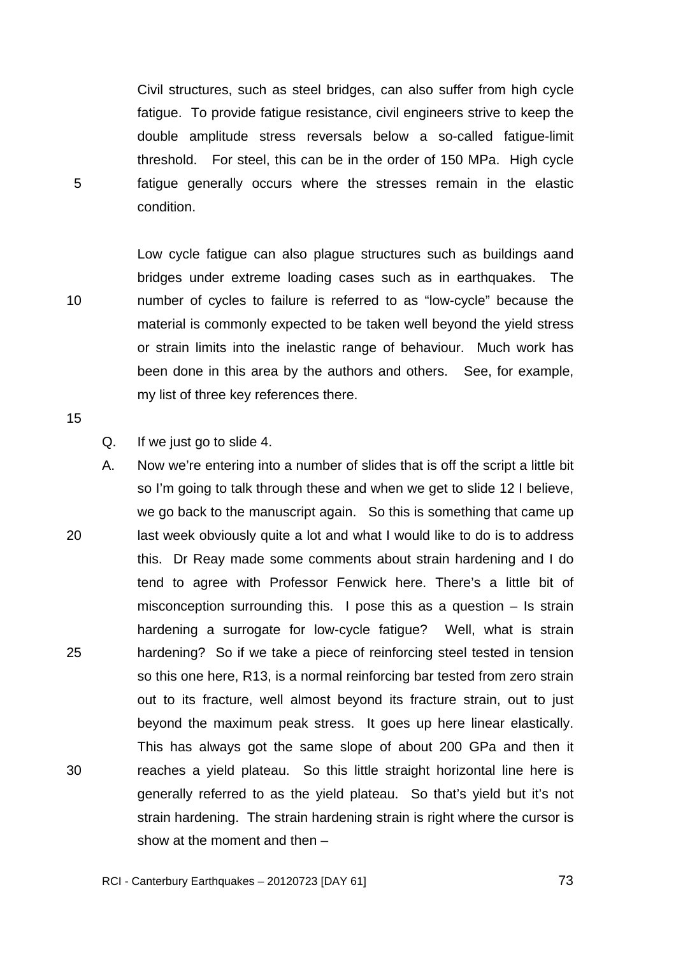Civil structures, such as steel bridges, can also suffer from high cycle fatigue. To provide fatigue resistance, civil engineers strive to keep the double amplitude stress reversals below a so-called fatigue-limit threshold. For steel, this can be in the order of 150 MPa. High cycle fatigue generally occurs where the stresses remain in the elastic condition.

Low cycle fatigue can also plague structures such as buildings aand bridges under extreme loading cases such as in earthquakes. The number of cycles to failure is referred to as "low-cycle" because the material is commonly expected to be taken well beyond the yield stress or strain limits into the inelastic range of behaviour. Much work has been done in this area by the authors and others. See, for example, my list of three key references there.

15

10

5

Q. If we just go to slide 4.

20 25 30 A. Now we're entering into a number of slides that is off the script a little bit so I'm going to talk through these and when we get to slide 12 I believe, we go back to the manuscript again. So this is something that came up last week obviously quite a lot and what I would like to do is to address this. Dr Reay made some comments about strain hardening and I do tend to agree with Professor Fenwick here. There's a little bit of misconception surrounding this. I pose this as a question – Is strain hardening a surrogate for low-cycle fatigue? Well, what is strain hardening? So if we take a piece of reinforcing steel tested in tension so this one here, R13, is a normal reinforcing bar tested from zero strain out to its fracture, well almost beyond its fracture strain, out to just beyond the maximum peak stress. It goes up here linear elastically. This has always got the same slope of about 200 GPa and then it reaches a yield plateau. So this little straight horizontal line here is generally referred to as the yield plateau. So that's yield but it's not strain hardening. The strain hardening strain is right where the cursor is show at the moment and then –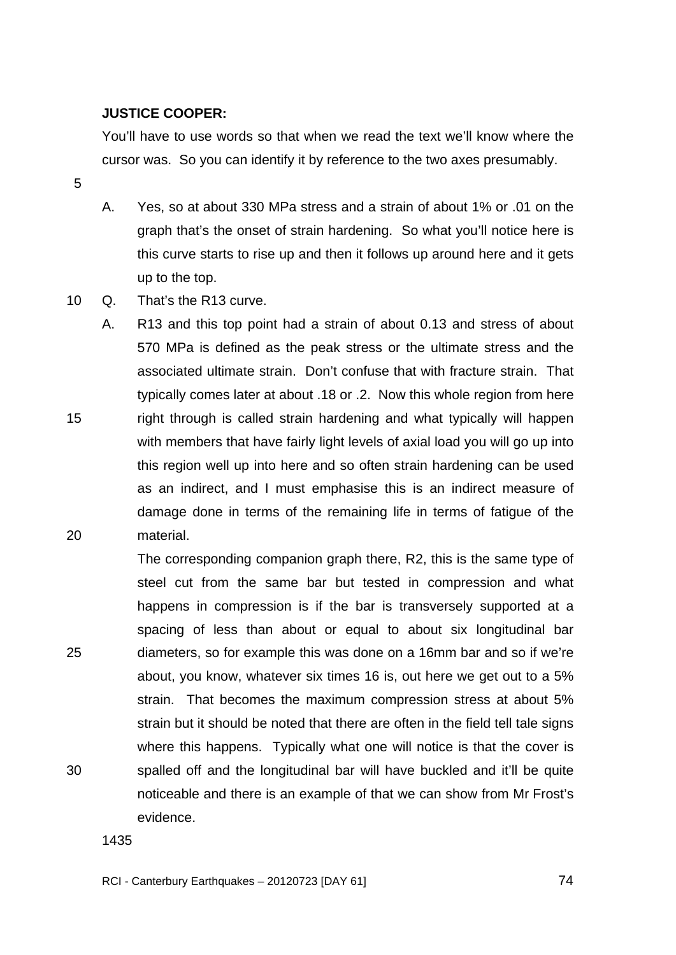#### **JUSTICE COOPER:**

You'll have to use words so that when we read the text we'll know where the cursor was. So you can identify it by reference to the two axes presumably.

5

15

20

- A. Yes, so at about 330 MPa stress and a strain of about 1% or .01 on the graph that's the onset of strain hardening. So what you'll notice here is this curve starts to rise up and then it follows up around here and it gets up to the top.
- 10 Q. That's the R13 curve.

A. R13 and this top point had a strain of about 0.13 and stress of about 570 MPa is defined as the peak stress or the ultimate stress and the associated ultimate strain. Don't confuse that with fracture strain. That typically comes later at about .18 or .2. Now this whole region from here right through is called strain hardening and what typically will happen with members that have fairly light levels of axial load you will go up into this region well up into here and so often strain hardening can be used as an indirect, and I must emphasise this is an indirect measure of damage done in terms of the remaining life in terms of fatigue of the material.

25 30 The corresponding companion graph there, R2, this is the same type of steel cut from the same bar but tested in compression and what happens in compression is if the bar is transversely supported at a spacing of less than about or equal to about six longitudinal bar diameters, so for example this was done on a 16mm bar and so if we're about, you know, whatever six times 16 is, out here we get out to a 5% strain. That becomes the maximum compression stress at about 5% strain but it should be noted that there are often in the field tell tale signs where this happens. Typically what one will notice is that the cover is spalled off and the longitudinal bar will have buckled and it'll be quite noticeable and there is an example of that we can show from Mr Frost's evidence.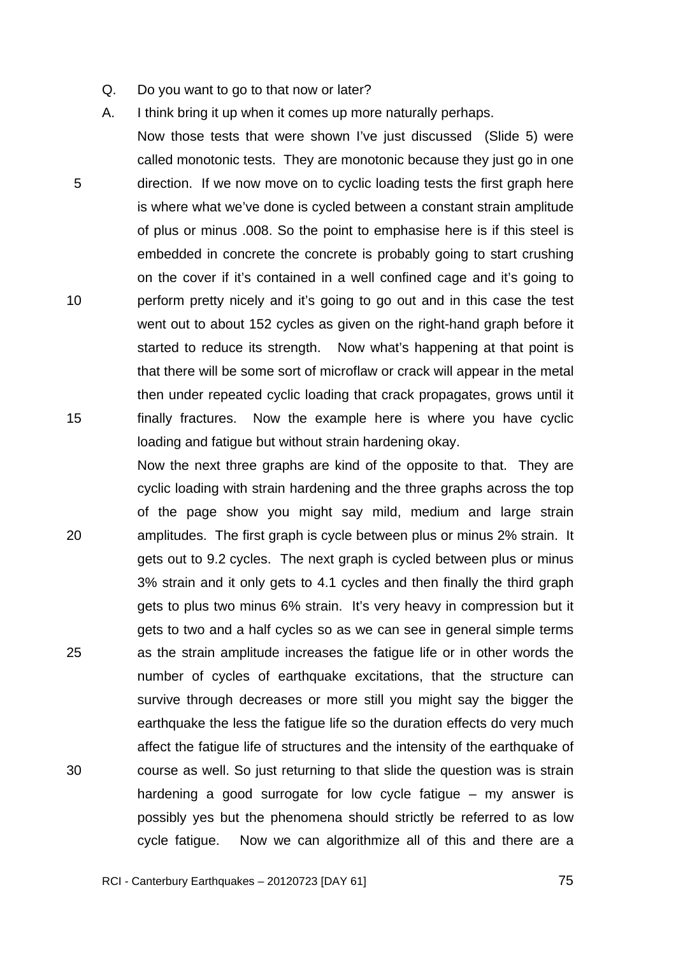- Q. Do you want to go to that now or later?
- A. I think bring it up when it comes up more naturally perhaps.

5 10 15 Now those tests that were shown I've just discussed (Slide 5) were called monotonic tests. They are monotonic because they just go in one direction. If we now move on to cyclic loading tests the first graph here is where what we've done is cycled between a constant strain amplitude of plus or minus .008. So the point to emphasise here is if this steel is embedded in concrete the concrete is probably going to start crushing on the cover if it's contained in a well confined cage and it's going to perform pretty nicely and it's going to go out and in this case the test went out to about 152 cycles as given on the right-hand graph before it started to reduce its strength. Now what's happening at that point is that there will be some sort of microflaw or crack will appear in the metal then under repeated cyclic loading that crack propagates, grows until it finally fractures. Now the example here is where you have cyclic loading and fatigue but without strain hardening okay.

20 25 30 Now the next three graphs are kind of the opposite to that. They are cyclic loading with strain hardening and the three graphs across the top of the page show you might say mild, medium and large strain amplitudes. The first graph is cycle between plus or minus 2% strain. It gets out to 9.2 cycles. The next graph is cycled between plus or minus 3% strain and it only gets to 4.1 cycles and then finally the third graph gets to plus two minus 6% strain. It's very heavy in compression but it gets to two and a half cycles so as we can see in general simple terms as the strain amplitude increases the fatigue life or in other words the number of cycles of earthquake excitations, that the structure can survive through decreases or more still you might say the bigger the earthquake the less the fatigue life so the duration effects do very much affect the fatigue life of structures and the intensity of the earthquake of course as well. So just returning to that slide the question was is strain hardening a good surrogate for low cycle fatigue – my answer is possibly yes but the phenomena should strictly be referred to as low cycle fatigue. Now we can algorithmize all of this and there are a

RCI - Canterbury Earthquakes – 20120723 [DAY 61]

<u>25 and 2012 and 2013 and 2014 and 2014 and 2014 and 2014 and 2014 and 2014 and 2014 and 2014 and 2014 and 201</u>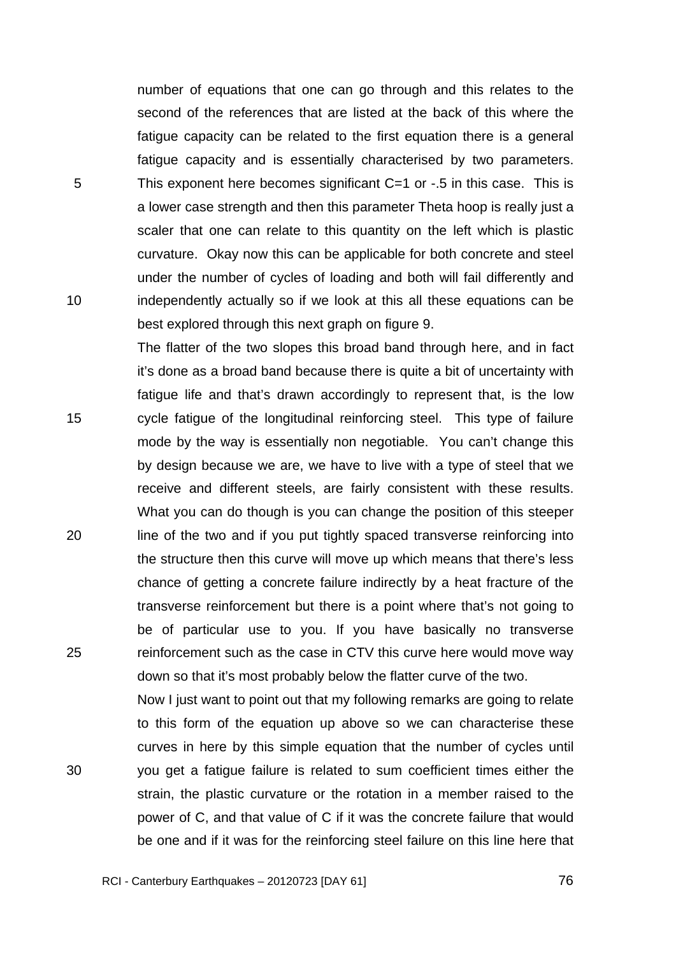number of equations that one can go through and this relates to the second of the references that are listed at the back of this where the fatigue capacity can be related to the first equation there is a general fatigue capacity and is essentially characterised by two parameters. This exponent here becomes significant C=1 or -.5 in this case. This is a lower case strength and then this parameter Theta hoop is really just a scaler that one can relate to this quantity on the left which is plastic curvature. Okay now this can be applicable for both concrete and steel under the number of cycles of loading and both will fail differently and independently actually so if we look at this all these equations can be best explored through this next graph on figure 9.

The flatter of the two slopes this broad band through here, and in fact it's done as a broad band because there is quite a bit of uncertainty with fatigue life and that's drawn accordingly to represent that, is the low cycle fatigue of the longitudinal reinforcing steel. This type of failure mode by the way is essentially non negotiable. You can't change this by design because we are, we have to live with a type of steel that we receive and different steels, are fairly consistent with these results. What you can do though is you can change the position of this steeper line of the two and if you put tightly spaced transverse reinforcing into the structure then this curve will move up which means that there's less chance of getting a concrete failure indirectly by a heat fracture of the transverse reinforcement but there is a point where that's not going to be of particular use to you. If you have basically no transverse reinforcement such as the case in CTV this curve here would move way down so that it's most probably below the flatter curve of the two.

Now I just want to point out that my following remarks are going to relate to this form of the equation up above so we can characterise these curves in here by this simple equation that the number of cycles until you get a fatigue failure is related to sum coefficient times either the strain, the plastic curvature or the rotation in a member raised to the power of C, and that value of C if it was the concrete failure that would be one and if it was for the reinforcing steel failure on this line here that

RCI - Canterbury Earthquakes – 20120723 [DAY 61]

25

20

5

10

15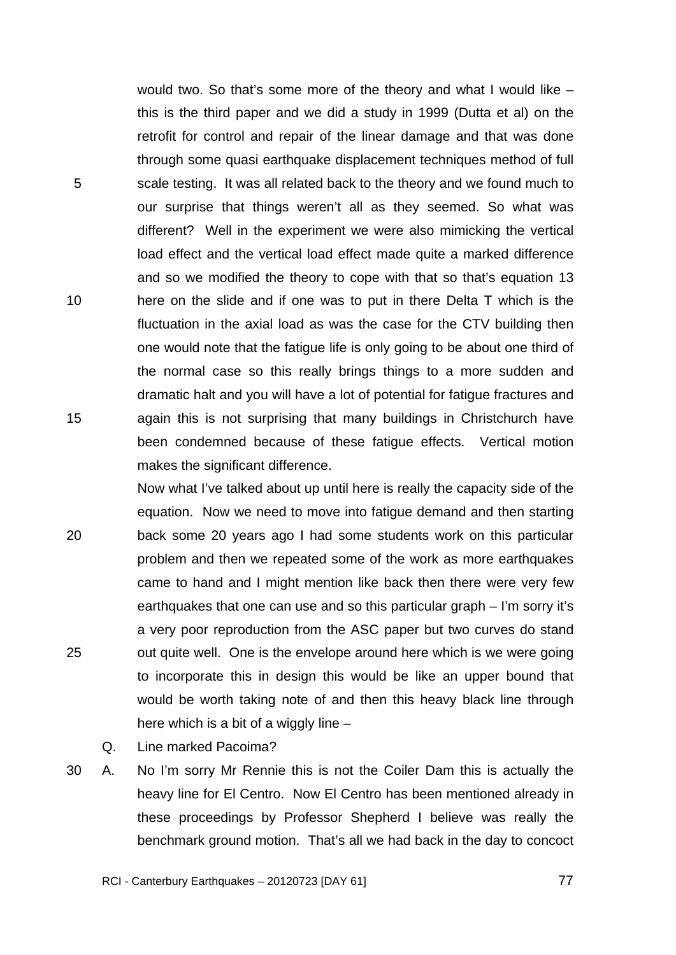would two. So that's some more of the theory and what I would like – this is the third paper and we did a study in 1999 (Dutta et al) on the retrofit for control and repair of the linear damage and that was done through some quasi earthquake displacement techniques method of full scale testing. It was all related back to the theory and we found much to our surprise that things weren't all as they seemed. So what was different? Well in the experiment we were also mimicking the vertical load effect and the vertical load effect made quite a marked difference and so we modified the theory to cope with that so that's equation 13 here on the slide and if one was to put in there Delta T which is the fluctuation in the axial load as was the case for the CTV building then one would note that the fatigue life is only going to be about one third of the normal case so this really brings things to a more sudden and dramatic halt and you will have a lot of potential for fatigue fractures and again this is not surprising that many buildings in Christchurch have been condemned because of these fatigue effects. Vertical motion makes the significant difference.

20 25 Now what I've talked about up until here is really the capacity side of the equation. Now we need to move into fatigue demand and then starting back some 20 years ago I had some students work on this particular problem and then we repeated some of the work as more earthquakes came to hand and I might mention like back then there were very few earthquakes that one can use and so this particular graph – I'm sorry it's a very poor reproduction from the ASC paper but two curves do stand out quite well. One is the envelope around here which is we were going to incorporate this in design this would be like an upper bound that would be worth taking note of and then this heavy black line through here which is a bit of a wiggly line –

Q. Line marked Pacoima?

5

10

15

30 A. No I'm sorry Mr Rennie this is not the Coiler Dam this is actually the heavy line for El Centro. Now El Centro has been mentioned already in these proceedings by Professor Shepherd I believe was really the benchmark ground motion. That's all we had back in the day to concoct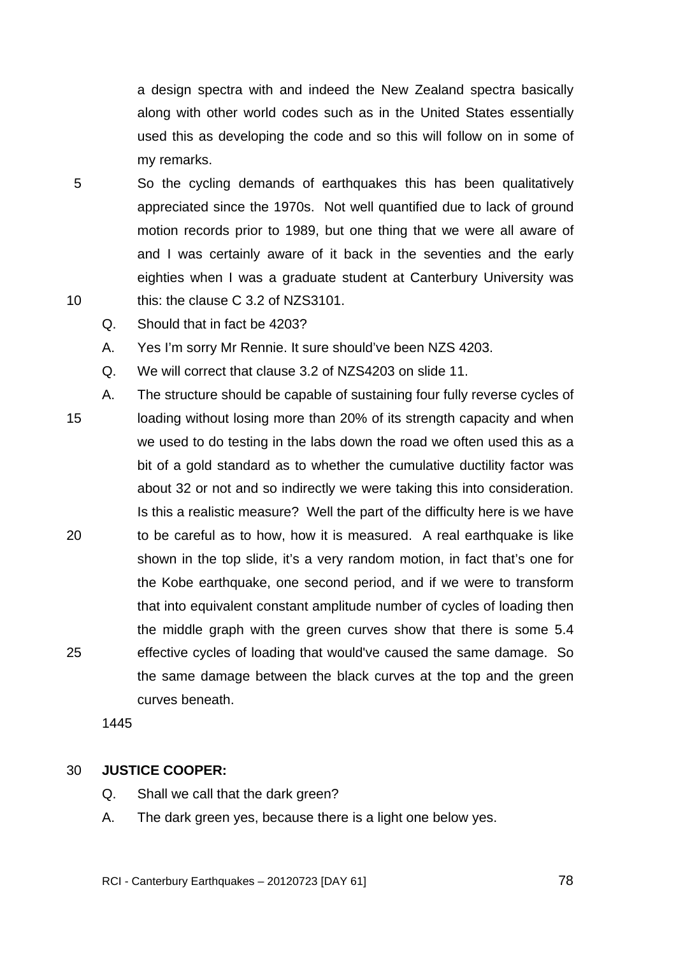a design spectra with and indeed the New Zealand spectra basically along with other world codes such as in the United States essentially used this as developing the code and so this will follow on in some of my remarks.

- 5 10 So the cycling demands of earthquakes this has been qualitatively appreciated since the 1970s. Not well quantified due to lack of ground motion records prior to 1989, but one thing that we were all aware of and I was certainly aware of it back in the seventies and the early eighties when I was a graduate student at Canterbury University was this: the clause C 3.2 of NZS3101.
	- Q. Should that in fact be 4203?
	- A. Yes I'm sorry Mr Rennie. It sure should've been NZS 4203.
	- Q. We will correct that clause 3.2 of NZS4203 on slide 11.
- 15 20 25 A. The structure should be capable of sustaining four fully reverse cycles of loading without losing more than 20% of its strength capacity and when we used to do testing in the labs down the road we often used this as a bit of a gold standard as to whether the cumulative ductility factor was about 32 or not and so indirectly we were taking this into consideration. Is this a realistic measure? Well the part of the difficulty here is we have to be careful as to how, how it is measured. A real earthquake is like shown in the top slide, it's a very random motion, in fact that's one for the Kobe earthquake, one second period, and if we were to transform that into equivalent constant amplitude number of cycles of loading then the middle graph with the green curves show that there is some 5.4 effective cycles of loading that would've caused the same damage. So the same damage between the black curves at the top and the green curves beneath.

1445

#### 30 **JUSTICE COOPER:**

- Q. Shall we call that the dark green?
- A. The dark green yes, because there is a light one below yes.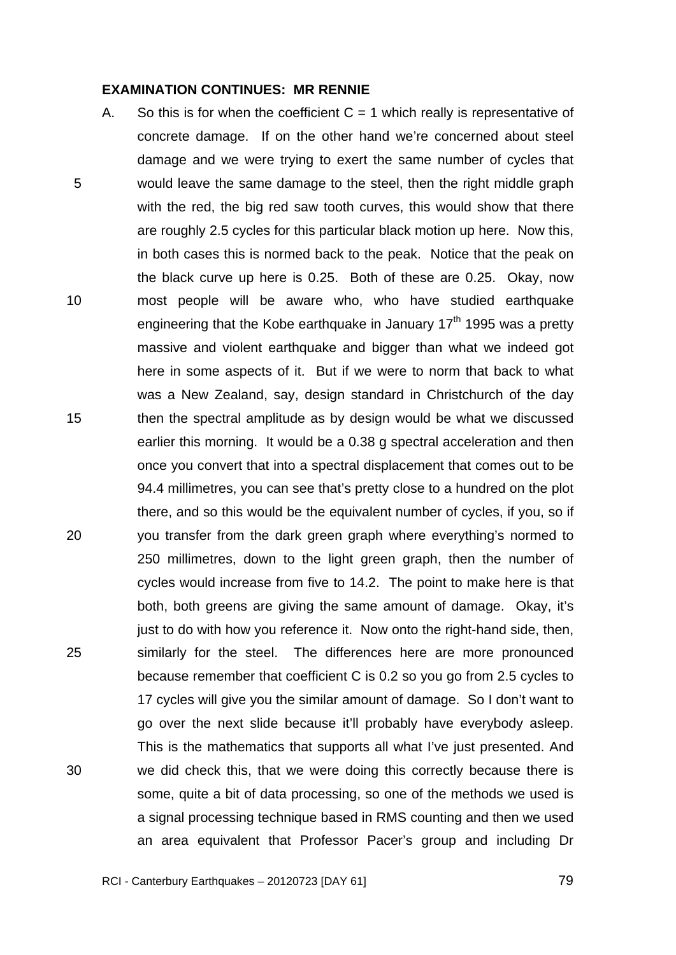#### **EXAMINATION CONTINUES: MR RENNIE**

5 10 15 20 25 30 A. So this is for when the coefficient  $C = 1$  which really is representative of concrete damage. If on the other hand we're concerned about steel damage and we were trying to exert the same number of cycles that would leave the same damage to the steel, then the right middle graph with the red, the big red saw tooth curves, this would show that there are roughly 2.5 cycles for this particular black motion up here. Now this, in both cases this is normed back to the peak. Notice that the peak on the black curve up here is 0.25. Both of these are 0.25. Okay, now most people will be aware who, who have studied earthquake engineering that the Kobe earthquake in January  $17<sup>th</sup>$  1995 was a pretty massive and violent earthquake and bigger than what we indeed got here in some aspects of it. But if we were to norm that back to what was a New Zealand, say, design standard in Christchurch of the day then the spectral amplitude as by design would be what we discussed earlier this morning. It would be a 0.38 g spectral acceleration and then once you convert that into a spectral displacement that comes out to be 94.4 millimetres, you can see that's pretty close to a hundred on the plot there, and so this would be the equivalent number of cycles, if you, so if you transfer from the dark green graph where everything's normed to 250 millimetres, down to the light green graph, then the number of cycles would increase from five to 14.2. The point to make here is that both, both greens are giving the same amount of damage. Okay, it's just to do with how you reference it. Now onto the right-hand side, then, similarly for the steel. The differences here are more pronounced because remember that coefficient C is 0.2 so you go from 2.5 cycles to 17 cycles will give you the similar amount of damage. So I don't want to go over the next slide because it'll probably have everybody asleep. This is the mathematics that supports all what I've just presented. And we did check this, that we were doing this correctly because there is some, quite a bit of data processing, so one of the methods we used is a signal processing technique based in RMS counting and then we used an area equivalent that Professor Pacer's group and including Dr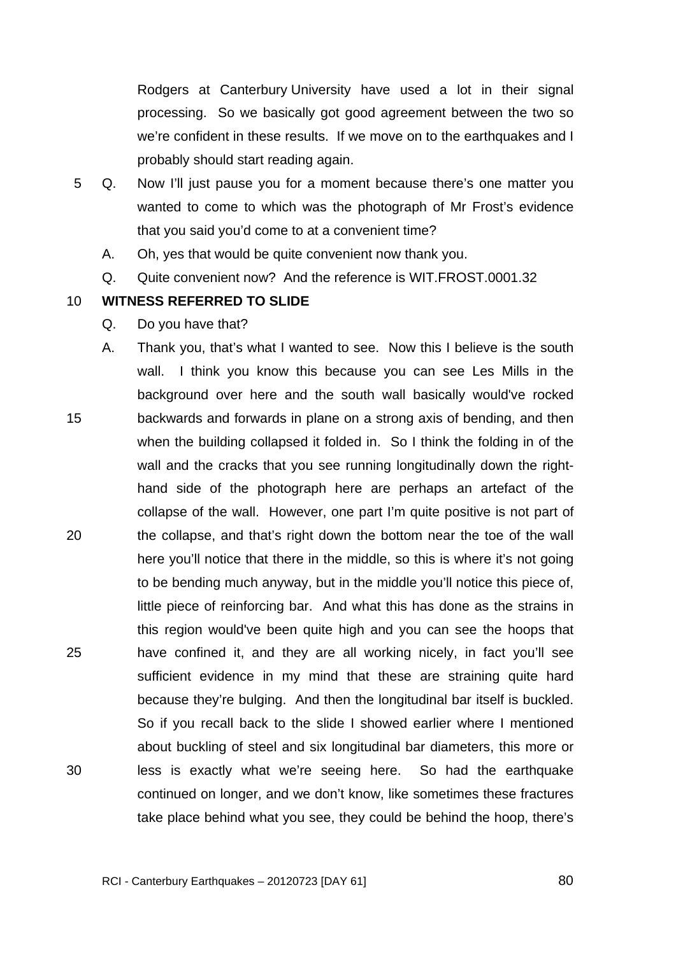Rodgers at Canterbury University have used a lot in their signal processing. So we basically got good agreement between the two so we're confident in these results. If we move on to the earthquakes and I probably should start reading again.

- 5 Q. Now I'll just pause you for a moment because there's one matter you wanted to come to which was the photograph of Mr Frost's evidence that you said you'd come to at a convenient time?
	- A. Oh, yes that would be quite convenient now thank you.
	- Q. Quite convenient now? And the reference is WIT.FROST.0001.32

10 **WITNESS REFERRED TO SLIDE** 

- Q. Do you have that?
- 15 20 25 30 A. Thank you, that's what I wanted to see. Now this I believe is the south wall. I think you know this because you can see Les Mills in the background over here and the south wall basically would've rocked backwards and forwards in plane on a strong axis of bending, and then when the building collapsed it folded in. So I think the folding in of the wall and the cracks that you see running longitudinally down the righthand side of the photograph here are perhaps an artefact of the collapse of the wall. However, one part I'm quite positive is not part of the collapse, and that's right down the bottom near the toe of the wall here you'll notice that there in the middle, so this is where it's not going to be bending much anyway, but in the middle you'll notice this piece of, little piece of reinforcing bar. And what this has done as the strains in this region would've been quite high and you can see the hoops that have confined it, and they are all working nicely, in fact you'll see sufficient evidence in my mind that these are straining quite hard because they're bulging. And then the longitudinal bar itself is buckled. So if you recall back to the slide I showed earlier where I mentioned about buckling of steel and six longitudinal bar diameters, this more or less is exactly what we're seeing here. So had the earthquake continued on longer, and we don't know, like sometimes these fractures take place behind what you see, they could be behind the hoop, there's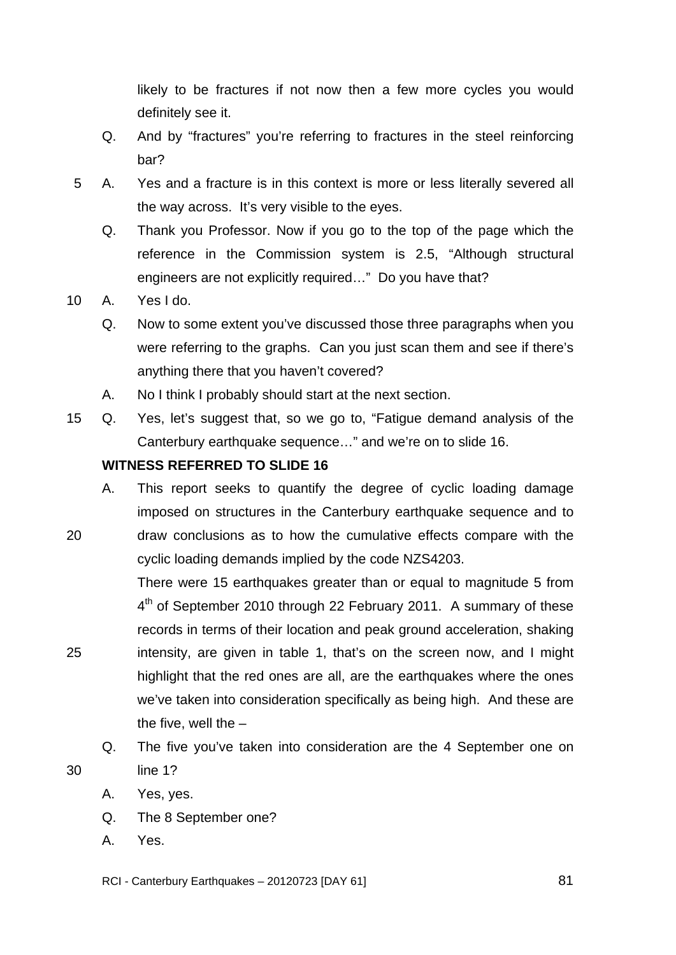likely to be fractures if not now then a few more cycles you would definitely see it.

- Q. And by "fractures" you're referring to fractures in the steel reinforcing bar?
- 5 A. Yes and a fracture is in this context is more or less literally severed all the way across. It's very visible to the eyes.
	- Q. Thank you Professor. Now if you go to the top of the page which the reference in the Commission system is 2.5, "Although structural engineers are not explicitly required…" Do you have that?
- 10 A. Yes I do.
	- Q. Now to some extent you've discussed those three paragraphs when you were referring to the graphs. Can you just scan them and see if there's anything there that you haven't covered?
	- A. No I think I probably should start at the next section.
- 15 Q. Yes, let's suggest that, so we go to, "Fatigue demand analysis of the Canterbury earthquake sequence…" and we're on to slide 16.

# **WITNESS REFERRED TO SLIDE 16**

- A. This report seeks to quantify the degree of cyclic loading damage imposed on structures in the Canterbury earthquake sequence and to
- 20 draw conclusions as to how the cumulative effects compare with the cyclic loading demands implied by the code NZS4203.

There were 15 earthquakes greater than or equal to magnitude 5 from 4<sup>th</sup> of September 2010 through 22 February 2011. A summary of these records in terms of their location and peak ground acceleration, shaking intensity, are given in table 1, that's on the screen now, and I might highlight that the red ones are all, are the earthquakes where the ones we've taken into consideration specifically as being high. And these are the five, well the  $-$ 

- Q. The five you've taken into consideration are the 4 September one on line 1?
- A. Yes, yes.
- Q. The 8 September one?
- A. Yes.

25

30

RCI - Canterbury Earthquakes – 20120723 [DAY 61]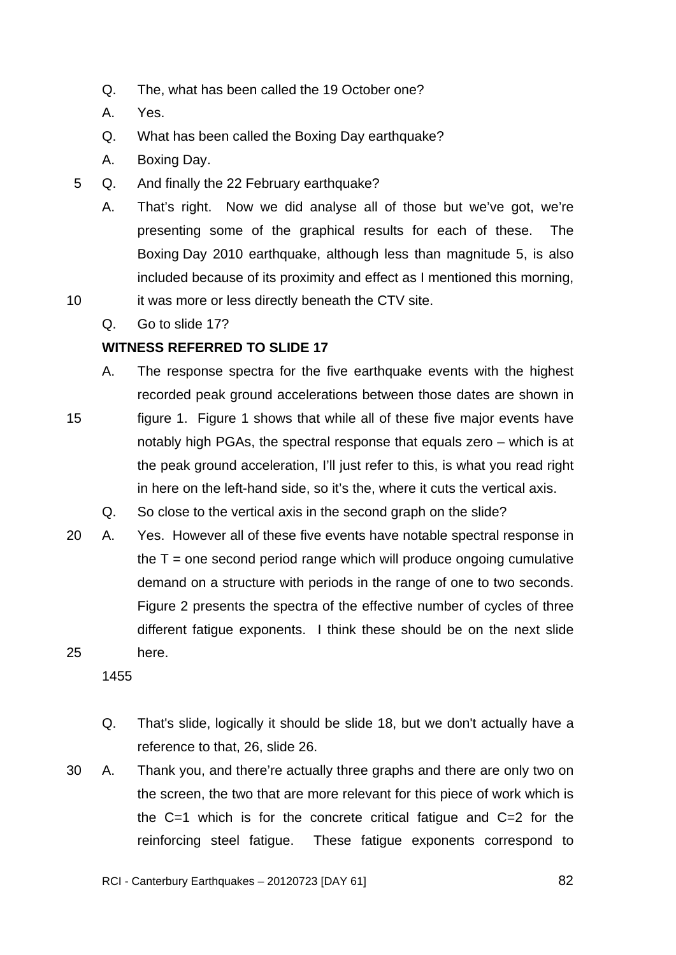- Q. The, what has been called the 19 October one?
- A. Yes.
- Q. What has been called the Boxing Day earthquake?
- A. Boxing Day.
- 5 Q. And finally the 22 February earthquake?
	- A. That's right. Now we did analyse all of those but we've got, we're presenting some of the graphical results for each of these. The Boxing Day 2010 earthquake, although less than magnitude 5, is also included because of its proximity and effect as I mentioned this morning,
- 10 it was more or less directly beneath the CTV site.
	- Q. Go to slide 17?

# **WITNESS REFERRED TO SLIDE 17**

- A. The response spectra for the five earthquake events with the highest recorded peak ground accelerations between those dates are shown in
- 15 figure 1. Figure 1 shows that while all of these five major events have notably high PGAs, the spectral response that equals zero – which is at the peak ground acceleration, I'll just refer to this, is what you read right in here on the left-hand side, so it's the, where it cuts the vertical axis.
	- Q. So close to the vertical axis in the second graph on the slide?
- 25 20 A. Yes. However all of these five events have notable spectral response in the  $T =$  one second period range which will produce ongoing cumulative demand on a structure with periods in the range of one to two seconds. Figure 2 presents the spectra of the effective number of cycles of three different fatigue exponents. I think these should be on the next slide here.
	- 1455
	- Q. That's slide, logically it should be slide 18, but we don't actually have a reference to that, 26, slide 26.
- 30 A. Thank you, and there're actually three graphs and there are only two on the screen, the two that are more relevant for this piece of work which is the C=1 which is for the concrete critical fatigue and C=2 for the reinforcing steel fatigue. These fatigue exponents correspond to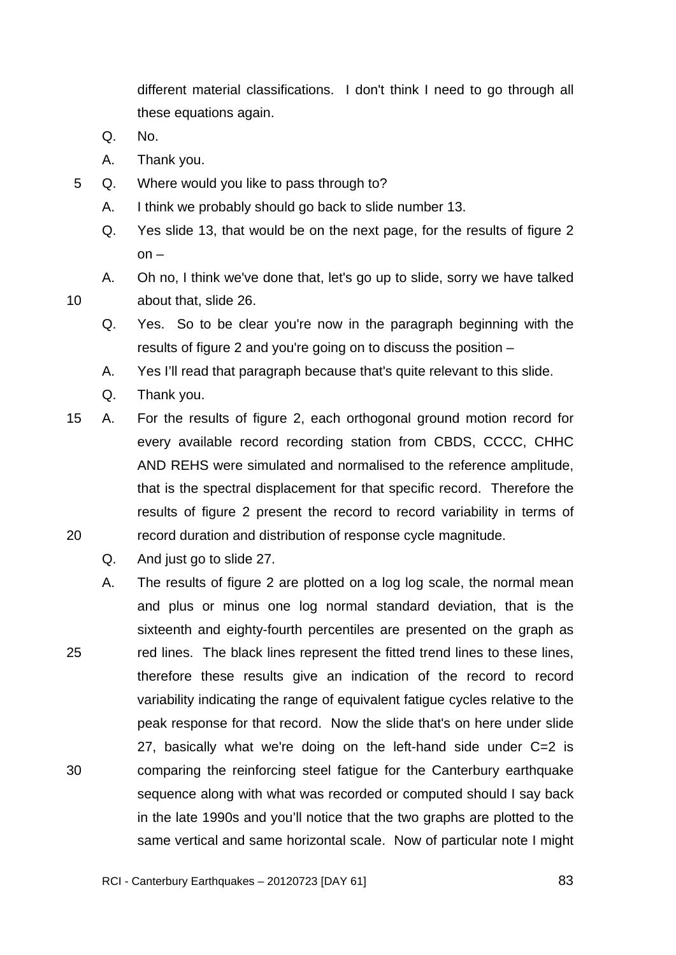different material classifications. I don't think I need to go through all these equations again.

Q. No.

- A. Thank you.
- 5 Q. Where would you like to pass through to?
	- A. I think we probably should go back to slide number 13.
	- Q. Yes slide 13, that would be on the next page, for the results of figure 2  $on -$
	- A. Oh no, I think we've done that, let's go up to slide, sorry we have talked about that, slide 26.
	- Q. Yes. So to be clear you're now in the paragraph beginning with the results of figure 2 and you're going on to discuss the position –
	- A. Yes I'll read that paragraph because that's quite relevant to this slide.
	- Q. Thank you.
- 20 15 A. For the results of figure 2, each orthogonal ground motion record for every available record recording station from CBDS, CCCC, CHHC AND REHS were simulated and normalised to the reference amplitude, that is the spectral displacement for that specific record. Therefore the results of figure 2 present the record to record variability in terms of record duration and distribution of response cycle magnitude.
	- Q. And just go to slide 27.
- 25 30 A. The results of figure 2 are plotted on a log log scale, the normal mean and plus or minus one log normal standard deviation, that is the sixteenth and eighty-fourth percentiles are presented on the graph as red lines. The black lines represent the fitted trend lines to these lines, therefore these results give an indication of the record to record variability indicating the range of equivalent fatigue cycles relative to the peak response for that record. Now the slide that's on here under slide 27, basically what we're doing on the left-hand side under C=2 is comparing the reinforcing steel fatigue for the Canterbury earthquake sequence along with what was recorded or computed should I say back in the late 1990s and you'll notice that the two graphs are plotted to the same vertical and same horizontal scale. Now of particular note I might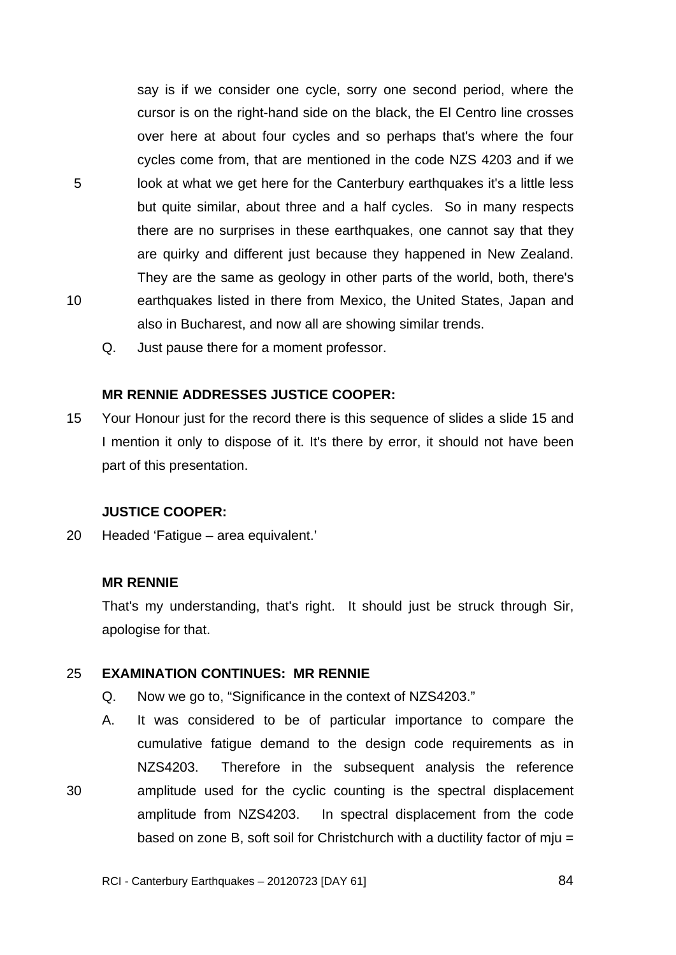say is if we consider one cycle, sorry one second period, where the cursor is on the right-hand side on the black, the El Centro line crosses over here at about four cycles and so perhaps that's where the four cycles come from, that are mentioned in the code NZS 4203 and if we look at what we get here for the Canterbury earthquakes it's a little less but quite similar, about three and a half cycles. So in many respects there are no surprises in these earthquakes, one cannot say that they are quirky and different just because they happened in New Zealand. They are the same as geology in other parts of the world, both, there's earthquakes listed in there from Mexico, the United States, Japan and also in Bucharest, and now all are showing similar trends.

Q. Just pause there for a moment professor.

#### **MR RENNIE ADDRESSES JUSTICE COOPER:**

15 Your Honour just for the record there is this sequence of slides a slide 15 and I mention it only to dispose of it. It's there by error, it should not have been part of this presentation.

#### **JUSTICE COOPER:**

20 Headed 'Fatigue – area equivalent.'

#### **MR RENNIE**

5

10

30

That's my understanding, that's right. It should just be struck through Sir, apologise for that.

#### 25 **EXAMINATION CONTINUES: MR RENNIE**

- Q. Now we go to, "Significance in the context of NZS4203."
- A. It was considered to be of particular importance to compare the cumulative fatigue demand to the design code requirements as in NZS4203. Therefore in the subsequent analysis the reference amplitude used for the cyclic counting is the spectral displacement amplitude from NZS4203. In spectral displacement from the code based on zone B, soft soil for Christchurch with a ductility factor of mju =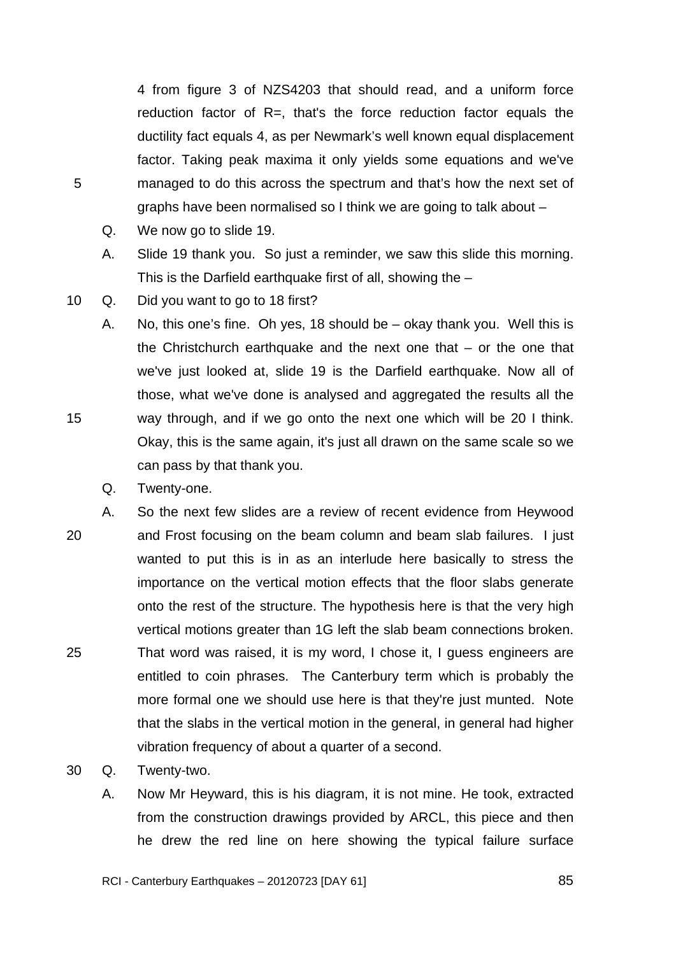4 from figure 3 of NZS4203 that should read, and a uniform force reduction factor of R=, that's the force reduction factor equals the ductility fact equals 4, as per Newmark's well known equal displacement factor. Taking peak maxima it only yields some equations and we've managed to do this across the spectrum and that's how the next set of graphs have been normalised so I think we are going to talk about –

Q. We now go to slide 19.

5

- A. Slide 19 thank you. So just a reminder, we saw this slide this morning. This is the Darfield earthquake first of all, showing the –
- 10 Q. Did you want to go to 18 first?
	- A. No, this one's fine. Oh yes, 18 should be okay thank you. Well this is the Christchurch earthquake and the next one that – or the one that we've just looked at, slide 19 is the Darfield earthquake. Now all of those, what we've done is analysed and aggregated the results all the way through, and if we go onto the next one which will be 20 I think. Okay, this is the same again, it's just all drawn on the same scale so we can pass by that thank you.
		- Q. Twenty-one.
- 20 25 A. So the next few slides are a review of recent evidence from Heywood and Frost focusing on the beam column and beam slab failures. I just wanted to put this is in as an interlude here basically to stress the importance on the vertical motion effects that the floor slabs generate onto the rest of the structure. The hypothesis here is that the very high vertical motions greater than 1G left the slab beam connections broken. That word was raised, it is my word, I chose it, I guess engineers are entitled to coin phrases. The Canterbury term which is probably the more formal one we should use here is that they're just munted. Note that the slabs in the vertical motion in the general, in general had higher vibration frequency of about a quarter of a second.
- 30 Q. Twenty-two.
	- A. Now Mr Heyward, this is his diagram, it is not mine. He took, extracted from the construction drawings provided by ARCL, this piece and then he drew the red line on here showing the typical failure surface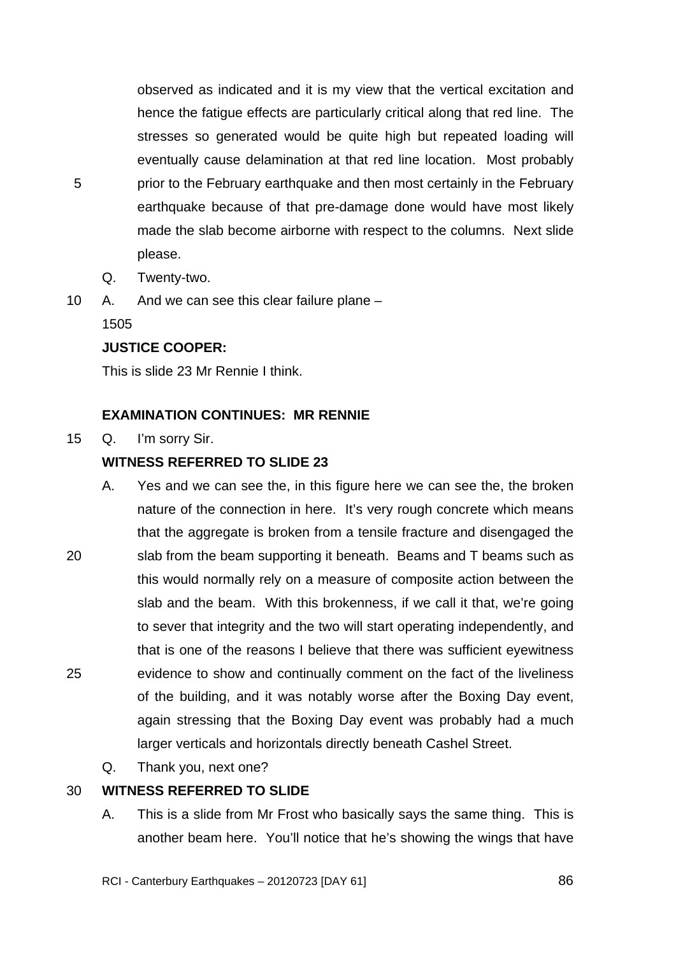observed as indicated and it is my view that the vertical excitation and hence the fatigue effects are particularly critical along that red line. The stresses so generated would be quite high but repeated loading will eventually cause delamination at that red line location. Most probably prior to the February earthquake and then most certainly in the February earthquake because of that pre-damage done would have most likely made the slab become airborne with respect to the columns. Next slide please.

- Q. Twenty-two.
- 10 A. And we can see this clear failure plane –

1505

5

# **JUSTICE COOPER:**

This is slide 23 Mr Rennie I think.

# **EXAMINATION CONTINUES: MR RENNIE**

15 Q. I'm sorry Sir.

# **WITNESS REFERRED TO SLIDE 23**

- 20 25 A. Yes and we can see the, in this figure here we can see the, the broken nature of the connection in here. It's very rough concrete which means that the aggregate is broken from a tensile fracture and disengaged the slab from the beam supporting it beneath. Beams and T beams such as this would normally rely on a measure of composite action between the slab and the beam. With this brokenness, if we call it that, we're going to sever that integrity and the two will start operating independently, and that is one of the reasons I believe that there was sufficient eyewitness evidence to show and continually comment on the fact of the liveliness of the building, and it was notably worse after the Boxing Day event, again stressing that the Boxing Day event was probably had a much larger verticals and horizontals directly beneath Cashel Street.
	- Q. Thank you, next one?

#### 30 **WITNESS REFERRED TO SLIDE**

A. This is a slide from Mr Frost who basically says the same thing. This is another beam here. You'll notice that he's showing the wings that have

RCI - Canterbury Earthquakes – 20120723 [DAY 61]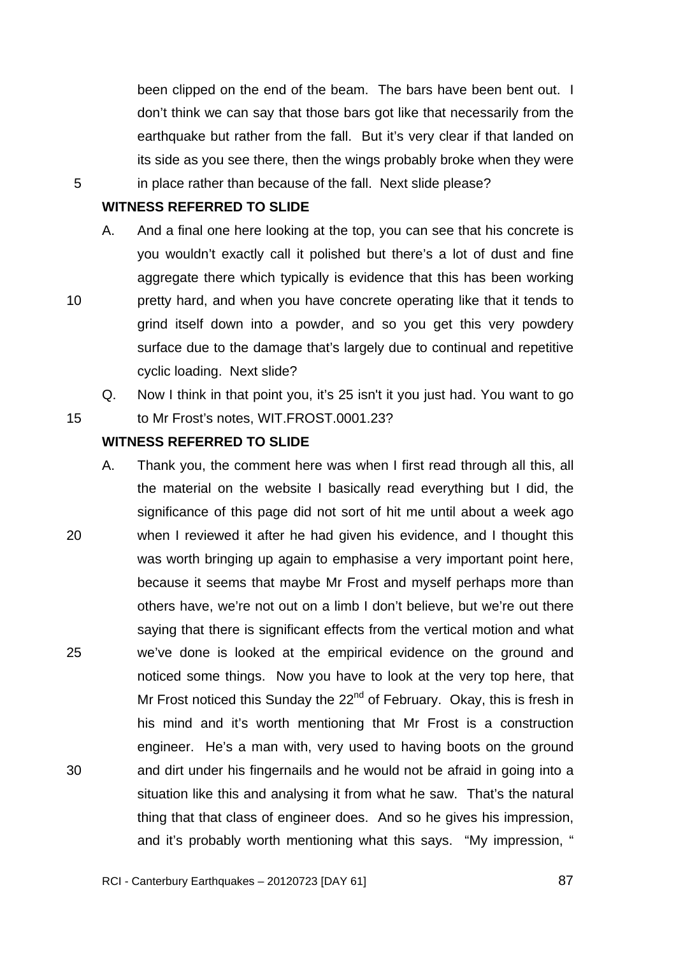been clipped on the end of the beam. The bars have been bent out. I don't think we can say that those bars got like that necessarily from the earthquake but rather from the fall. But it's very clear if that landed on its side as you see there, then the wings probably broke when they were in place rather than because of the fall. Next slide please?

# **WITNESS REFERRED TO SLIDE**

5

10

15

- A. And a final one here looking at the top, you can see that his concrete is you wouldn't exactly call it polished but there's a lot of dust and fine aggregate there which typically is evidence that this has been working pretty hard, and when you have concrete operating like that it tends to grind itself down into a powder, and so you get this very powdery surface due to the damage that's largely due to continual and repetitive cyclic loading. Next slide?
	- Q. Now I think in that point you, it's 25 isn't it you just had. You want to go

to Mr Frost's notes, WIT.FROST.0001.23?

# **WITNESS REFERRED TO SLIDE**

20 25 30 A. Thank you, the comment here was when I first read through all this, all the material on the website I basically read everything but I did, the significance of this page did not sort of hit me until about a week ago when I reviewed it after he had given his evidence, and I thought this was worth bringing up again to emphasise a very important point here, because it seems that maybe Mr Frost and myself perhaps more than others have, we're not out on a limb I don't believe, but we're out there saying that there is significant effects from the vertical motion and what we've done is looked at the empirical evidence on the ground and noticed some things. Now you have to look at the very top here, that Mr Frost noticed this Sunday the  $22^{nd}$  of February. Okay, this is fresh in his mind and it's worth mentioning that Mr Frost is a construction engineer. He's a man with, very used to having boots on the ground and dirt under his fingernails and he would not be afraid in going into a situation like this and analysing it from what he saw. That's the natural thing that that class of engineer does. And so he gives his impression, and it's probably worth mentioning what this says. "My impression, "

<u>**87 (1992)**</u>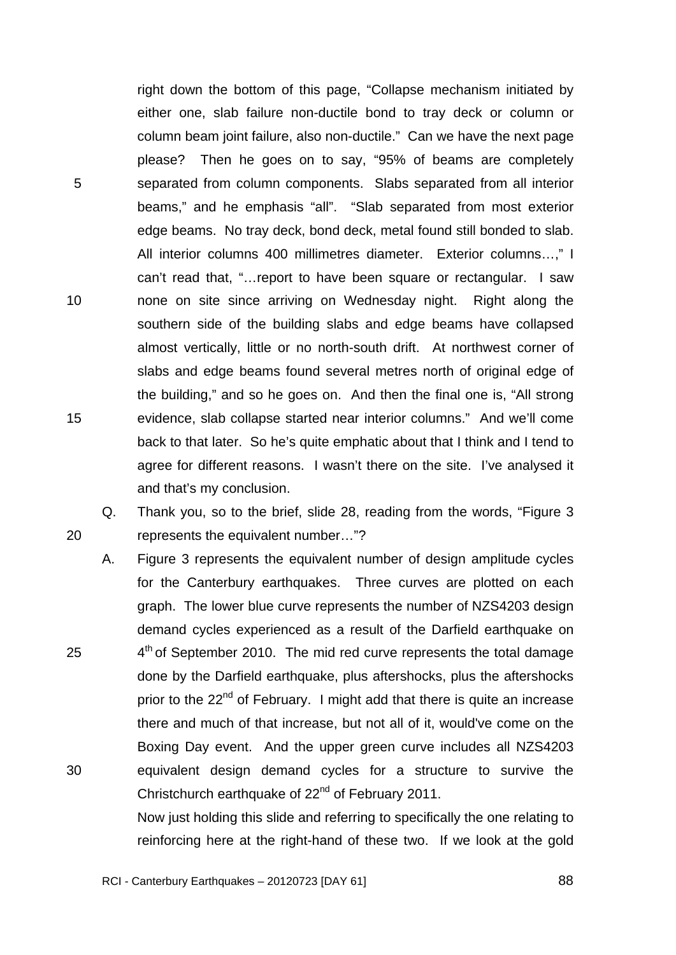right down the bottom of this page, "Collapse mechanism initiated by either one, slab failure non-ductile bond to tray deck or column or column beam joint failure, also non-ductile." Can we have the next page please? Then he goes on to say, "95% of beams are completely separated from column components. Slabs separated from all interior beams," and he emphasis "all". "Slab separated from most exterior edge beams. No tray deck, bond deck, metal found still bonded to slab. All interior columns 400 millimetres diameter. Exterior columns…," I can't read that, "…report to have been square or rectangular. I saw none on site since arriving on Wednesday night. Right along the southern side of the building slabs and edge beams have collapsed almost vertically, little or no north-south drift. At northwest corner of slabs and edge beams found several metres north of original edge of the building," and so he goes on. And then the final one is, "All strong evidence, slab collapse started near interior columns." And we'll come back to that later. So he's quite emphatic about that I think and I tend to agree for different reasons. I wasn't there on the site. I've analysed it and that's my conclusion.

5

10

15

20

25

30

Q. Thank you, so to the brief, slide 28, reading from the words, "Figure 3 represents the equivalent number…"?

A. Figure 3 represents the equivalent number of design amplitude cycles for the Canterbury earthquakes. Three curves are plotted on each graph. The lower blue curve represents the number of NZS4203 design demand cycles experienced as a result of the Darfield earthquake on  $4<sup>th</sup>$  of September 2010. The mid red curve represents the total damage done by the Darfield earthquake, plus aftershocks, plus the aftershocks prior to the  $22^{nd}$  of February. I might add that there is quite an increase there and much of that increase, but not all of it, would've come on the Boxing Day event. And the upper green curve includes all NZS4203 equivalent design demand cycles for a structure to survive the Christchurch earthquake of 22<sup>nd</sup> of February 2011.

Now just holding this slide and referring to specifically the one relating to reinforcing here at the right-hand of these two. If we look at the gold

RCI - Canterbury Earthquakes – 20120723 [DAY 61]

<u>**88 and 2012 and 2013 and 2014 and 2014 and 2014 and 2014 and 2014 and 2014 and 2014 and 2014 and 2014 and 201**</u>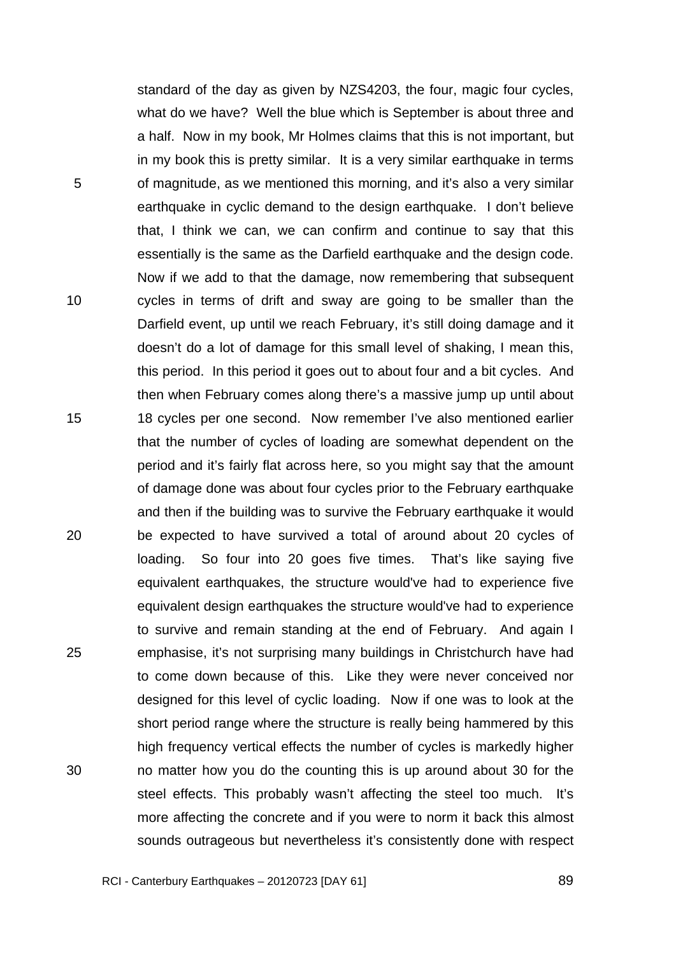standard of the day as given by NZS4203, the four, magic four cycles, what do we have? Well the blue which is September is about three and a half. Now in my book, Mr Holmes claims that this is not important, but in my book this is pretty similar. It is a very similar earthquake in terms of magnitude, as we mentioned this morning, and it's also a very similar earthquake in cyclic demand to the design earthquake. I don't believe that, I think we can, we can confirm and continue to say that this essentially is the same as the Darfield earthquake and the design code. Now if we add to that the damage, now remembering that subsequent cycles in terms of drift and sway are going to be smaller than the Darfield event, up until we reach February, it's still doing damage and it doesn't do a lot of damage for this small level of shaking, I mean this, this period. In this period it goes out to about four and a bit cycles. And then when February comes along there's a massive jump up until about 18 cycles per one second. Now remember I've also mentioned earlier that the number of cycles of loading are somewhat dependent on the period and it's fairly flat across here, so you might say that the amount of damage done was about four cycles prior to the February earthquake and then if the building was to survive the February earthquake it would be expected to have survived a total of around about 20 cycles of loading. So four into 20 goes five times. That's like saying five equivalent earthquakes, the structure would've had to experience five equivalent design earthquakes the structure would've had to experience to survive and remain standing at the end of February. And again I emphasise, it's not surprising many buildings in Christchurch have had to come down because of this. Like they were never conceived nor designed for this level of cyclic loading. Now if one was to look at the short period range where the structure is really being hammered by this high frequency vertical effects the number of cycles is markedly higher no matter how you do the counting this is up around about 30 for the steel effects. This probably wasn't affecting the steel too much. It's more affecting the concrete and if you were to norm it back this almost sounds outrageous but nevertheless it's consistently done with respect

5

10

15

20

25

30

<u>1980 - Paul Barbara, poeta e a 1990 - Paul Barbara, poeta e a 1990 - Paul Barbara, poeta e a 1990 - Paul Barb</u>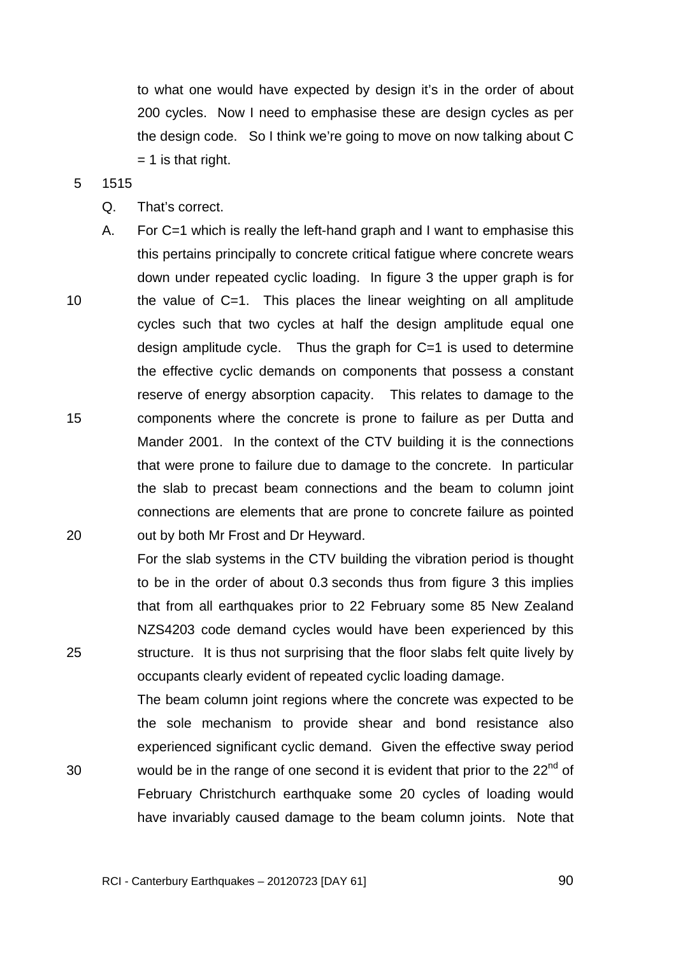to what one would have expected by design it's in the order of about 200 cycles. Now I need to emphasise these are design cycles as per the design code. So I think we're going to move on now talking about C  $= 1$  is that right.

#### 5 1515

25

30

- Q. That's correct.
- 10 15 20 A. For C=1 which is really the left-hand graph and I want to emphasise this this pertains principally to concrete critical fatigue where concrete wears down under repeated cyclic loading. In figure 3 the upper graph is for the value of C=1. This places the linear weighting on all amplitude cycles such that two cycles at half the design amplitude equal one design amplitude cycle. Thus the graph for  $C=1$  is used to determine the effective cyclic demands on components that possess a constant reserve of energy absorption capacity. This relates to damage to the components where the concrete is prone to failure as per Dutta and Mander 2001. In the context of the CTV building it is the connections that were prone to failure due to damage to the concrete. In particular the slab to precast beam connections and the beam to column joint connections are elements that are prone to concrete failure as pointed out by both Mr Frost and Dr Heyward.

For the slab systems in the CTV building the vibration period is thought to be in the order of about 0.3 seconds thus from figure 3 this implies that from all earthquakes prior to 22 February some 85 New Zealand NZS4203 code demand cycles would have been experienced by this structure. It is thus not surprising that the floor slabs felt quite lively by occupants clearly evident of repeated cyclic loading damage.

The beam column joint regions where the concrete was expected to be the sole mechanism to provide shear and bond resistance also experienced significant cyclic demand. Given the effective sway period would be in the range of one second it is evident that prior to the  $22<sup>nd</sup>$  of February Christchurch earthquake some 20 cycles of loading would have invariably caused damage to the beam column joints. Note that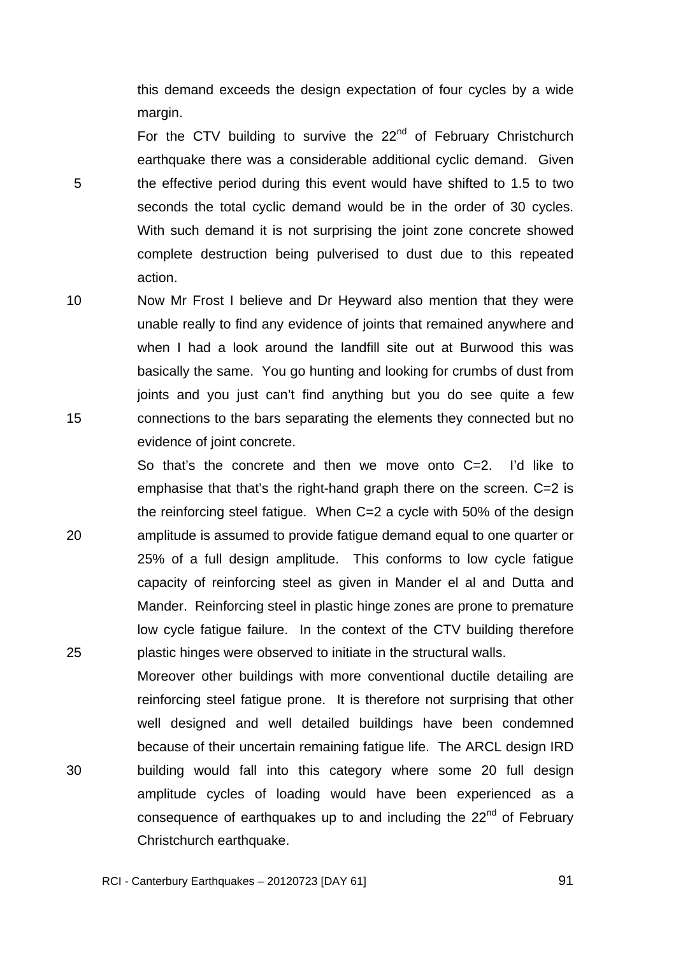this demand exceeds the design expectation of four cycles by a wide margin.

For the CTV building to survive the  $22<sup>nd</sup>$  of February Christchurch earthquake there was a considerable additional cyclic demand. Given the effective period during this event would have shifted to 1.5 to two seconds the total cyclic demand would be in the order of 30 cycles. With such demand it is not surprising the joint zone concrete showed complete destruction being pulverised to dust due to this repeated action.

5

20

25

10 15 Now Mr Frost I believe and Dr Heyward also mention that they were unable really to find any evidence of joints that remained anywhere and when I had a look around the landfill site out at Burwood this was basically the same. You go hunting and looking for crumbs of dust from joints and you just can't find anything but you do see quite a few connections to the bars separating the elements they connected but no evidence of joint concrete.

So that's the concrete and then we move onto C=2. I'd like to emphasise that that's the right-hand graph there on the screen. C=2 is the reinforcing steel fatigue. When C=2 a cycle with 50% of the design amplitude is assumed to provide fatigue demand equal to one quarter or 25% of a full design amplitude. This conforms to low cycle fatigue capacity of reinforcing steel as given in Mander el al and Dutta and Mander. Reinforcing steel in plastic hinge zones are prone to premature low cycle fatigue failure. In the context of the CTV building therefore plastic hinges were observed to initiate in the structural walls.

30 Moreover other buildings with more conventional ductile detailing are reinforcing steel fatigue prone. It is therefore not surprising that other well designed and well detailed buildings have been condemned because of their uncertain remaining fatigue life. The ARCL design IRD building would fall into this category where some 20 full design amplitude cycles of loading would have been experienced as a consequence of earthquakes up to and including the  $22<sup>nd</sup>$  of February Christchurch earthquake.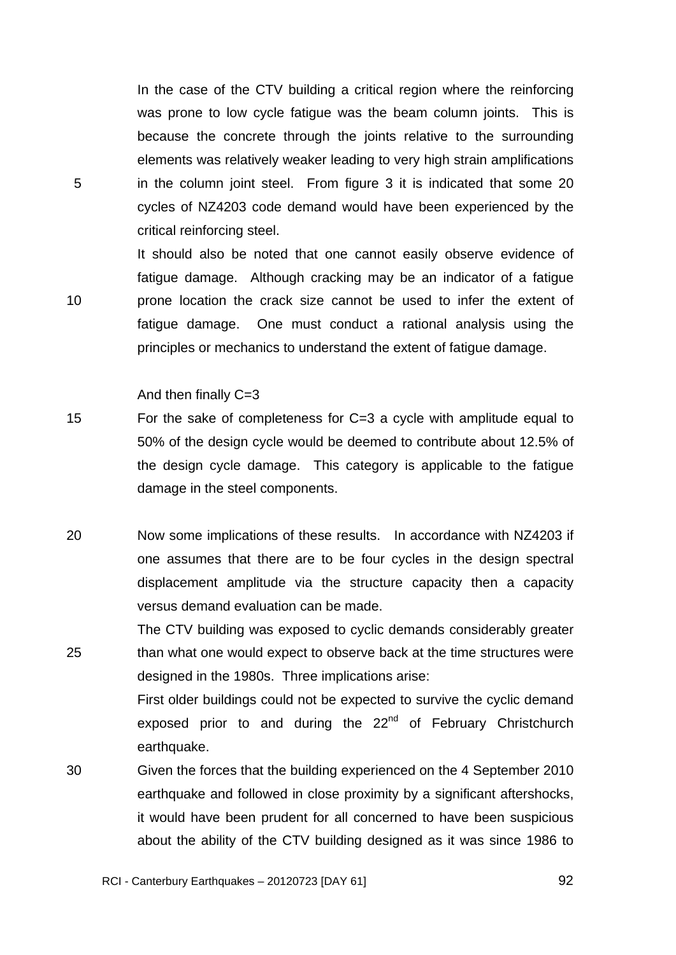In the case of the CTV building a critical region where the reinforcing was prone to low cycle fatigue was the beam column joints. This is because the concrete through the joints relative to the surrounding elements was relatively weaker leading to very high strain amplifications in the column joint steel. From figure 3 it is indicated that some 20 cycles of NZ4203 code demand would have been experienced by the critical reinforcing steel.

It should also be noted that one cannot easily observe evidence of fatigue damage. Although cracking may be an indicator of a fatigue prone location the crack size cannot be used to infer the extent of fatigue damage. One must conduct a rational analysis using the principles or mechanics to understand the extent of fatigue damage.

And then finally C=3

5

- 15 For the sake of completeness for C=3 a cycle with amplitude equal to 50% of the design cycle would be deemed to contribute about 12.5% of the design cycle damage. This category is applicable to the fatigue damage in the steel components.
- 20 Now some implications of these results. In accordance with NZ4203 if one assumes that there are to be four cycles in the design spectral displacement amplitude via the structure capacity then a capacity versus demand evaluation can be made.
- 25 The CTV building was exposed to cyclic demands considerably greater than what one would expect to observe back at the time structures were designed in the 1980s. Three implications arise: First older buildings could not be expected to survive the cyclic demand exposed prior to and during the  $22<sup>nd</sup>$  of February Christchurch earthquake.
- 30 Given the forces that the building experienced on the 4 September 2010 earthquake and followed in close proximity by a significant aftershocks, it would have been prudent for all concerned to have been suspicious about the ability of the CTV building designed as it was since 1986 to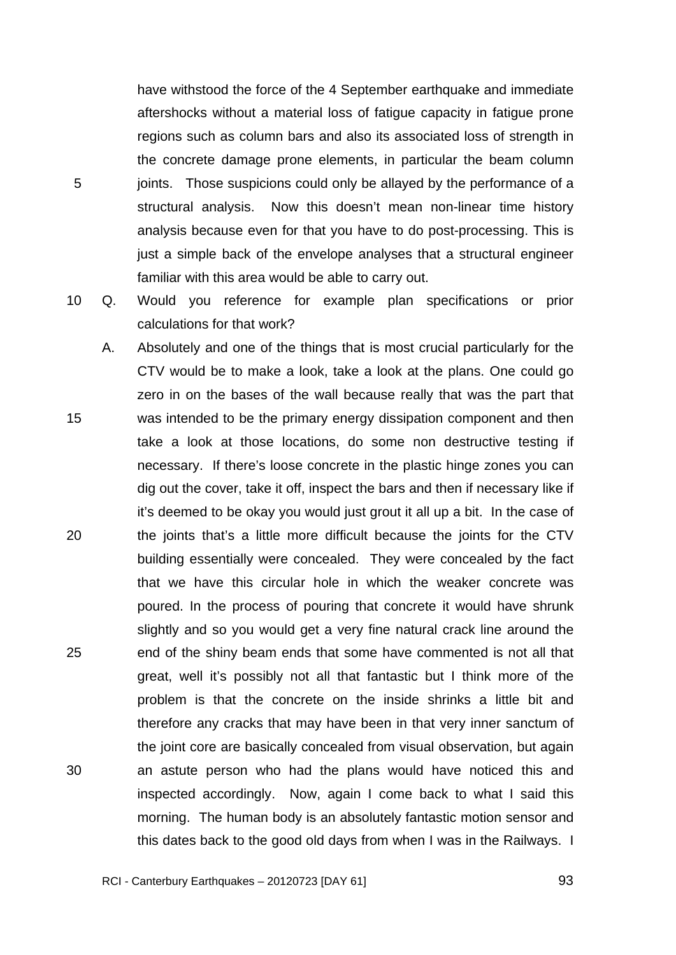have withstood the force of the 4 September earthquake and immediate aftershocks without a material loss of fatigue capacity in fatigue prone regions such as column bars and also its associated loss of strength in the concrete damage prone elements, in particular the beam column joints. Those suspicions could only be allayed by the performance of a structural analysis. Now this doesn't mean non-linear time history analysis because even for that you have to do post-processing. This is just a simple back of the envelope analyses that a structural engineer familiar with this area would be able to carry out.

5

10 Q. Would you reference for example plan specifications or prior calculations for that work?

15 20 25 30 A. Absolutely and one of the things that is most crucial particularly for the CTV would be to make a look, take a look at the plans. One could go zero in on the bases of the wall because really that was the part that was intended to be the primary energy dissipation component and then take a look at those locations, do some non destructive testing if necessary. If there's loose concrete in the plastic hinge zones you can dig out the cover, take it off, inspect the bars and then if necessary like if it's deemed to be okay you would just grout it all up a bit. In the case of the joints that's a little more difficult because the joints for the CTV building essentially were concealed. They were concealed by the fact that we have this circular hole in which the weaker concrete was poured. In the process of pouring that concrete it would have shrunk slightly and so you would get a very fine natural crack line around the end of the shiny beam ends that some have commented is not all that great, well it's possibly not all that fantastic but I think more of the problem is that the concrete on the inside shrinks a little bit and therefore any cracks that may have been in that very inner sanctum of the joint core are basically concealed from visual observation, but again an astute person who had the plans would have noticed this and inspected accordingly. Now, again I come back to what I said this morning. The human body is an absolutely fantastic motion sensor and this dates back to the good old days from when I was in the Railways. I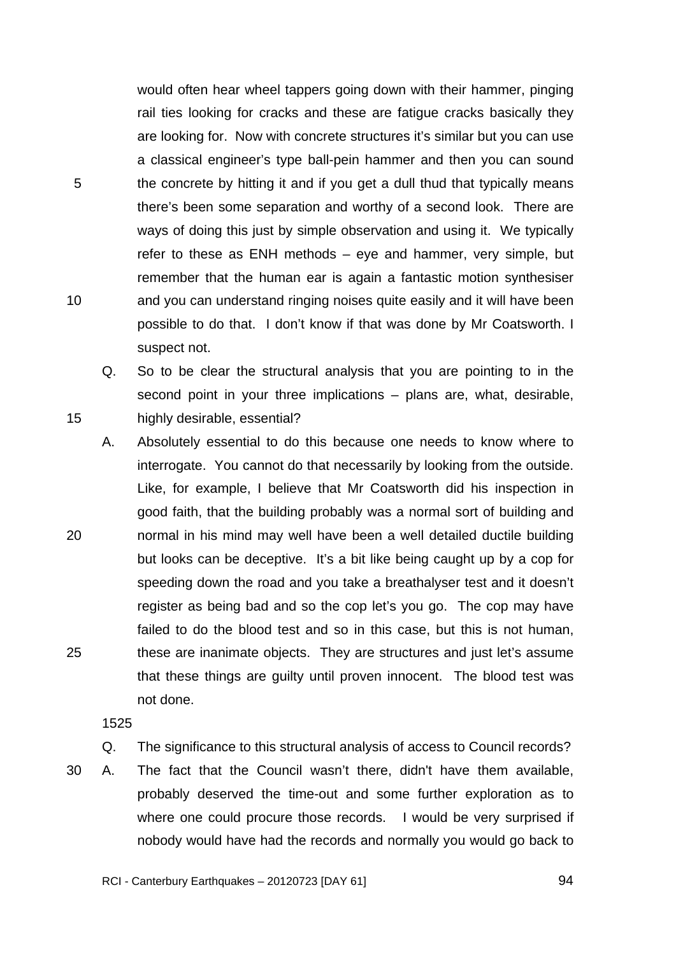would often hear wheel tappers going down with their hammer, pinging rail ties looking for cracks and these are fatigue cracks basically they are looking for. Now with concrete structures it's similar but you can use a classical engineer's type ball-pein hammer and then you can sound the concrete by hitting it and if you get a dull thud that typically means there's been some separation and worthy of a second look. There are ways of doing this just by simple observation and using it. We typically refer to these as ENH methods – eye and hammer, very simple, but remember that the human ear is again a fantastic motion synthesiser and you can understand ringing noises quite easily and it will have been possible to do that. I don't know if that was done by Mr Coatsworth. I suspect not.

Q. So to be clear the structural analysis that you are pointing to in the second point in your three implications – plans are, what, desirable, highly desirable, essential?

20 25 A. Absolutely essential to do this because one needs to know where to interrogate. You cannot do that necessarily by looking from the outside. Like, for example, I believe that Mr Coatsworth did his inspection in good faith, that the building probably was a normal sort of building and normal in his mind may well have been a well detailed ductile building but looks can be deceptive. It's a bit like being caught up by a cop for speeding down the road and you take a breathalyser test and it doesn't register as being bad and so the cop let's you go. The cop may have failed to do the blood test and so in this case, but this is not human, these are inanimate objects. They are structures and just let's assume that these things are guilty until proven innocent. The blood test was not done.

1525

5

10

- Q. The significance to this structural analysis of access to Council records?
- 30 A. The fact that the Council wasn't there, didn't have them available, probably deserved the time-out and some further exploration as to where one could procure those records. I would be very surprised if nobody would have had the records and normally you would go back to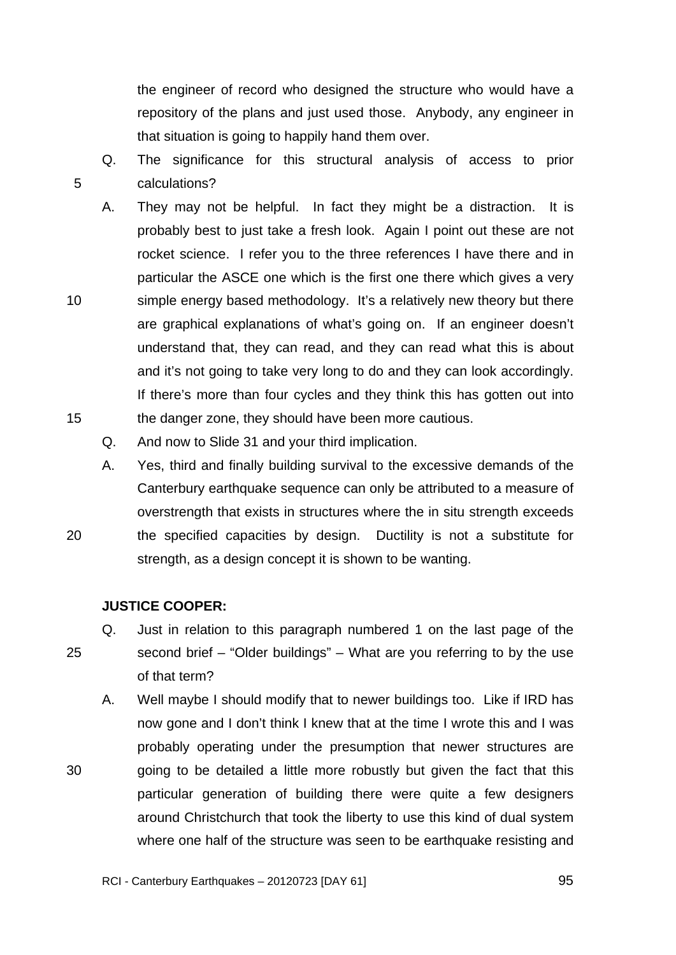the engineer of record who designed the structure who would have a repository of the plans and just used those. Anybody, any engineer in that situation is going to happily hand them over.

- Q. The significance for this structural analysis of access to prior calculations?
- A. They may not be helpful. In fact they might be a distraction. It is probably best to just take a fresh look. Again I point out these are not rocket science. I refer you to the three references I have there and in particular the ASCE one which is the first one there which gives a very simple energy based methodology. It's a relatively new theory but there are graphical explanations of what's going on. If an engineer doesn't understand that, they can read, and they can read what this is about and it's not going to take very long to do and they can look accordingly. If there's more than four cycles and they think this has gotten out into the danger zone, they should have been more cautious.
	- Q. And now to Slide 31 and your third implication.
- A. Yes, third and finally building survival to the excessive demands of the Canterbury earthquake sequence can only be attributed to a measure of overstrength that exists in structures where the in situ strength exceeds the specified capacities by design. Ductility is not a substitute for strength, as a design concept it is shown to be wanting.

#### **JUSTICE COOPER:**

5

10

15

20

25

30

- Q. Just in relation to this paragraph numbered 1 on the last page of the second brief – "Older buildings" – What are you referring to by the use of that term?
	- A. Well maybe I should modify that to newer buildings too. Like if IRD has now gone and I don't think I knew that at the time I wrote this and I was probably operating under the presumption that newer structures are going to be detailed a little more robustly but given the fact that this particular generation of building there were quite a few designers around Christchurch that took the liberty to use this kind of dual system where one half of the structure was seen to be earthquake resisting and

<u>95 and the contract of the contract of the contract of the contract of the contract of the contract of the con</u>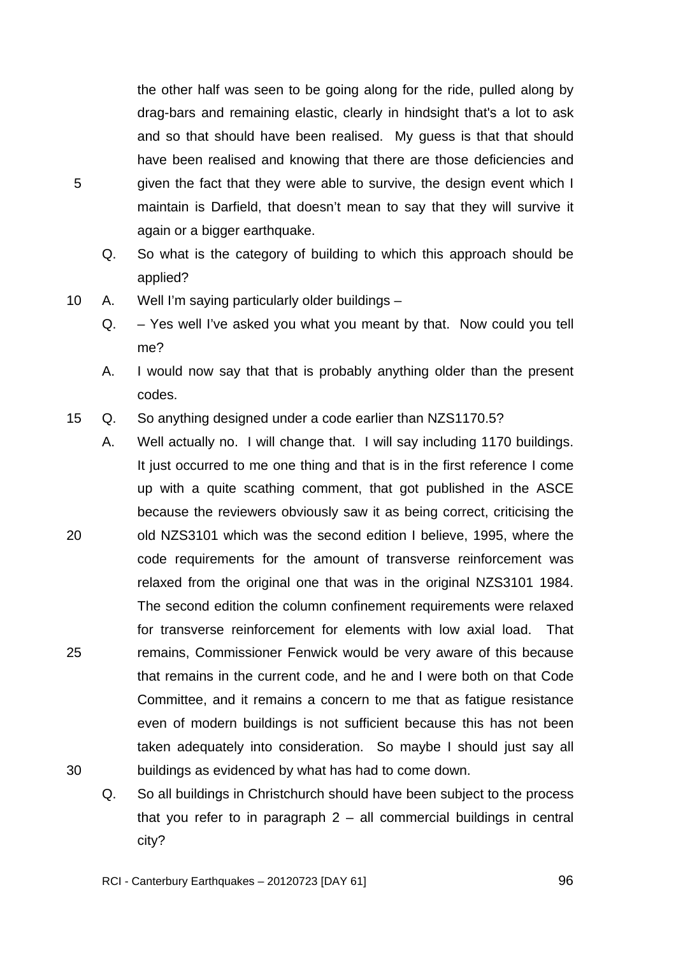the other half was seen to be going along for the ride, pulled along by drag-bars and remaining elastic, clearly in hindsight that's a lot to ask and so that should have been realised. My guess is that that should have been realised and knowing that there are those deficiencies and given the fact that they were able to survive, the design event which I maintain is Darfield, that doesn't mean to say that they will survive it again or a bigger earthquake.

- Q. So what is the category of building to which this approach should be applied?
- 10 A. Well I'm saying particularly older buildings
	- Q. Yes well I've asked you what you meant by that. Now could you tell me?
	- A. I would now say that that is probably anything older than the present codes.
- 15 Q. So anything designed under a code earlier than NZS1170.5?
- 20 25 30 A. Well actually no. I will change that. I will say including 1170 buildings. It just occurred to me one thing and that is in the first reference I come up with a quite scathing comment, that got published in the ASCE because the reviewers obviously saw it as being correct, criticising the old NZS3101 which was the second edition I believe, 1995, where the code requirements for the amount of transverse reinforcement was relaxed from the original one that was in the original NZS3101 1984. The second edition the column confinement requirements were relaxed for transverse reinforcement for elements with low axial load. That remains, Commissioner Fenwick would be very aware of this because that remains in the current code, and he and I were both on that Code Committee, and it remains a concern to me that as fatigue resistance even of modern buildings is not sufficient because this has not been taken adequately into consideration. So maybe I should just say all buildings as evidenced by what has had to come down.
	- Q. So all buildings in Christchurch should have been subject to the process that you refer to in paragraph 2 – all commercial buildings in central city?

5

<u>96 میں اس کا 1968ء کی اس کا 1968ء کی اس</u>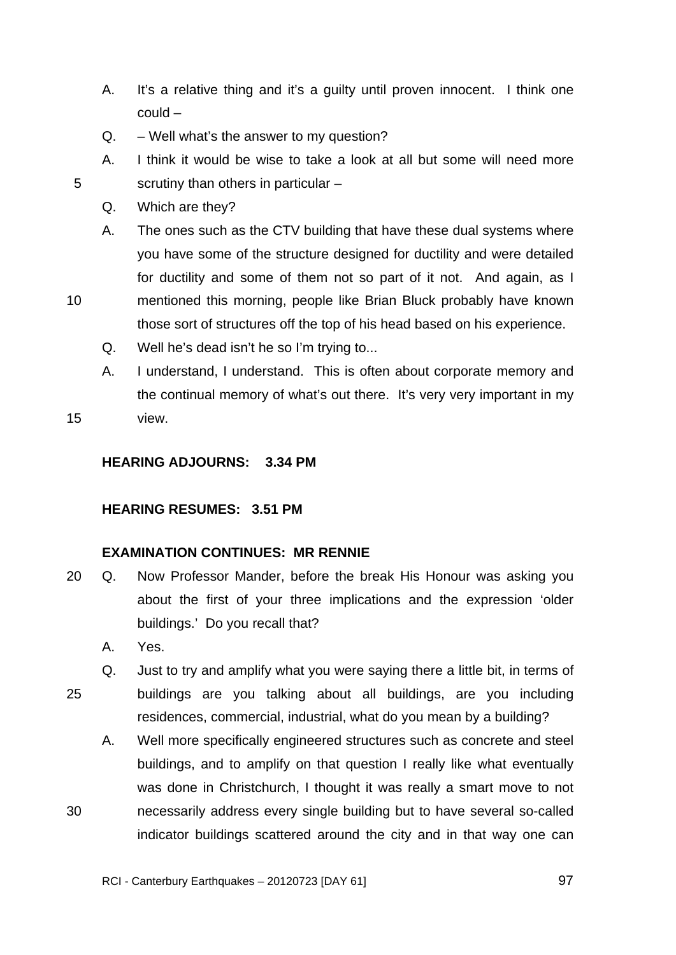- A. It's a relative thing and it's a guilty until proven innocent. I think one could –
- $Q. -$  Well what's the answer to my question?
- A. I think it would be wise to take a look at all but some will need more scrutiny than others in particular –
- Q. Which are they?

A. The ones such as the CTV building that have these dual systems where you have some of the structure designed for ductility and were detailed for ductility and some of them not so part of it not. And again, as I

- 10 mentioned this morning, people like Brian Bluck probably have known those sort of structures off the top of his head based on his experience.
	- Q. Well he's dead isn't he so I'm trying to...
	- A. I understand, I understand. This is often about corporate memory and the continual memory of what's out there. It's very very important in my view.
- 15

5

# **HEARING ADJOURNS: 3.34 PM**

#### **HEARING RESUMES: 3.51 PM**

# **EXAMINATION CONTINUES: MR RENNIE**

- 20 Q. Now Professor Mander, before the break His Honour was asking you about the first of your three implications and the expression 'older buildings.' Do you recall that?
	- A. Yes.

30

25 Q. Just to try and amplify what you were saying there a little bit, in terms of buildings are you talking about all buildings, are you including residences, commercial, industrial, what do you mean by a building?

A. Well more specifically engineered structures such as concrete and steel buildings, and to amplify on that question I really like what eventually was done in Christchurch, I thought it was really a smart move to not necessarily address every single building but to have several so-called indicator buildings scattered around the city and in that way one can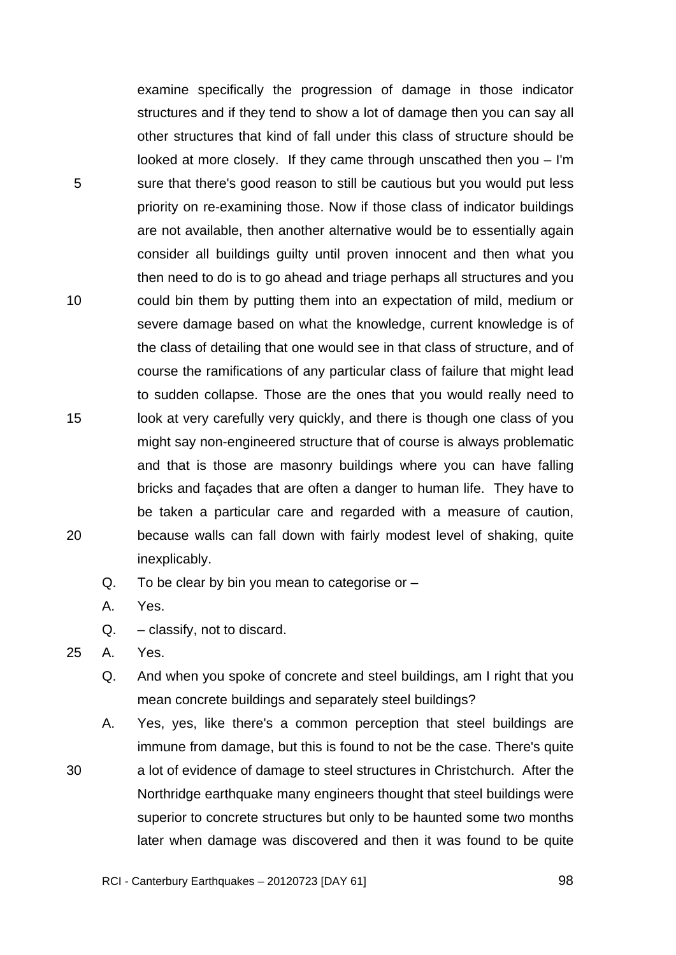5 10 15 20 examine specifically the progression of damage in those indicator structures and if they tend to show a lot of damage then you can say all other structures that kind of fall under this class of structure should be looked at more closely. If they came through unscathed then you – I'm sure that there's good reason to still be cautious but you would put less priority on re-examining those. Now if those class of indicator buildings are not available, then another alternative would be to essentially again consider all buildings guilty until proven innocent and then what you then need to do is to go ahead and triage perhaps all structures and you could bin them by putting them into an expectation of mild, medium or severe damage based on what the knowledge, current knowledge is of the class of detailing that one would see in that class of structure, and of course the ramifications of any particular class of failure that might lead to sudden collapse. Those are the ones that you would really need to look at very carefully very quickly, and there is though one class of you might say non-engineered structure that of course is always problematic and that is those are masonry buildings where you can have falling bricks and façades that are often a danger to human life. They have to be taken a particular care and regarded with a measure of caution, because walls can fall down with fairly modest level of shaking, quite inexplicably.

- $Q.$  To be clear by bin you mean to categorise or  $-$
- A. Yes.
- Q. classify, not to discard.
- 25 A. Yes.

30

- Q. And when you spoke of concrete and steel buildings, am I right that you mean concrete buildings and separately steel buildings?
- A. Yes, yes, like there's a common perception that steel buildings are immune from damage, but this is found to not be the case. There's quite a lot of evidence of damage to steel structures in Christchurch. After the Northridge earthquake many engineers thought that steel buildings were superior to concrete structures but only to be haunted some two months later when damage was discovered and then it was found to be quite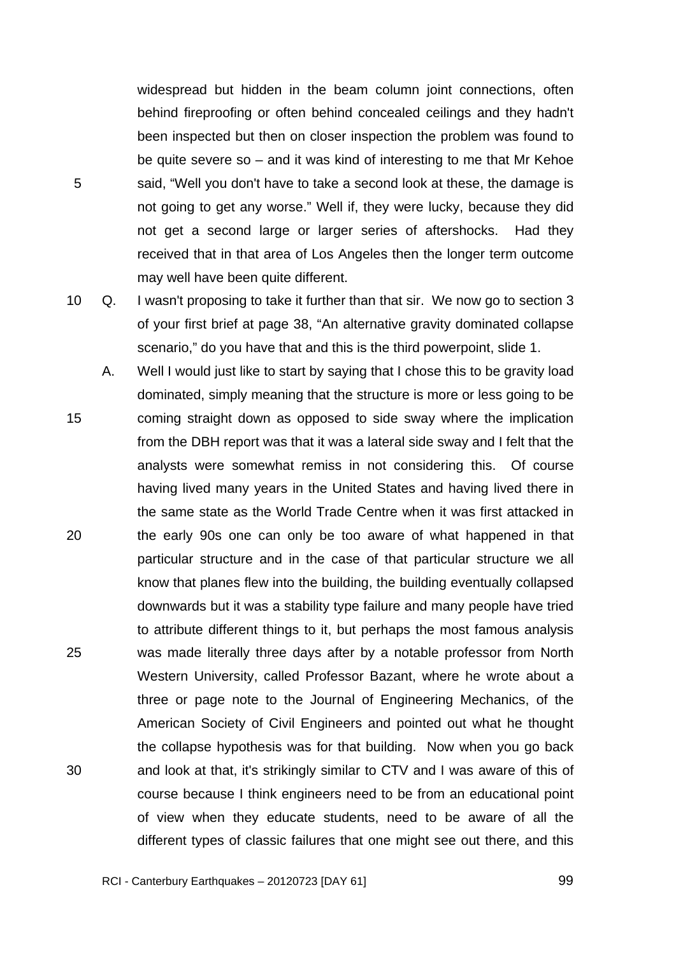widespread but hidden in the beam column joint connections, often behind fireproofing or often behind concealed ceilings and they hadn't been inspected but then on closer inspection the problem was found to be quite severe so – and it was kind of interesting to me that Mr Kehoe said, "Well you don't have to take a second look at these, the damage is not going to get any worse." Well if, they were lucky, because they did not get a second large or larger series of aftershocks. Had they received that in that area of Los Angeles then the longer term outcome may well have been quite different.

10 Q. I wasn't proposing to take it further than that sir. We now go to section 3 of your first brief at page 38, "An alternative gravity dominated collapse scenario," do you have that and this is the third powerpoint, slide 1.

5

15 20 25 30 A. Well I would just like to start by saying that I chose this to be gravity load dominated, simply meaning that the structure is more or less going to be coming straight down as opposed to side sway where the implication from the DBH report was that it was a lateral side sway and I felt that the analysts were somewhat remiss in not considering this. Of course having lived many years in the United States and having lived there in the same state as the World Trade Centre when it was first attacked in the early 90s one can only be too aware of what happened in that particular structure and in the case of that particular structure we all know that planes flew into the building, the building eventually collapsed downwards but it was a stability type failure and many people have tried to attribute different things to it, but perhaps the most famous analysis was made literally three days after by a notable professor from North Western University, called Professor Bazant, where he wrote about a three or page note to the Journal of Engineering Mechanics, of the American Society of Civil Engineers and pointed out what he thought the collapse hypothesis was for that building. Now when you go back and look at that, it's strikingly similar to CTV and I was aware of this of course because I think engineers need to be from an educational point of view when they educate students, need to be aware of all the different types of classic failures that one might see out there, and this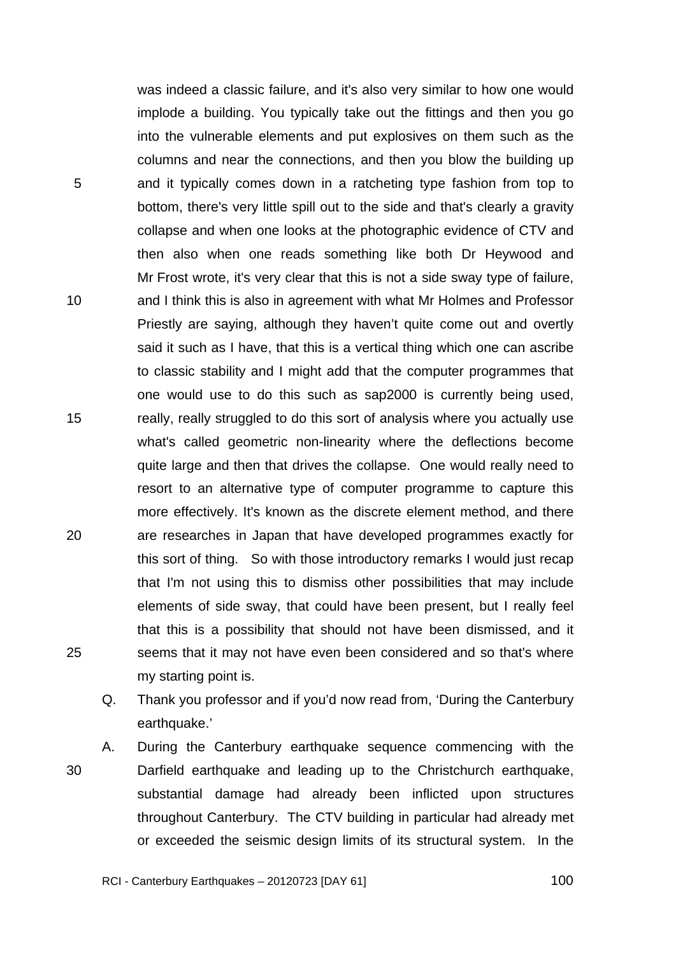was indeed a classic failure, and it's also very similar to how one would implode a building. You typically take out the fittings and then you go into the vulnerable elements and put explosives on them such as the columns and near the connections, and then you blow the building up and it typically comes down in a ratcheting type fashion from top to bottom, there's very little spill out to the side and that's clearly a gravity collapse and when one looks at the photographic evidence of CTV and then also when one reads something like both Dr Heywood and Mr Frost wrote, it's very clear that this is not a side sway type of failure, and I think this is also in agreement with what Mr Holmes and Professor Priestly are saying, although they haven't quite come out and overtly said it such as I have, that this is a vertical thing which one can ascribe to classic stability and I might add that the computer programmes that one would use to do this such as sap2000 is currently being used, really, really struggled to do this sort of analysis where you actually use what's called geometric non-linearity where the deflections become quite large and then that drives the collapse. One would really need to resort to an alternative type of computer programme to capture this more effectively. It's known as the discrete element method, and there are researches in Japan that have developed programmes exactly for this sort of thing. So with those introductory remarks I would just recap that I'm not using this to dismiss other possibilities that may include elements of side sway, that could have been present, but I really feel that this is a possibility that should not have been dismissed, and it seems that it may not have even been considered and so that's where my starting point is.

- Q. Thank you professor and if you'd now read from, 'During the Canterbury earthquake.'
- 30

5

10

15

20

25

A. During the Canterbury earthquake sequence commencing with the Darfield earthquake and leading up to the Christchurch earthquake, substantial damage had already been inflicted upon structures throughout Canterbury. The CTV building in particular had already met or exceeded the seismic design limits of its structural system. In the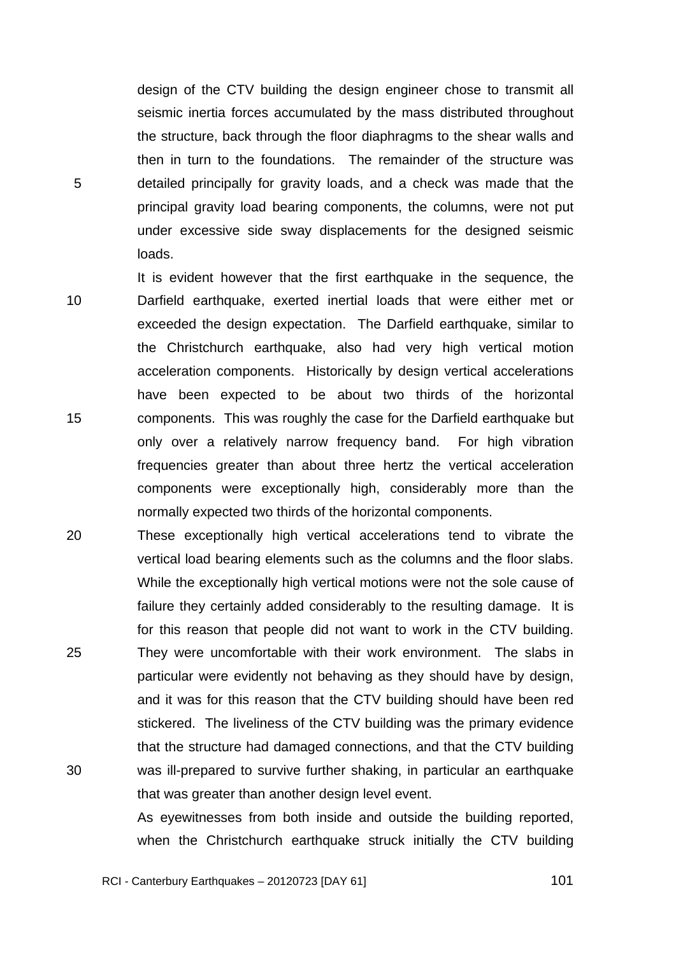design of the CTV building the design engineer chose to transmit all seismic inertia forces accumulated by the mass distributed throughout the structure, back through the floor diaphragms to the shear walls and then in turn to the foundations. The remainder of the structure was detailed principally for gravity loads, and a check was made that the principal gravity load bearing components, the columns, were not put under excessive side sway displacements for the designed seismic loads.

5

10 15 It is evident however that the first earthquake in the sequence, the Darfield earthquake, exerted inertial loads that were either met or exceeded the design expectation. The Darfield earthquake, similar to the Christchurch earthquake, also had very high vertical motion acceleration components. Historically by design vertical accelerations have been expected to be about two thirds of the horizontal components. This was roughly the case for the Darfield earthquake but only over a relatively narrow frequency band. For high vibration frequencies greater than about three hertz the vertical acceleration components were exceptionally high, considerably more than the normally expected two thirds of the horizontal components.

20 25 30 These exceptionally high vertical accelerations tend to vibrate the vertical load bearing elements such as the columns and the floor slabs. While the exceptionally high vertical motions were not the sole cause of failure they certainly added considerably to the resulting damage. It is for this reason that people did not want to work in the CTV building. They were uncomfortable with their work environment. The slabs in particular were evidently not behaving as they should have by design, and it was for this reason that the CTV building should have been red stickered. The liveliness of the CTV building was the primary evidence that the structure had damaged connections, and that the CTV building was ill-prepared to survive further shaking, in particular an earthquake that was greater than another design level event.

> As eyewitnesses from both inside and outside the building reported, when the Christchurch earthquake struck initially the CTV building

RCI - Canterbury Earthquakes – 20120723 [DAY 61]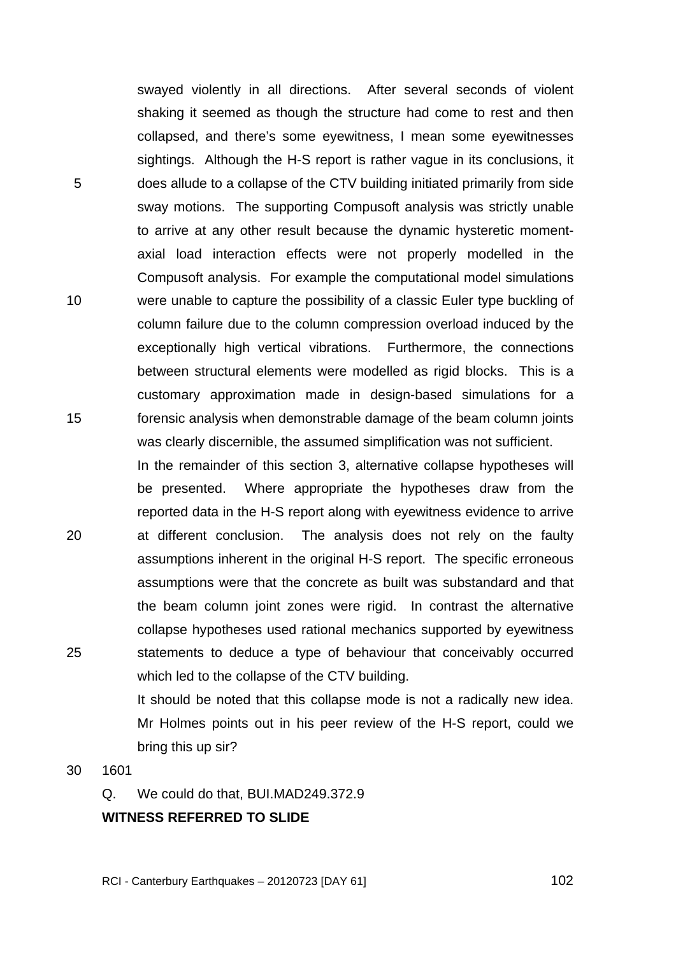swayed violently in all directions. After several seconds of violent shaking it seemed as though the structure had come to rest and then collapsed, and there's some eyewitness, I mean some eyewitnesses sightings. Although the H-S report is rather vague in its conclusions, it does allude to a collapse of the CTV building initiated primarily from side sway motions. The supporting Compusoft analysis was strictly unable to arrive at any other result because the dynamic hysteretic momentaxial load interaction effects were not properly modelled in the Compusoft analysis. For example the computational model simulations were unable to capture the possibility of a classic Euler type buckling of column failure due to the column compression overload induced by the exceptionally high vertical vibrations. Furthermore, the connections between structural elements were modelled as rigid blocks. This is a customary approximation made in design-based simulations for a forensic analysis when demonstrable damage of the beam column joints was clearly discernible, the assumed simplification was not sufficient.

20 25 In the remainder of this section 3, alternative collapse hypotheses will be presented. Where appropriate the hypotheses draw from the reported data in the H-S report along with eyewitness evidence to arrive at different conclusion. The analysis does not rely on the faulty assumptions inherent in the original H-S report. The specific erroneous assumptions were that the concrete as built was substandard and that the beam column joint zones were rigid. In contrast the alternative collapse hypotheses used rational mechanics supported by eyewitness statements to deduce a type of behaviour that conceivably occurred which led to the collapse of the CTV building.

> It should be noted that this collapse mode is not a radically new idea. Mr Holmes points out in his peer review of the H-S report, could we bring this up sir?

30 1601

5

10

15

Q. We could do that, BUI.MAD249.372.9

# **WITNESS REFERRED TO SLIDE**

RCI - Canterbury Earthquakes – 20120723 [DAY 61]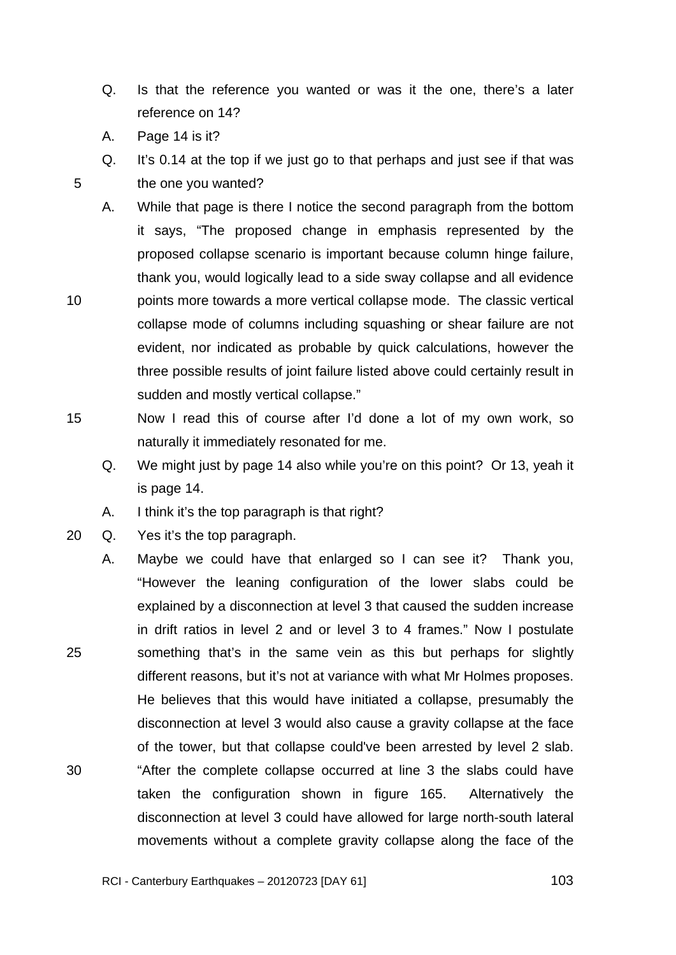- Q. Is that the reference you wanted or was it the one, there's a later reference on 14?
- A. Page 14 is it?

- Q. It's 0.14 at the top if we just go to that perhaps and just see if that was the one you wanted?
- A. While that page is there I notice the second paragraph from the bottom it says, "The proposed change in emphasis represented by the proposed collapse scenario is important because column hinge failure, thank you, would logically lead to a side sway collapse and all evidence
- 10 points more towards a more vertical collapse mode. The classic vertical collapse mode of columns including squashing or shear failure are not evident, nor indicated as probable by quick calculations, however the three possible results of joint failure listed above could certainly result in sudden and mostly vertical collapse."
- 15 Now I read this of course after I'd done a lot of my own work, so naturally it immediately resonated for me.
	- Q. We might just by page 14 also while you're on this point? Or 13, yeah it is page 14.
	- A. I think it's the top paragraph is that right?
- 20 Q. Yes it's the top paragraph.
- 25 30 A. Maybe we could have that enlarged so I can see it? Thank you, "However the leaning configuration of the lower slabs could be explained by a disconnection at level 3 that caused the sudden increase in drift ratios in level 2 and or level 3 to 4 frames." Now I postulate something that's in the same vein as this but perhaps for slightly different reasons, but it's not at variance with what Mr Holmes proposes. He believes that this would have initiated a collapse, presumably the disconnection at level 3 would also cause a gravity collapse at the face of the tower, but that collapse could've been arrested by level 2 slab. "After the complete collapse occurred at line 3 the slabs could have taken the configuration shown in figure 165. Alternatively the disconnection at level 3 could have allowed for large north-south lateral movements without a complete gravity collapse along the face of the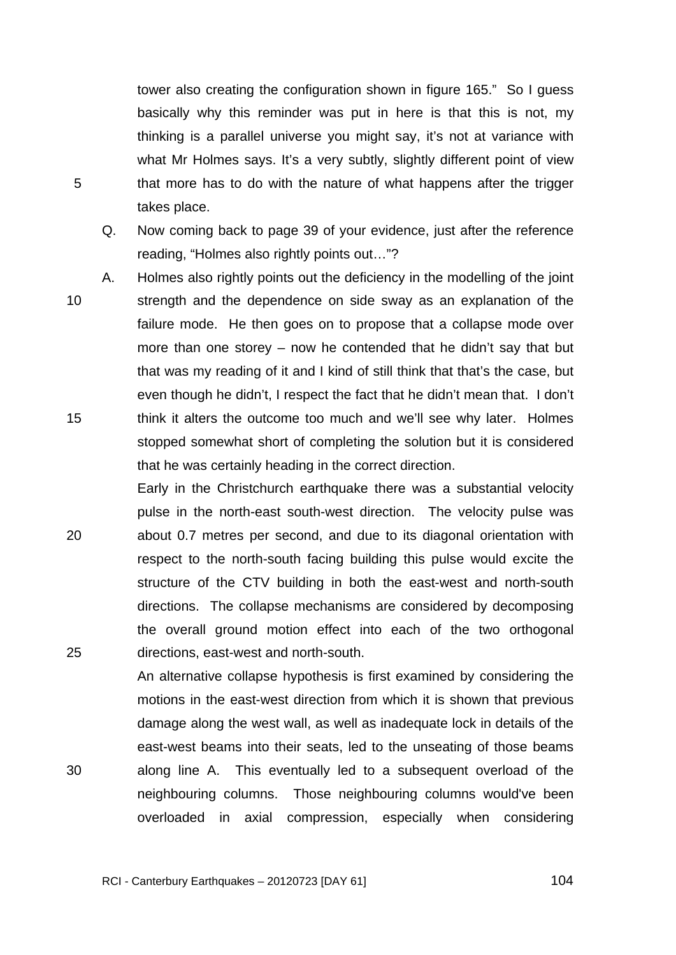tower also creating the configuration shown in figure 165." So I guess basically why this reminder was put in here is that this is not, my thinking is a parallel universe you might say, it's not at variance with what Mr Holmes says. It's a very subtly, slightly different point of view that more has to do with the nature of what happens after the trigger takes place.

- Q. Now coming back to page 39 of your evidence, just after the reference reading, "Holmes also rightly points out…"?
- 10 A. Holmes also rightly points out the deficiency in the modelling of the joint strength and the dependence on side sway as an explanation of the failure mode. He then goes on to propose that a collapse mode over more than one storey – now he contended that he didn't say that but that was my reading of it and I kind of still think that that's the case, but even though he didn't, I respect the fact that he didn't mean that. I don't think it alters the outcome too much and we'll see why later. Holmes stopped somewhat short of completing the solution but it is considered that he was certainly heading in the correct direction.
- 20 25 Early in the Christchurch earthquake there was a substantial velocity pulse in the north-east south-west direction. The velocity pulse was about 0.7 metres per second, and due to its diagonal orientation with respect to the north-south facing building this pulse would excite the structure of the CTV building in both the east-west and north-south directions. The collapse mechanisms are considered by decomposing the overall ground motion effect into each of the two orthogonal directions, east-west and north-south.

An alternative collapse hypothesis is first examined by considering the motions in the east-west direction from which it is shown that previous damage along the west wall, as well as inadequate lock in details of the east-west beams into their seats, led to the unseating of those beams along line A. This eventually led to a subsequent overload of the neighbouring columns. Those neighbouring columns would've been overloaded in axial compression, especially when considering

5

15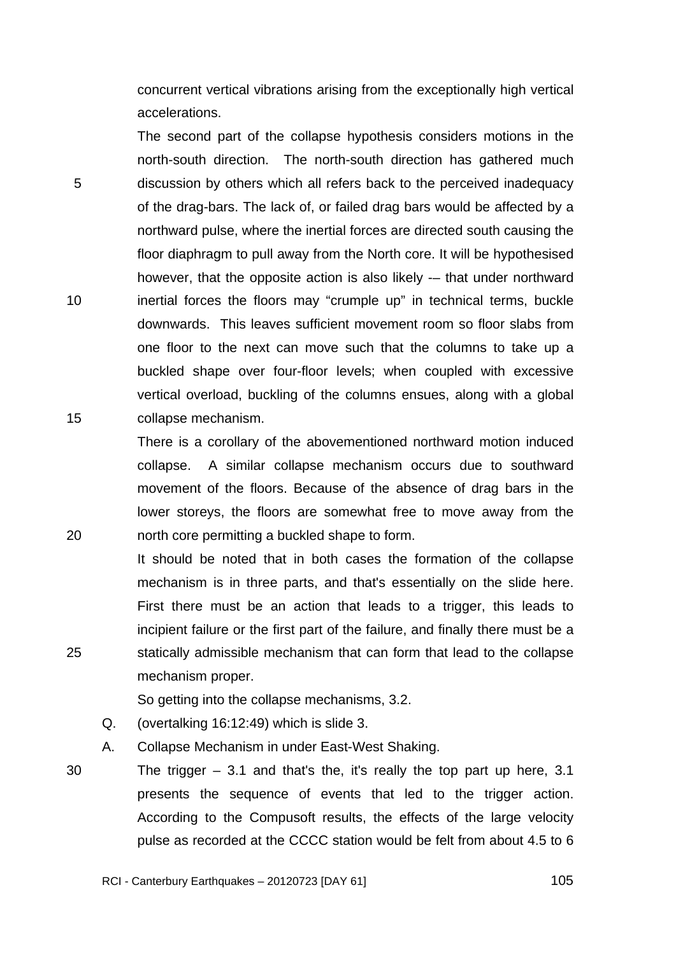concurrent vertical vibrations arising from the exceptionally high vertical accelerations.

The second part of the collapse hypothesis considers motions in the north-south direction. The north-south direction has gathered much discussion by others which all refers back to the perceived inadequacy of the drag-bars. The lack of, or failed drag bars would be affected by a northward pulse, where the inertial forces are directed south causing the floor diaphragm to pull away from the North core. It will be hypothesised however, that the opposite action is also likely -– that under northward inertial forces the floors may "crumple up" in technical terms, buckle downwards. This leaves sufficient movement room so floor slabs from one floor to the next can move such that the columns to take up a buckled shape over four-floor levels; when coupled with excessive vertical overload, buckling of the columns ensues, along with a global collapse mechanism.

There is a corollary of the abovementioned northward motion induced collapse. A similar collapse mechanism occurs due to southward movement of the floors. Because of the absence of drag bars in the lower storeys, the floors are somewhat free to move away from the north core permitting a buckled shape to form.

It should be noted that in both cases the formation of the collapse mechanism is in three parts, and that's essentially on the slide here. First there must be an action that leads to a trigger, this leads to incipient failure or the first part of the failure, and finally there must be a statically admissible mechanism that can form that lead to the collapse mechanism proper.

So getting into the collapse mechanisms, 3.2.

Q. (overtalking 16:12:49) which is slide 3.

A. Collapse Mechanism in under East-West Shaking.

30 The trigger  $-3.1$  and that's the, it's really the top part up here, 3.1 presents the sequence of events that led to the trigger action. According to the Compusoft results, the effects of the large velocity pulse as recorded at the CCCC station would be felt from about 4.5 to 6

25

20

5

10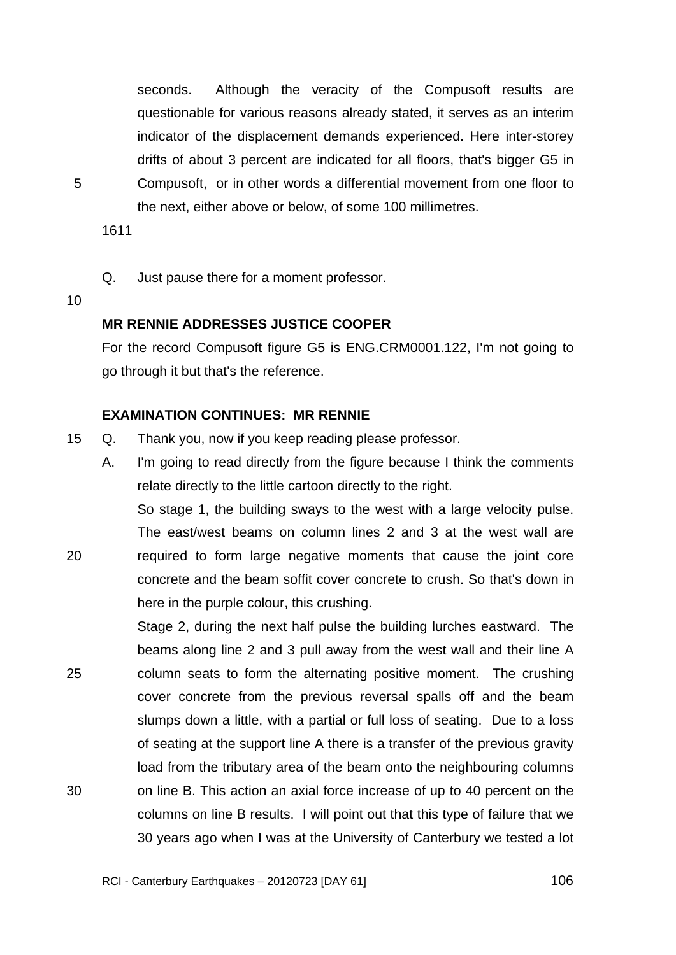seconds. Although the veracity of the Compusoft results are questionable for various reasons already stated, it serves as an interim indicator of the displacement demands experienced. Here inter-storey drifts of about 3 percent are indicated for all floors, that's bigger G5 in Compusoft, or in other words a differential movement from one floor to the next, either above or below, of some 100 millimetres.

1611

Q. Just pause there for a moment professor.

10

20

5

#### **MR RENNIE ADDRESSES JUSTICE COOPER**

For the record Compusoft figure G5 is ENG.CRM0001.122, I'm not going to go through it but that's the reference.

### **EXAMINATION CONTINUES: MR RENNIE**

15 Q. Thank you, now if you keep reading please professor.

A. I'm going to read directly from the figure because I think the comments relate directly to the little cartoon directly to the right.

So stage 1, the building sways to the west with a large velocity pulse. The east/west beams on column lines 2 and 3 at the west wall are required to form large negative moments that cause the joint core concrete and the beam soffit cover concrete to crush. So that's down in here in the purple colour, this crushing.

25 30 Stage 2, during the next half pulse the building lurches eastward. The beams along line 2 and 3 pull away from the west wall and their line A column seats to form the alternating positive moment. The crushing cover concrete from the previous reversal spalls off and the beam slumps down a little, with a partial or full loss of seating. Due to a loss of seating at the support line A there is a transfer of the previous gravity load from the tributary area of the beam onto the neighbouring columns on line B. This action an axial force increase of up to 40 percent on the columns on line B results. I will point out that this type of failure that we 30 years ago when I was at the University of Canterbury we tested a lot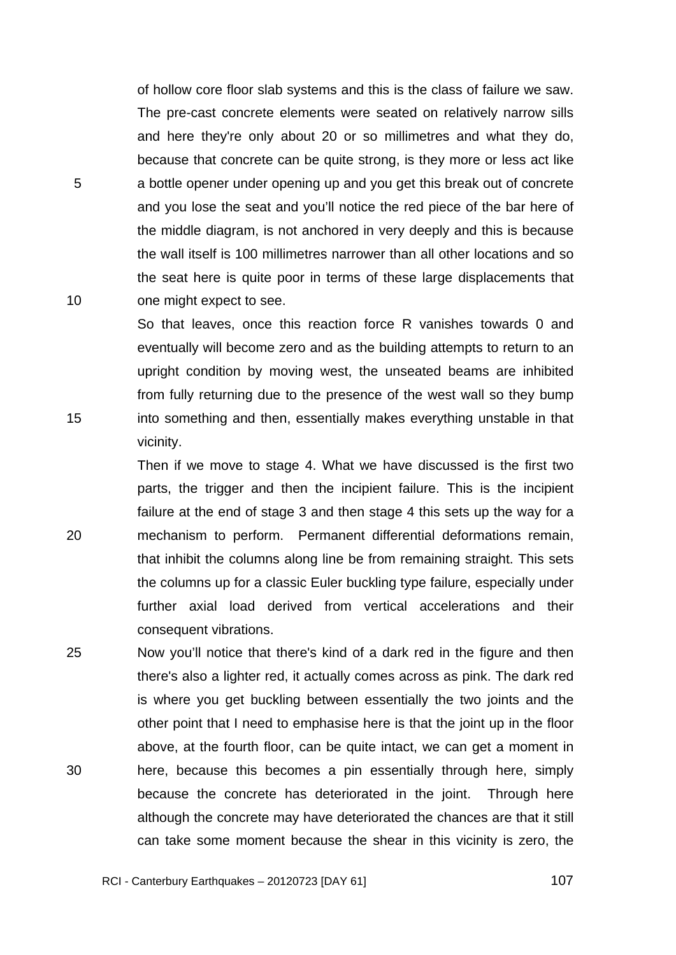of hollow core floor slab systems and this is the class of failure we saw. The pre-cast concrete elements were seated on relatively narrow sills and here they're only about 20 or so millimetres and what they do, because that concrete can be quite strong, is they more or less act like a bottle opener under opening up and you get this break out of concrete and you lose the seat and you'll notice the red piece of the bar here of the middle diagram, is not anchored in very deeply and this is because the wall itself is 100 millimetres narrower than all other locations and so the seat here is quite poor in terms of these large displacements that one might expect to see.

5

10

15

20

So that leaves, once this reaction force R vanishes towards 0 and eventually will become zero and as the building attempts to return to an upright condition by moving west, the unseated beams are inhibited from fully returning due to the presence of the west wall so they bump into something and then, essentially makes everything unstable in that vicinity.

Then if we move to stage 4. What we have discussed is the first two parts, the trigger and then the incipient failure. This is the incipient failure at the end of stage 3 and then stage 4 this sets up the way for a mechanism to perform. Permanent differential deformations remain, that inhibit the columns along line be from remaining straight. This sets the columns up for a classic Euler buckling type failure, especially under further axial load derived from vertical accelerations and their consequent vibrations.

25 30 Now you'll notice that there's kind of a dark red in the figure and then there's also a lighter red, it actually comes across as pink. The dark red is where you get buckling between essentially the two joints and the other point that I need to emphasise here is that the joint up in the floor above, at the fourth floor, can be quite intact, we can get a moment in here, because this becomes a pin essentially through here, simply because the concrete has deteriorated in the joint. Through here although the concrete may have deteriorated the chances are that it still can take some moment because the shear in this vicinity is zero, the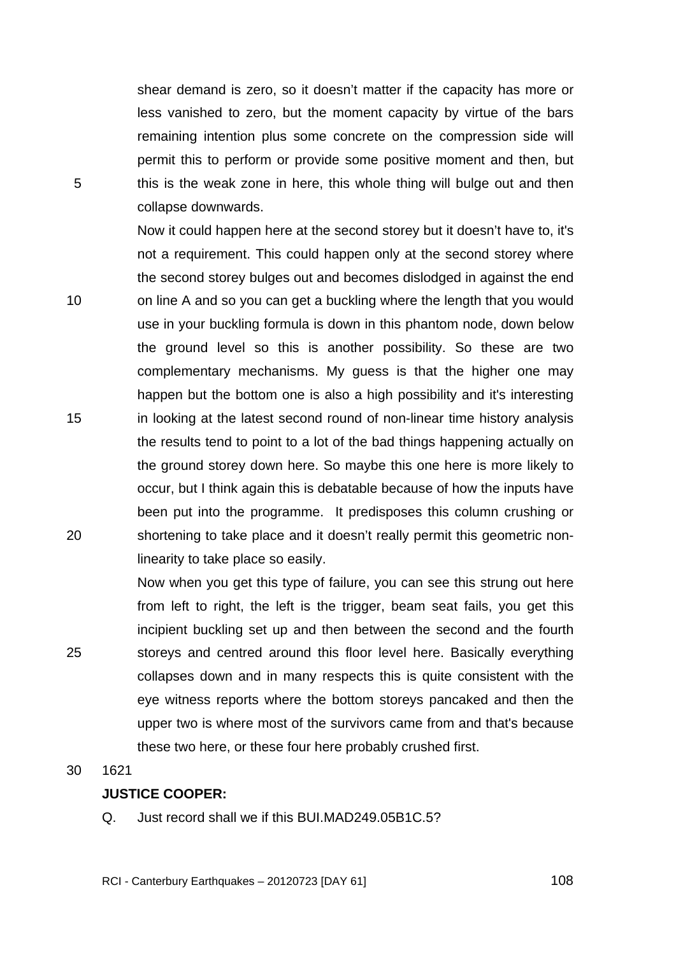shear demand is zero, so it doesn't matter if the capacity has more or less vanished to zero, but the moment capacity by virtue of the bars remaining intention plus some concrete on the compression side will permit this to perform or provide some positive moment and then, but this is the weak zone in here, this whole thing will bulge out and then collapse downwards.

Now it could happen here at the second storey but it doesn't have to, it's not a requirement. This could happen only at the second storey where the second storey bulges out and becomes dislodged in against the end on line A and so you can get a buckling where the length that you would use in your buckling formula is down in this phantom node, down below the ground level so this is another possibility. So these are two complementary mechanisms. My guess is that the higher one may happen but the bottom one is also a high possibility and it's interesting in looking at the latest second round of non-linear time history analysis the results tend to point to a lot of the bad things happening actually on the ground storey down here. So maybe this one here is more likely to occur, but I think again this is debatable because of how the inputs have been put into the programme. It predisposes this column crushing or shortening to take place and it doesn't really permit this geometric nonlinearity to take place so easily.

Now when you get this type of failure, you can see this strung out here from left to right, the left is the trigger, beam seat fails, you get this incipient buckling set up and then between the second and the fourth storeys and centred around this floor level here. Basically everything collapses down and in many respects this is quite consistent with the eye witness reports where the bottom storeys pancaked and then the upper two is where most of the survivors came from and that's because these two here, or these four here probably crushed first.

30 1621

5

10

15

20

25

# **JUSTICE COOPER:**

Q. Just record shall we if this BUI.MAD249.05B1C.5?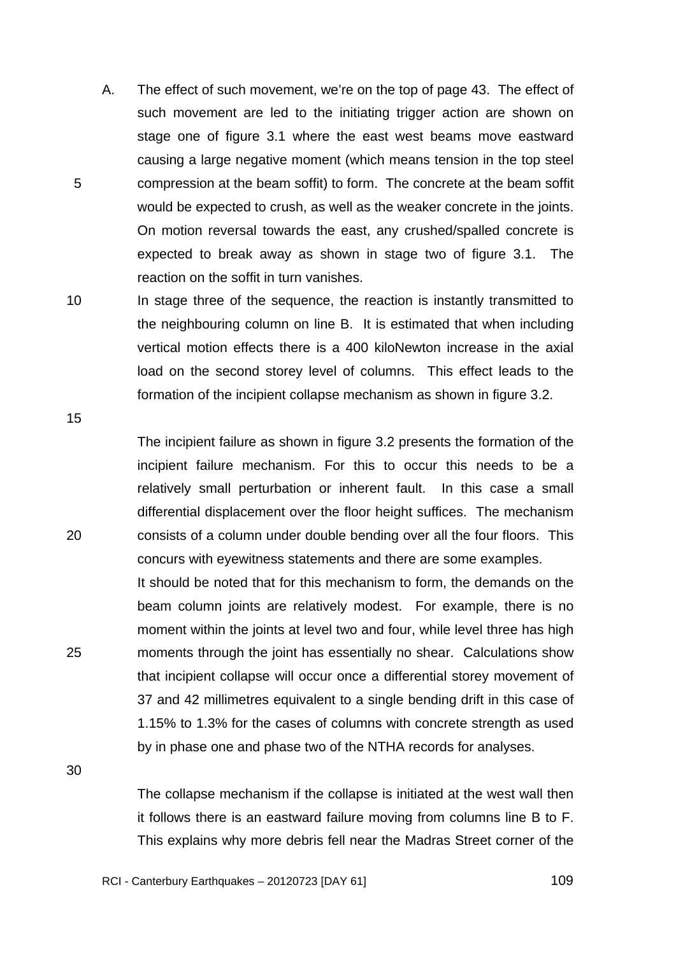- A. The effect of such movement, we're on the top of page 43. The effect of such movement are led to the initiating trigger action are shown on stage one of figure 3.1 where the east west beams move eastward causing a large negative moment (which means tension in the top steel compression at the beam soffit) to form. The concrete at the beam soffit would be expected to crush, as well as the weaker concrete in the joints. On motion reversal towards the east, any crushed/spalled concrete is expected to break away as shown in stage two of figure 3.1. The reaction on the soffit in turn vanishes.
- 10 In stage three of the sequence, the reaction is instantly transmitted to the neighbouring column on line B. It is estimated that when including vertical motion effects there is a 400 kiloNewton increase in the axial load on the second storey level of columns. This effect leads to the formation of the incipient collapse mechanism as shown in figure 3.2.

15

20

25

5

The incipient failure as shown in figure 3.2 presents the formation of the incipient failure mechanism. For this to occur this needs to be a relatively small perturbation or inherent fault. In this case a small differential displacement over the floor height suffices. The mechanism consists of a column under double bending over all the four floors. This concurs with eyewitness statements and there are some examples.

It should be noted that for this mechanism to form, the demands on the beam column joints are relatively modest. For example, there is no moment within the joints at level two and four, while level three has high moments through the joint has essentially no shear. Calculations show that incipient collapse will occur once a differential storey movement of 37 and 42 millimetres equivalent to a single bending drift in this case of 1.15% to 1.3% for the cases of columns with concrete strength as used by in phase one and phase two of the NTHA records for analyses.

30

The collapse mechanism if the collapse is initiated at the west wall then it follows there is an eastward failure moving from columns line B to F. This explains why more debris fell near the Madras Street corner of the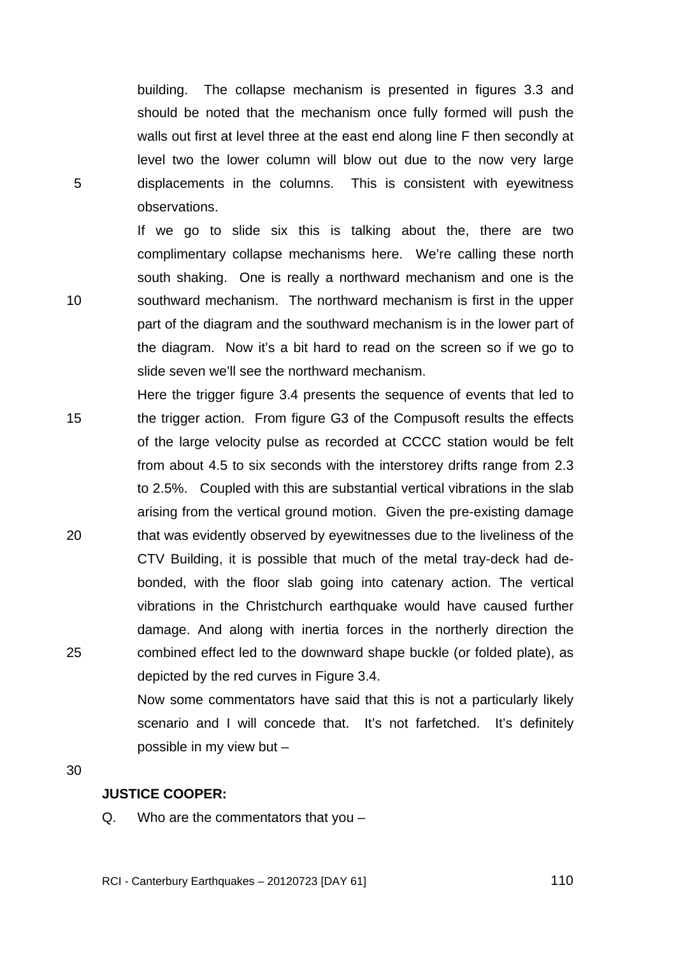building. The collapse mechanism is presented in figures 3.3 and should be noted that the mechanism once fully formed will push the walls out first at level three at the east end along line F then secondly at level two the lower column will blow out due to the now very large displacements in the columns. This is consistent with eyewitness observations.

If we go to slide six this is talking about the, there are two complimentary collapse mechanisms here. We're calling these north south shaking. One is really a northward mechanism and one is the southward mechanism. The northward mechanism is first in the upper part of the diagram and the southward mechanism is in the lower part of the diagram. Now it's a bit hard to read on the screen so if we go to slide seven we'll see the northward mechanism.

15 20 25 Here the trigger figure 3.4 presents the sequence of events that led to the trigger action. From figure G3 of the Compusoft results the effects of the large velocity pulse as recorded at CCCC station would be felt from about 4.5 to six seconds with the interstorey drifts range from 2.3 to 2.5%. Coupled with this are substantial vertical vibrations in the slab arising from the vertical ground motion. Given the pre-existing damage that was evidently observed by eyewitnesses due to the liveliness of the CTV Building, it is possible that much of the metal tray-deck had debonded, with the floor slab going into catenary action. The vertical vibrations in the Christchurch earthquake would have caused further damage. And along with inertia forces in the northerly direction the combined effect led to the downward shape buckle (or folded plate), as depicted by the red curves in Figure 3.4.

> Now some commentators have said that this is not a particularly likely scenario and I will concede that. It's not farfetched. It's definitely possible in my view but –

30

5

10

# **JUSTICE COOPER:**

Q. Who are the commentators that you –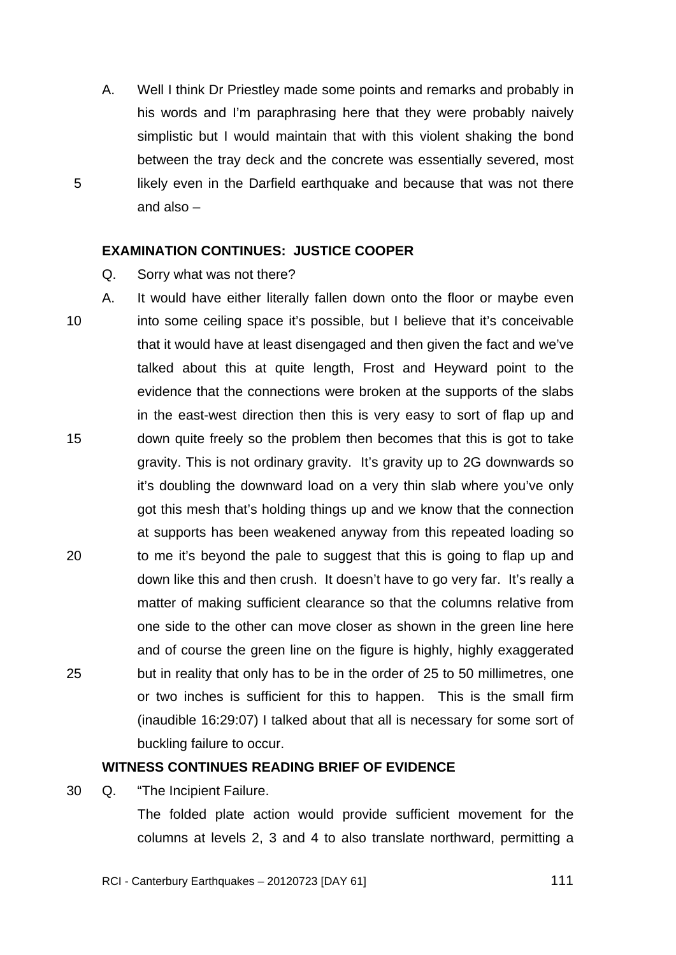A. Well I think Dr Priestley made some points and remarks and probably in his words and I'm paraphrasing here that they were probably naively simplistic but I would maintain that with this violent shaking the bond between the tray deck and the concrete was essentially severed, most likely even in the Darfield earthquake and because that was not there and also –

### **EXAMINATION CONTINUES: JUSTICE COOPER**

Q. Sorry what was not there?

5

10 15 20 25 A. It would have either literally fallen down onto the floor or maybe even into some ceiling space it's possible, but I believe that it's conceivable that it would have at least disengaged and then given the fact and we've talked about this at quite length, Frost and Heyward point to the evidence that the connections were broken at the supports of the slabs in the east-west direction then this is very easy to sort of flap up and down quite freely so the problem then becomes that this is got to take gravity. This is not ordinary gravity. It's gravity up to 2G downwards so it's doubling the downward load on a very thin slab where you've only got this mesh that's holding things up and we know that the connection at supports has been weakened anyway from this repeated loading so to me it's beyond the pale to suggest that this is going to flap up and down like this and then crush. It doesn't have to go very far. It's really a matter of making sufficient clearance so that the columns relative from one side to the other can move closer as shown in the green line here and of course the green line on the figure is highly, highly exaggerated but in reality that only has to be in the order of 25 to 50 millimetres, one or two inches is sufficient for this to happen. This is the small firm (inaudible 16:29:07) I talked about that all is necessary for some sort of buckling failure to occur.

### **WITNESS CONTINUES READING BRIEF OF EVIDENCE**

30 Q. "The Incipient Failure.

The folded plate action would provide sufficient movement for the columns at levels 2, 3 and 4 to also translate northward, permitting a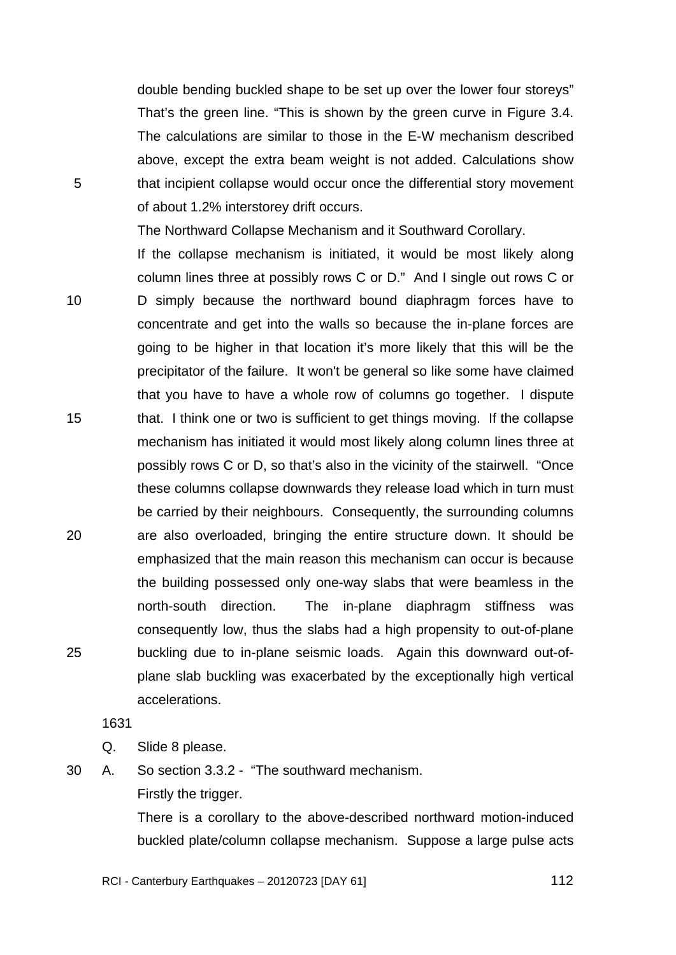TRANS.20120723.112

double bending buckled shape to be set up over the lower four storeys" That's the green line. "This is shown by the green curve in Figure 3.4. The calculations are similar to those in the E-W mechanism described above, except the extra beam weight is not added. Calculations show that incipient collapse would occur once the differential story movement of about 1.2% interstorey drift occurs.

The Northward Collapse Mechanism and it Southward Corollary.

10 15 20 25 If the collapse mechanism is initiated, it would be most likely along column lines three at possibly rows C or D." And I single out rows C or D simply because the northward bound diaphragm forces have to concentrate and get into the walls so because the in-plane forces are going to be higher in that location it's more likely that this will be the precipitator of the failure. It won't be general so like some have claimed that you have to have a whole row of columns go together. I dispute that. I think one or two is sufficient to get things moving. If the collapse mechanism has initiated it would most likely along column lines three at possibly rows C or D, so that's also in the vicinity of the stairwell. "Once these columns collapse downwards they release load which in turn must be carried by their neighbours. Consequently, the surrounding columns are also overloaded, bringing the entire structure down. It should be emphasized that the main reason this mechanism can occur is because the building possessed only one-way slabs that were beamless in the north-south direction. The in-plane diaphragm stiffness was consequently low, thus the slabs had a high propensity to out-of-plane buckling due to in-plane seismic loads. Again this downward out-ofplane slab buckling was exacerbated by the exceptionally high vertical accelerations.

1631

Q. Slide 8 please.

5

30 A. So section 3.3.2 - "The southward mechanism.

Firstly the trigger.

There is a corollary to the above-described northward motion-induced buckled plate/column collapse mechanism. Suppose a large pulse acts

RCI - Canterbury Earthquakes – 20120723 [DAY 61]

 $\sim$  112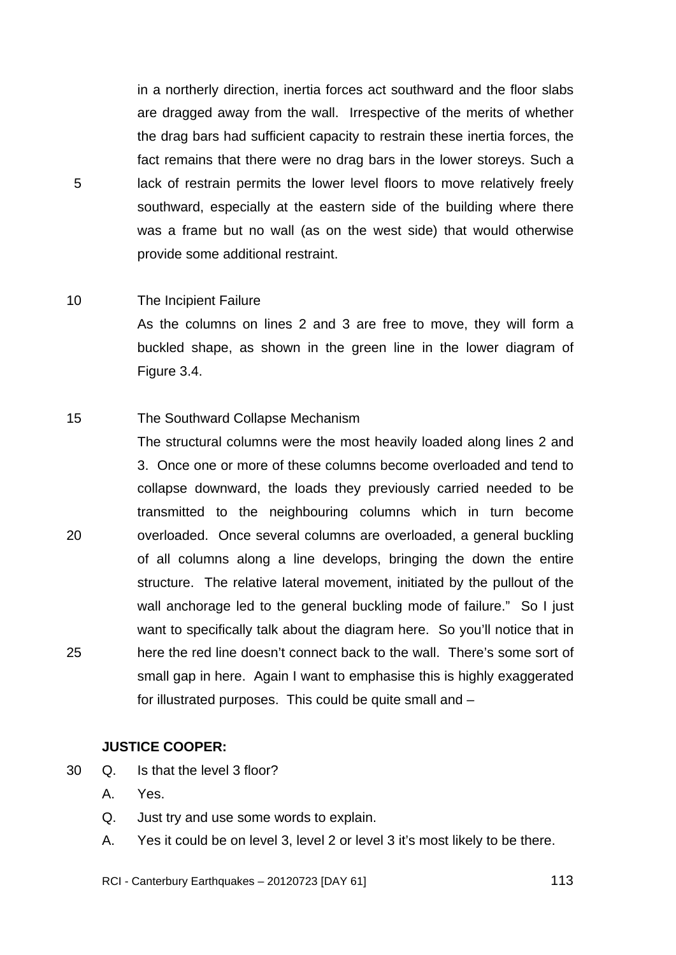in a northerly direction, inertia forces act southward and the floor slabs are dragged away from the wall. Irrespective of the merits of whether the drag bars had sufficient capacity to restrain these inertia forces, the fact remains that there were no drag bars in the lower storeys. Such a lack of restrain permits the lower level floors to move relatively freely southward, especially at the eastern side of the building where there was a frame but no wall (as on the west side) that would otherwise provide some additional restraint.

#### 10 The Incipient Failure

5

As the columns on lines 2 and 3 are free to move, they will form a buckled shape, as shown in the green line in the lower diagram of Figure 3.4.

#### 15 The Southward Collapse Mechanism

20 25 The structural columns were the most heavily loaded along lines 2 and 3. Once one or more of these columns become overloaded and tend to collapse downward, the loads they previously carried needed to be transmitted to the neighbouring columns which in turn become overloaded. Once several columns are overloaded, a general buckling of all columns along a line develops, bringing the down the entire structure. The relative lateral movement, initiated by the pullout of the wall anchorage led to the general buckling mode of failure." So I just want to specifically talk about the diagram here. So you'll notice that in here the red line doesn't connect back to the wall. There's some sort of small gap in here. Again I want to emphasise this is highly exaggerated for illustrated purposes. This could be quite small and –

# **JUSTICE COOPER:**

- 30 Q. Is that the level 3 floor?
	- A. Yes.
	- Q. Just try and use some words to explain.
	- A. Yes it could be on level 3, level 2 or level 3 it's most likely to be there.

RCI - Canterbury Earthquakes – 20120723 [DAY 61]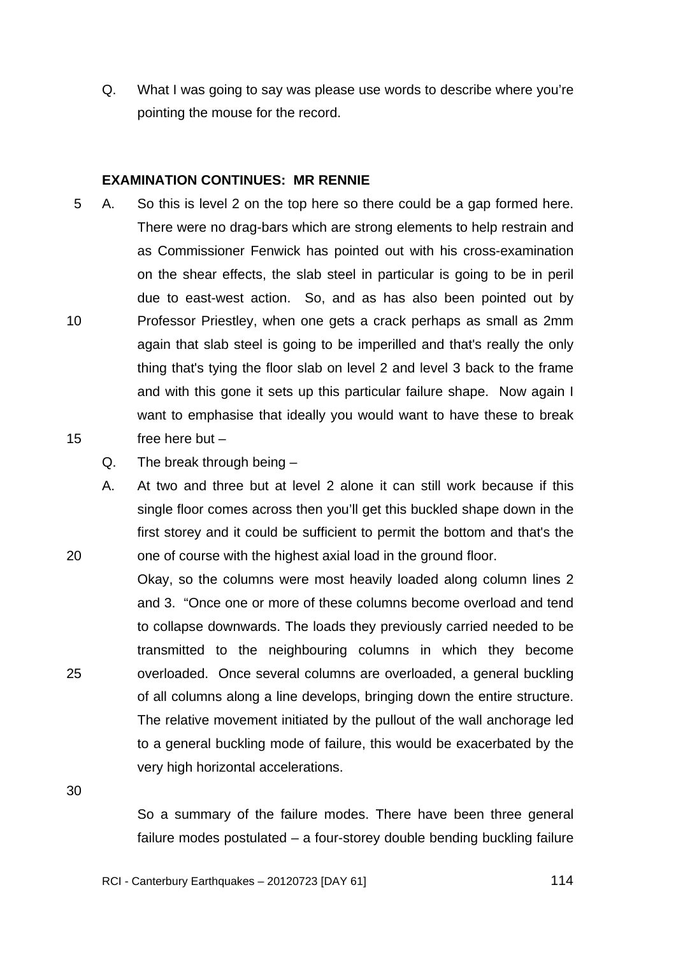Q. What I was going to say was please use words to describe where you're pointing the mouse for the record.

### **EXAMINATION CONTINUES: MR RENNIE**

- 10 15 5 A. So this is level 2 on the top here so there could be a gap formed here. There were no drag-bars which are strong elements to help restrain and as Commissioner Fenwick has pointed out with his cross-examination on the shear effects, the slab steel in particular is going to be in peril due to east-west action. So, and as has also been pointed out by Professor Priestley, when one gets a crack perhaps as small as 2mm again that slab steel is going to be imperilled and that's really the only thing that's tying the floor slab on level 2 and level 3 back to the frame and with this gone it sets up this particular failure shape. Now again I want to emphasise that ideally you would want to have these to break free here but –
	- Q. The break through being –
	- A. At two and three but at level 2 alone it can still work because if this single floor comes across then you'll get this buckled shape down in the first storey and it could be sufficient to permit the bottom and that's the one of course with the highest axial load in the ground floor.
- 25 Okay, so the columns were most heavily loaded along column lines 2 and 3. "Once one or more of these columns become overload and tend to collapse downwards. The loads they previously carried needed to be transmitted to the neighbouring columns in which they become overloaded. Once several columns are overloaded, a general buckling of all columns along a line develops, bringing down the entire structure. The relative movement initiated by the pullout of the wall anchorage led to a general buckling mode of failure, this would be exacerbated by the very high horizontal accelerations.

30

20

So a summary of the failure modes. There have been three general failure modes postulated – a four-storey double bending buckling failure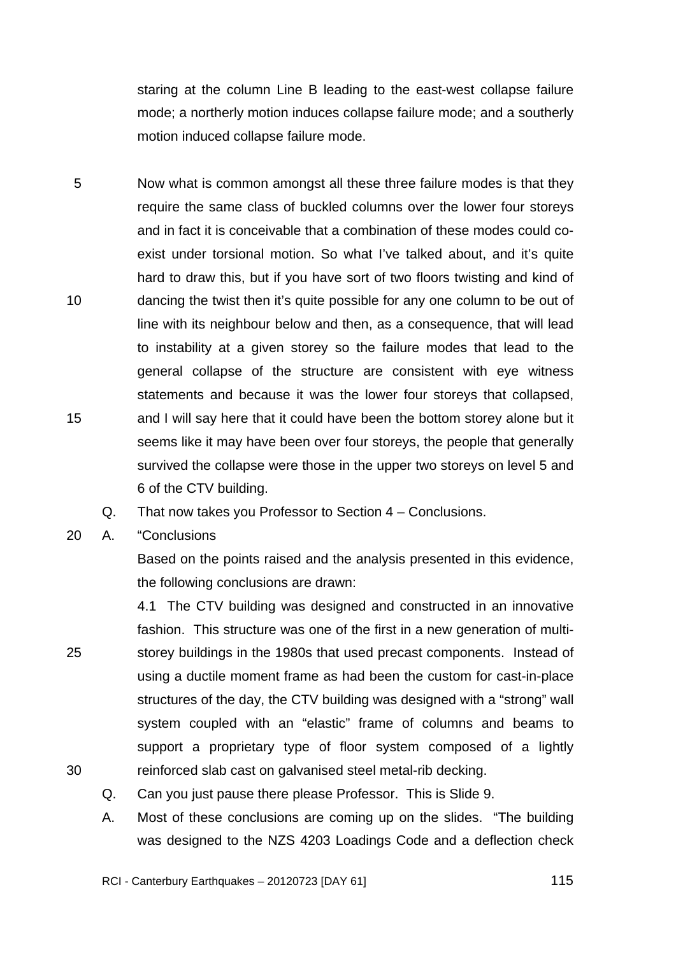staring at the column Line B leading to the east-west collapse failure mode; a northerly motion induces collapse failure mode; and a southerly motion induced collapse failure mode.

- 5 10 15 Now what is common amongst all these three failure modes is that they require the same class of buckled columns over the lower four storeys and in fact it is conceivable that a combination of these modes could coexist under torsional motion. So what I've talked about, and it's quite hard to draw this, but if you have sort of two floors twisting and kind of dancing the twist then it's quite possible for any one column to be out of line with its neighbour below and then, as a consequence, that will lead to instability at a given storey so the failure modes that lead to the general collapse of the structure are consistent with eye witness statements and because it was the lower four storeys that collapsed, and I will say here that it could have been the bottom storey alone but it seems like it may have been over four storeys, the people that generally survived the collapse were those in the upper two storeys on level 5 and 6 of the CTV building.
	- Q. That now takes you Professor to Section 4 Conclusions.
- 20 A. "Conclusions

25

30

Based on the points raised and the analysis presented in this evidence, the following conclusions are drawn:

4.1 The CTV building was designed and constructed in an innovative fashion. This structure was one of the first in a new generation of multistorey buildings in the 1980s that used precast components. Instead of using a ductile moment frame as had been the custom for cast-in-place structures of the day, the CTV building was designed with a "strong" wall system coupled with an "elastic" frame of columns and beams to support a proprietary type of floor system composed of a lightly reinforced slab cast on galvanised steel metal-rib decking.

- Q. Can you just pause there please Professor. This is Slide 9.
- A. Most of these conclusions are coming up on the slides. "The building was designed to the NZS 4203 Loadings Code and a deflection check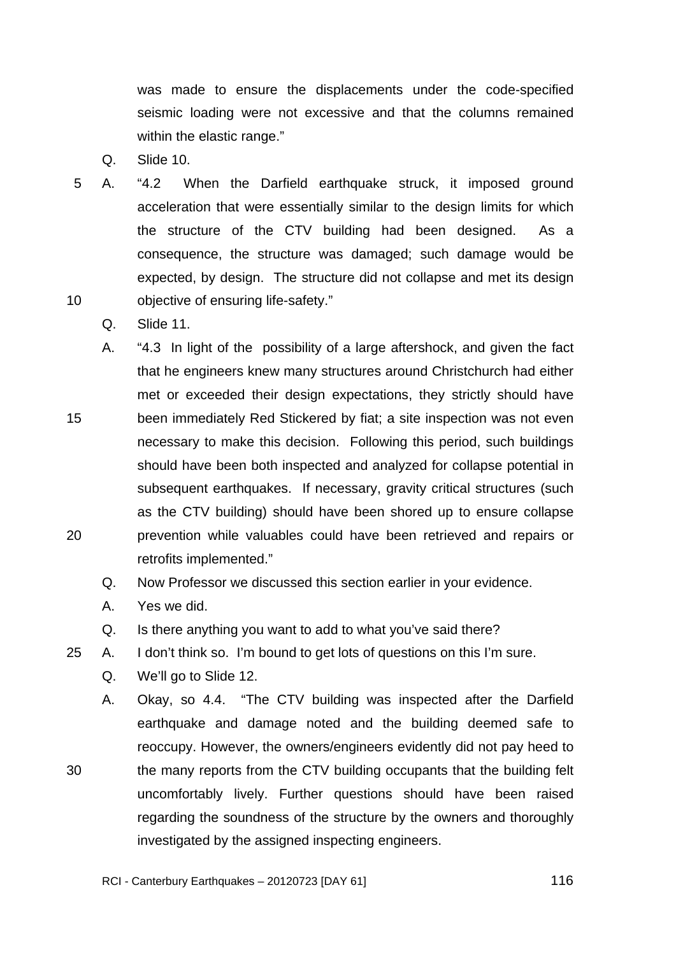was made to ensure the displacements under the code-specified seismic loading were not excessive and that the columns remained within the elastic range."

- Q. Slide 10.
- 10 5 A. "4.2 When the Darfield earthquake struck, it imposed ground acceleration that were essentially similar to the design limits for which the structure of the CTV building had been designed. As a consequence, the structure was damaged; such damage would be expected, by design. The structure did not collapse and met its design objective of ensuring life-safety."
	- Q. Slide 11.
- 15 20 A. "4.3 In light of the possibility of a large aftershock, and given the fact that he engineers knew many structures around Christchurch had either met or exceeded their design expectations, they strictly should have been immediately Red Stickered by fiat; a site inspection was not even necessary to make this decision. Following this period, such buildings should have been both inspected and analyzed for collapse potential in subsequent earthquakes. If necessary, gravity critical structures (such as the CTV building) should have been shored up to ensure collapse prevention while valuables could have been retrieved and repairs or retrofits implemented."
	- Q. Now Professor we discussed this section earlier in your evidence.
	- A. Yes we did.
	- Q. Is there anything you want to add to what you've said there?
- 25 A. I don't think so. I'm bound to get lots of questions on this I'm sure.
	- Q. We'll go to Slide 12.
	- A. Okay, so 4.4. "The CTV building was inspected after the Darfield earthquake and damage noted and the building deemed safe to reoccupy. However, the owners/engineers evidently did not pay heed to the many reports from the CTV building occupants that the building felt uncomfortably lively. Further questions should have been raised regarding the soundness of the structure by the owners and thoroughly investigated by the assigned inspecting engineers.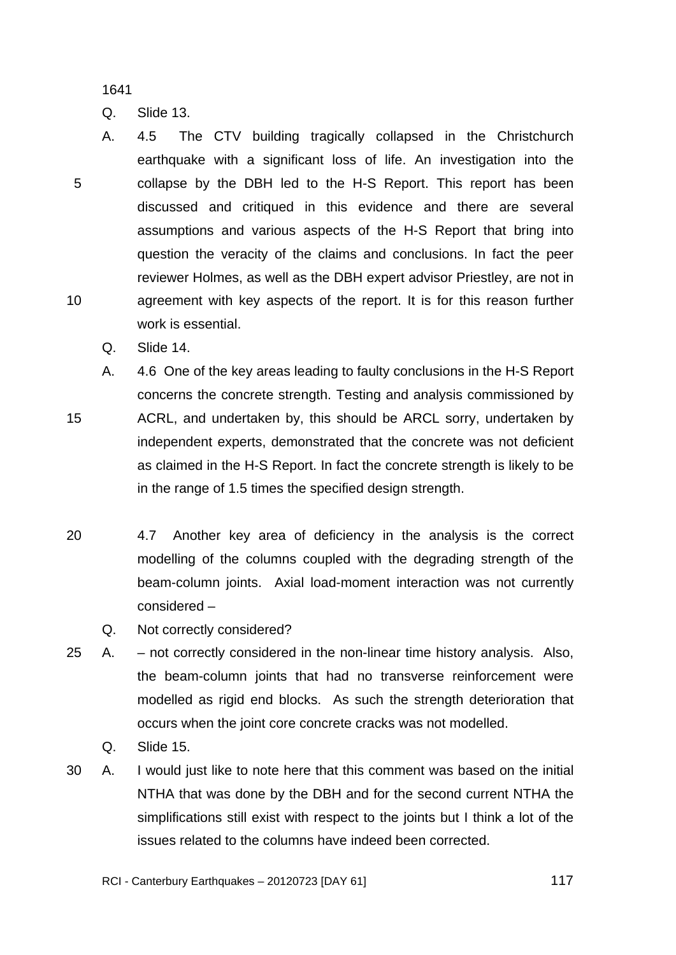TRANS.20120723.117

1641

Q. Slide 13.

- 5 10 A. 4.5 The CTV building tragically collapsed in the Christchurch earthquake with a significant loss of life. An investigation into the collapse by the DBH led to the H-S Report. This report has been discussed and critiqued in this evidence and there are several assumptions and various aspects of the H-S Report that bring into question the veracity of the claims and conclusions. In fact the peer reviewer Holmes, as well as the DBH expert advisor Priestley, are not in agreement with key aspects of the report. It is for this reason further work is essential.
	- Q. Slide 14.

- A. 4.6 One of the key areas leading to faulty conclusions in the H-S Report concerns the concrete strength. Testing and analysis commissioned by ACRL, and undertaken by, this should be ARCL sorry, undertaken by independent experts, demonstrated that the concrete was not deficient as claimed in the H-S Report. In fact the concrete strength is likely to be in the range of 1.5 times the specified design strength.
- 20 4.7 Another key area of deficiency in the analysis is the correct modelling of the columns coupled with the degrading strength of the beam-column joints. Axial load-moment interaction was not currently considered –
	- Q. Not correctly considered?
- 25 A. not correctly considered in the non-linear time history analysis. Also, the beam-column joints that had no transverse reinforcement were modelled as rigid end blocks. As such the strength deterioration that occurs when the joint core concrete cracks was not modelled.
	- Q. Slide 15.
- 30 A. I would just like to note here that this comment was based on the initial NTHA that was done by the DBH and for the second current NTHA the simplifications still exist with respect to the joints but I think a lot of the issues related to the columns have indeed been corrected.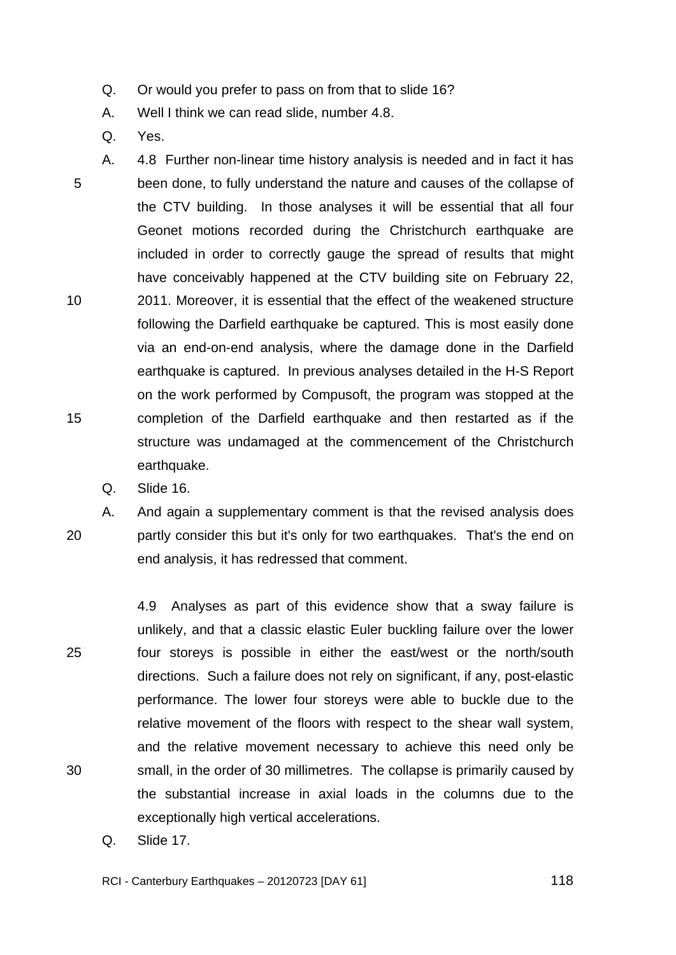- Q. Or would you prefer to pass on from that to slide 16?
- A. Well I think we can read slide, number 4.8.
- Q. Yes.

5 10 15 A. 4.8 Further non-linear time history analysis is needed and in fact it has been done, to fully understand the nature and causes of the collapse of the CTV building. In those analyses it will be essential that all four Geonet motions recorded during the Christchurch earthquake are included in order to correctly gauge the spread of results that might have conceivably happened at the CTV building site on February 22, 2011. Moreover, it is essential that the effect of the weakened structure following the Darfield earthquake be captured. This is most easily done via an end-on-end analysis, where the damage done in the Darfield earthquake is captured. In previous analyses detailed in the H-S Report on the work performed by Compusoft, the program was stopped at the completion of the Darfield earthquake and then restarted as if the structure was undamaged at the commencement of the Christchurch earthquake.

Q. Slide 16.

20

A. And again a supplementary comment is that the revised analysis does partly consider this but it's only for two earthquakes. That's the end on end analysis, it has redressed that comment.

25 30 4.9 Analyses as part of this evidence show that a sway failure is unlikely, and that a classic elastic Euler buckling failure over the lower four storeys is possible in either the east/west or the north/south directions. Such a failure does not rely on significant, if any, post-elastic performance. The lower four storeys were able to buckle due to the relative movement of the floors with respect to the shear wall system, and the relative movement necessary to achieve this need only be small, in the order of 30 millimetres. The collapse is primarily caused by the substantial increase in axial loads in the columns due to the exceptionally high vertical accelerations.

Q. Slide 17.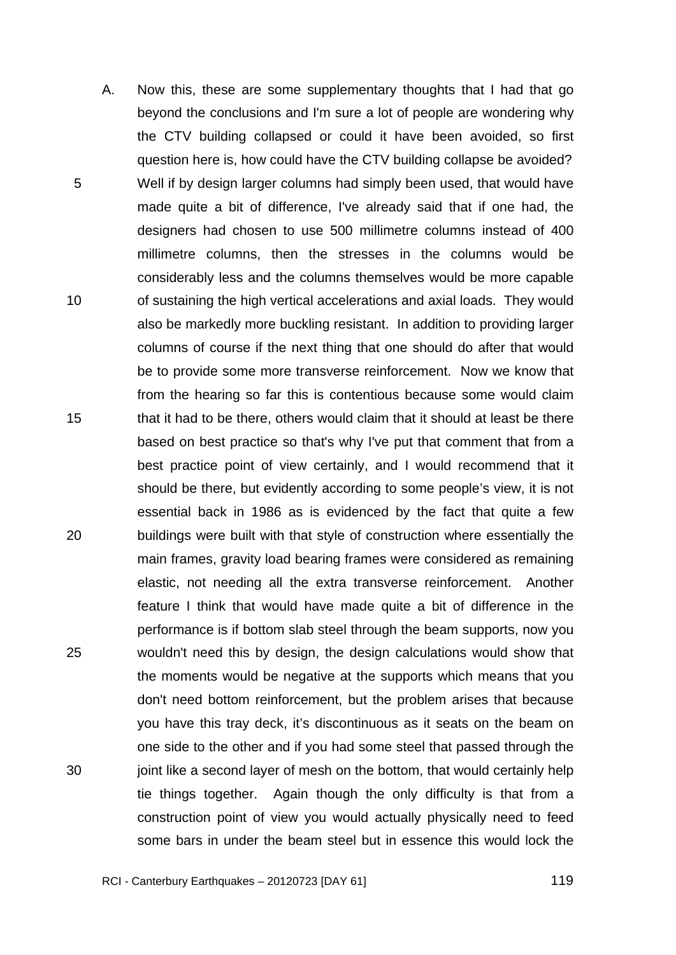5 10 15 20 25 30 A. Now this, these are some supplementary thoughts that I had that go beyond the conclusions and I'm sure a lot of people are wondering why the CTV building collapsed or could it have been avoided, so first question here is, how could have the CTV building collapse be avoided? Well if by design larger columns had simply been used, that would have made quite a bit of difference, I've already said that if one had, the designers had chosen to use 500 millimetre columns instead of 400 millimetre columns, then the stresses in the columns would be considerably less and the columns themselves would be more capable of sustaining the high vertical accelerations and axial loads. They would also be markedly more buckling resistant. In addition to providing larger columns of course if the next thing that one should do after that would be to provide some more transverse reinforcement. Now we know that from the hearing so far this is contentious because some would claim that it had to be there, others would claim that it should at least be there based on best practice so that's why I've put that comment that from a best practice point of view certainly, and I would recommend that it should be there, but evidently according to some people's view, it is not essential back in 1986 as is evidenced by the fact that quite a few buildings were built with that style of construction where essentially the main frames, gravity load bearing frames were considered as remaining elastic, not needing all the extra transverse reinforcement. Another feature I think that would have made quite a bit of difference in the performance is if bottom slab steel through the beam supports, now you wouldn't need this by design, the design calculations would show that the moments would be negative at the supports which means that you don't need bottom reinforcement, but the problem arises that because you have this tray deck, it's discontinuous as it seats on the beam on one side to the other and if you had some steel that passed through the joint like a second layer of mesh on the bottom, that would certainly help tie things together. Again though the only difficulty is that from a construction point of view you would actually physically need to feed some bars in under the beam steel but in essence this would lock the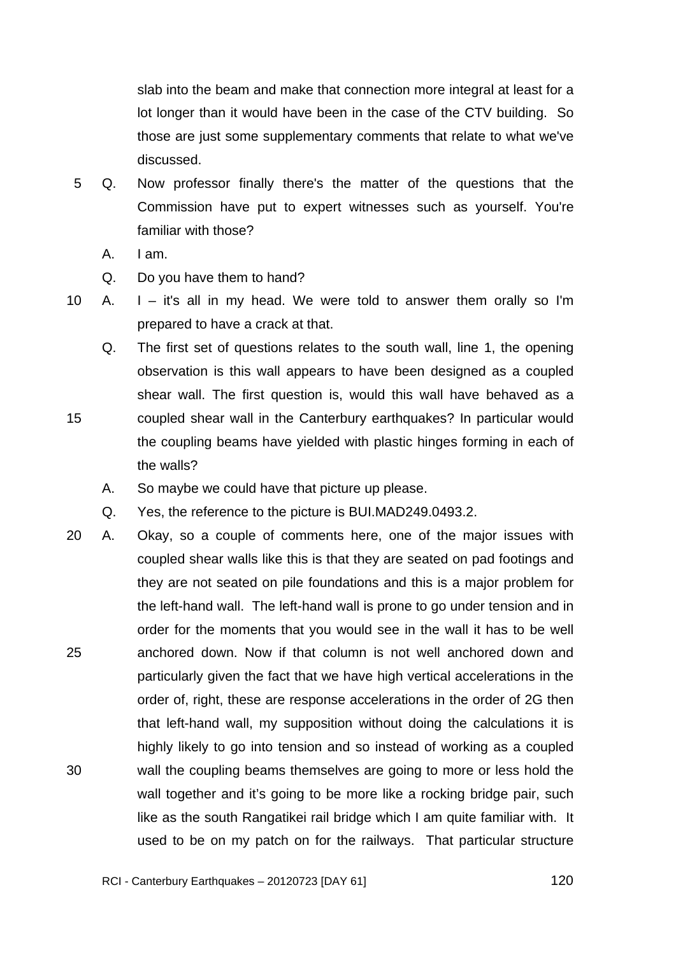slab into the beam and make that connection more integral at least for a lot longer than it would have been in the case of the CTV building. So those are just some supplementary comments that relate to what we've discussed.

- 5 Q. Now professor finally there's the matter of the questions that the Commission have put to expert witnesses such as yourself. You're familiar with those?
	- A. I am.

- Q. Do you have them to hand?
- 10 A.  $I it's all in my head. We were told to answer them orally so I'm.$ prepared to have a crack at that.
	- Q. The first set of questions relates to the south wall, line 1, the opening observation is this wall appears to have been designed as a coupled shear wall. The first question is, would this wall have behaved as a coupled shear wall in the Canterbury earthquakes? In particular would the coupling beams have yielded with plastic hinges forming in each of the walls?
		- A. So maybe we could have that picture up please.
	- Q. Yes, the reference to the picture is BUI.MAD249.0493.2.
- 25 30 20 A. Okay, so a couple of comments here, one of the major issues with coupled shear walls like this is that they are seated on pad footings and they are not seated on pile foundations and this is a major problem for the left-hand wall. The left-hand wall is prone to go under tension and in order for the moments that you would see in the wall it has to be well anchored down. Now if that column is not well anchored down and particularly given the fact that we have high vertical accelerations in the order of, right, these are response accelerations in the order of 2G then that left-hand wall, my supposition without doing the calculations it is highly likely to go into tension and so instead of working as a coupled wall the coupling beams themselves are going to more or less hold the wall together and it's going to be more like a rocking bridge pair, such like as the south Rangatikei rail bridge which I am quite familiar with. It used to be on my patch on for the railways. That particular structure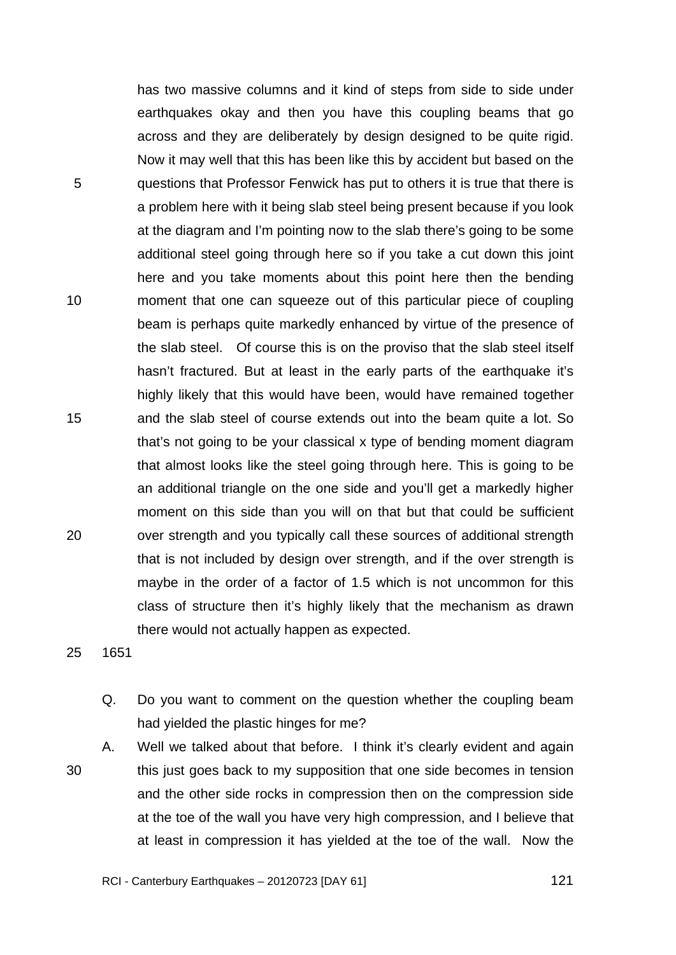TRANS.20120723.121

has two massive columns and it kind of steps from side to side under earthquakes okay and then you have this coupling beams that go across and they are deliberately by design designed to be quite rigid. Now it may well that this has been like this by accident but based on the questions that Professor Fenwick has put to others it is true that there is a problem here with it being slab steel being present because if you look at the diagram and I'm pointing now to the slab there's going to be some additional steel going through here so if you take a cut down this joint here and you take moments about this point here then the bending moment that one can squeeze out of this particular piece of coupling beam is perhaps quite markedly enhanced by virtue of the presence of the slab steel. Of course this is on the proviso that the slab steel itself hasn't fractured. But at least in the early parts of the earthquake it's highly likely that this would have been, would have remained together and the slab steel of course extends out into the beam quite a lot. So that's not going to be your classical x type of bending moment diagram that almost looks like the steel going through here. This is going to be an additional triangle on the one side and you'll get a markedly higher moment on this side than you will on that but that could be sufficient over strength and you typically call these sources of additional strength that is not included by design over strength, and if the over strength is maybe in the order of a factor of 1.5 which is not uncommon for this class of structure then it's highly likely that the mechanism as drawn there would not actually happen as expected.

20

5

10

15

25 1651

- Q. Do you want to comment on the question whether the coupling beam had yielded the plastic hinges for me?
- 30 A. Well we talked about that before. I think it's clearly evident and again this just goes back to my supposition that one side becomes in tension and the other side rocks in compression then on the compression side at the toe of the wall you have very high compression, and I believe that at least in compression it has yielded at the toe of the wall. Now the

 $\sim$  121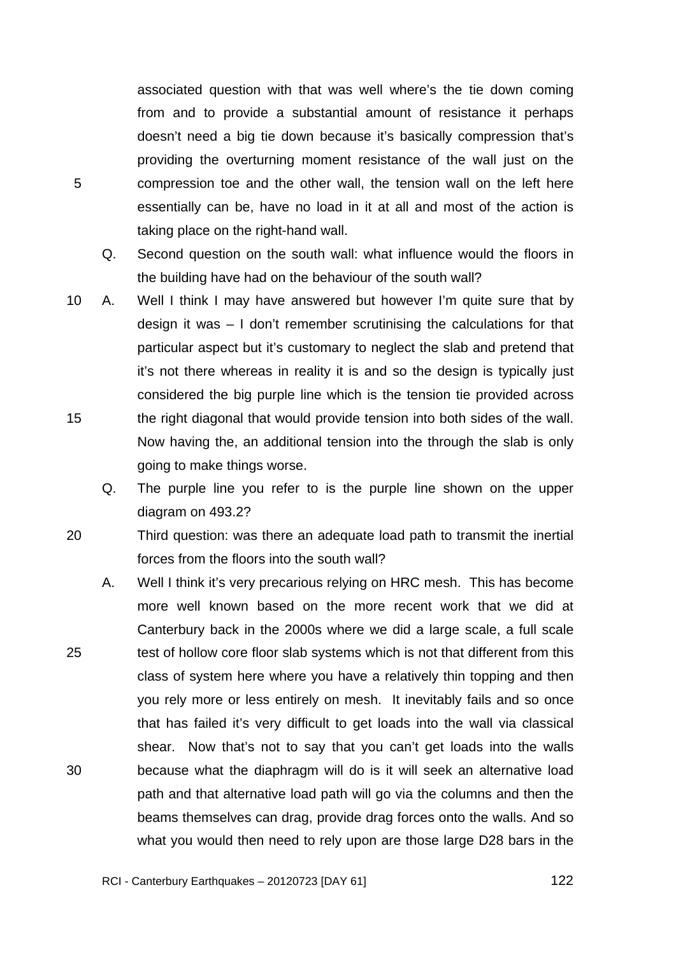associated question with that was well where's the tie down coming from and to provide a substantial amount of resistance it perhaps doesn't need a big tie down because it's basically compression that's providing the overturning moment resistance of the wall just on the compression toe and the other wall, the tension wall on the left here essentially can be, have no load in it at all and most of the action is taking place on the right-hand wall.

Q. Second question on the south wall: what influence would the floors in the building have had on the behaviour of the south wall?

- 15 10 A. Well I think I may have answered but however I'm quite sure that by design it was – I don't remember scrutinising the calculations for that particular aspect but it's customary to neglect the slab and pretend that it's not there whereas in reality it is and so the design is typically just considered the big purple line which is the tension tie provided across the right diagonal that would provide tension into both sides of the wall. Now having the, an additional tension into the through the slab is only going to make things worse.
	- Q. The purple line you refer to is the purple line shown on the upper diagram on 493.2?
- 20 Third question: was there an adequate load path to transmit the inertial forces from the floors into the south wall?
- 25 30 A. Well I think it's very precarious relying on HRC mesh. This has become more well known based on the more recent work that we did at Canterbury back in the 2000s where we did a large scale, a full scale test of hollow core floor slab systems which is not that different from this class of system here where you have a relatively thin topping and then you rely more or less entirely on mesh. It inevitably fails and so once that has failed it's very difficult to get loads into the wall via classical shear. Now that's not to say that you can't get loads into the walls because what the diaphragm will do is it will seek an alternative load path and that alternative load path will go via the columns and then the beams themselves can drag, provide drag forces onto the walls. And so what you would then need to rely upon are those large D28 bars in the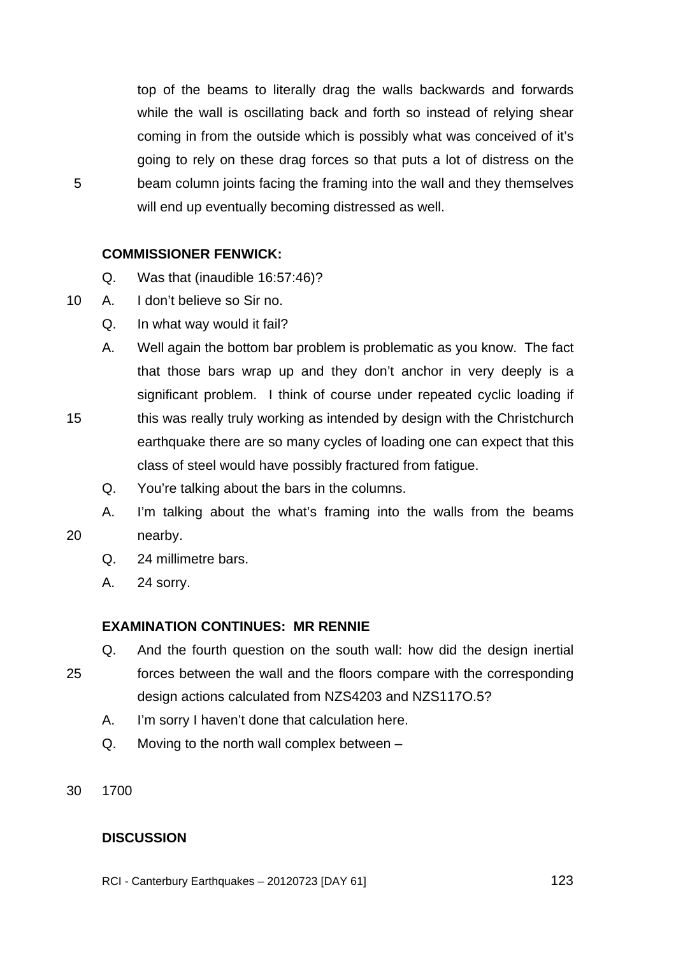top of the beams to literally drag the walls backwards and forwards while the wall is oscillating back and forth so instead of relying shear coming in from the outside which is possibly what was conceived of it's going to rely on these drag forces so that puts a lot of distress on the beam column joints facing the framing into the wall and they themselves will end up eventually becoming distressed as well.

# **COMMISSIONER FENWICK:**

- Q. Was that (inaudible 16:57:46)?
- 10 A. I don't believe so Sir no.

5

15

20

- Q. In what way would it fail?
- A. Well again the bottom bar problem is problematic as you know. The fact that those bars wrap up and they don't anchor in very deeply is a significant problem. I think of course under repeated cyclic loading if this was really truly working as intended by design with the Christchurch earthquake there are so many cycles of loading one can expect that this
	- class of steel would have possibly fractured from fatigue.
	- Q. You're talking about the bars in the columns.
- A. I'm talking about the what's framing into the walls from the beams nearby.
	- Q. 24 millimetre bars.
	- A. 24 sorry.

# **EXAMINATION CONTINUES: MR RENNIE**

- Q. And the fourth question on the south wall: how did the design inertial
- 25 forces between the wall and the floors compare with the corresponding design actions calculated from NZS4203 and NZS117O.5?
	- A. I'm sorry I haven't done that calculation here.
	- Q. Moving to the north wall complex between –
- 30 1700

# **DISCUSSION**

RCI - Canterbury Earthquakes – 20120723 [DAY 61]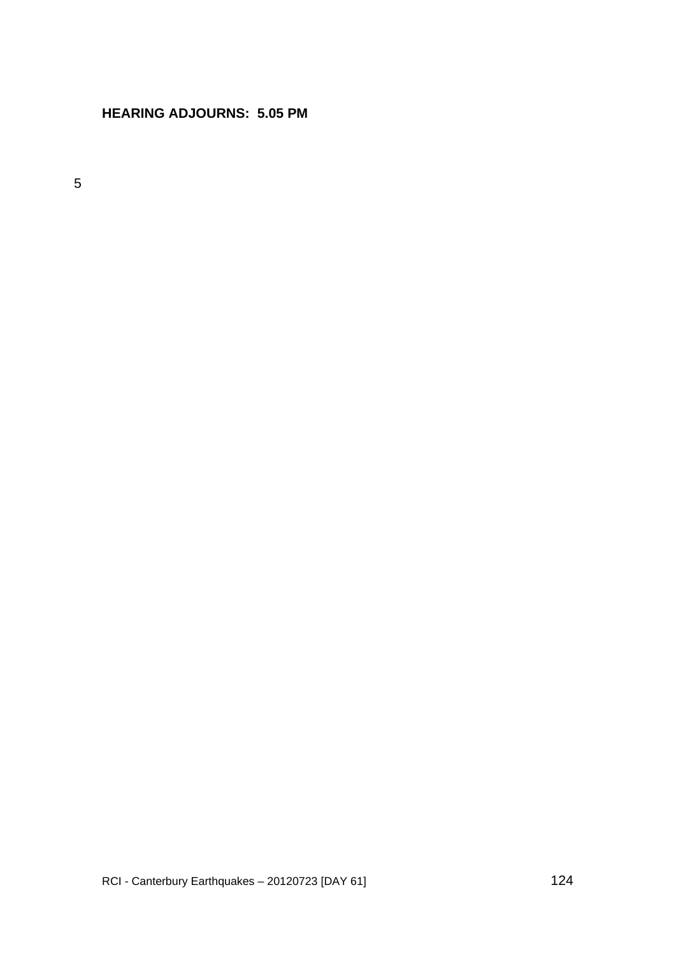# **HEARING ADJOURNS: 5.05 PM**